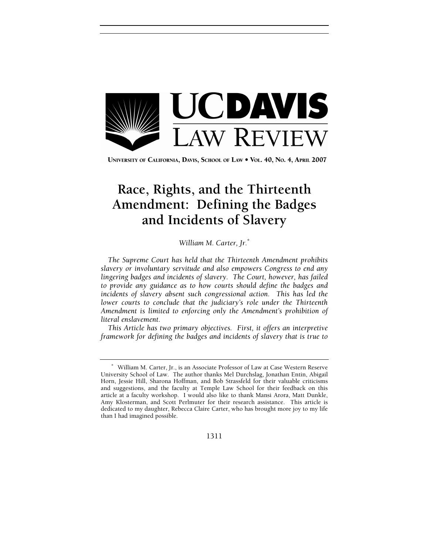

UNIVERSITY OF CALIFORNIA, DAVIS, SCHOOL OF LAW . VOL. 40, No. 4, APRIL 2007

# **Race, Rights, and the Thirteenth Amendment: Defining the Badges and Incidents of Slavery**

## *William M. Carter, Jr.*<sup>∗</sup>

*The Supreme Court has held that the Thirteenth Amendment prohibits slavery or involuntary servitude and also empowers Congress to end any lingering badges and incidents of slavery. The Court, however, has failed to provide any guidance as to how courts should define the badges and incidents of slavery absent such congressional action. This has led the lower courts to conclude that the judiciary's role under the Thirteenth Amendment is limited to enforcing only the Amendment's prohibition of literal enslavement.*

*This Article has two primary objectives. First, it offers an interpretive framework for defining the badges and incidents of slavery that is true to* 

<sup>∗</sup> William M. Carter, Jr., is an Associate Professor of Law at Case Western Reserve University School of Law. The author thanks Mel Durchslag, Jonathan Entin, Abigail Horn, Jessie Hill, Sharona Hoffman, and Bob Strassfeld for their valuable criticisms and suggestions, and the faculty at Temple Law School for their feedback on this article at a faculty workshop. I would also like to thank Mansi Arora, Matt Dunkle, Amy Klosterman, and Scott Perlmuter for their research assistance. This article is dedicated to my daughter, Rebecca Claire Carter, who has brought more joy to my life than I had imagined possible.

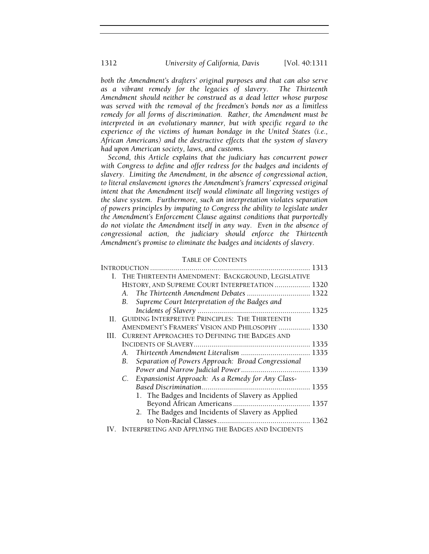*both the Amendment's drafters' original purposes and that can also serve as a vibrant remedy for the legacies of slavery. The Thirteenth Amendment should neither be construed as a dead letter whose purpose was served with the removal of the freedmen's bonds nor as a limitless remedy for all forms of discrimination. Rather, the Amendment must be interpreted in an evolutionary manner, but with specific regard to the experience of the victims of human bondage in the United States (i.e., African Americans) and the destructive effects that the system of slavery had upon American society, laws, and customs.*

*Second, this Article explains that the judiciary has concurrent power with Congress to define and offer redress for the badges and incidents of slavery. Limiting the Amendment, in the absence of congressional action, to literal enslavement ignores the Amendment's framers' expressed original intent that the Amendment itself would eliminate all lingering vestiges of the slave system. Furthermore, such an interpretation violates separation of powers principles by imputing to Congress the ability to legislate under the Amendment's Enforcement Clause against conditions that purportedly do not violate the Amendment itself in any way. Even in the absence of congressional action, the judiciary should enforce the Thirteenth Amendment's promise to eliminate the badges and incidents of slavery.* 

## TABLE OF CONTENTS

| I. THE THIRTEENTH AMENDMENT: BACKGROUND, LEGISLATIVE     |                                                      |  |  |
|----------------------------------------------------------|------------------------------------------------------|--|--|
|                                                          | HISTORY, AND SUPREME COURT INTERPRETATION 1320       |  |  |
|                                                          | A. The Thirteenth Amendment Debates  1322            |  |  |
| В.                                                       | Supreme Court Interpretation of the Badges and       |  |  |
|                                                          |                                                      |  |  |
| II. GUIDING INTERPRETIVE PRINCIPLES: THE THIRTEENTH      |                                                      |  |  |
|                                                          | AMENDMENT'S FRAMERS' VISION AND PHILOSOPHY  1330     |  |  |
| III. CURRENT APPROACHES TO DEFINING THE BADGES AND       |                                                      |  |  |
|                                                          |                                                      |  |  |
|                                                          |                                                      |  |  |
| Separation of Powers Approach: Broad Congressional<br>В. |                                                      |  |  |
|                                                          |                                                      |  |  |
|                                                          | C. Expansionist Approach: As a Remedy for Any Class- |  |  |
|                                                          |                                                      |  |  |
|                                                          | 1. The Badges and Incidents of Slavery as Applied    |  |  |
|                                                          |                                                      |  |  |
|                                                          | 2. The Badges and Incidents of Slavery as Applied    |  |  |
|                                                          |                                                      |  |  |
| IV. INTERPRETING AND APPLYING THE BADGES AND INCIDENTS   |                                                      |  |  |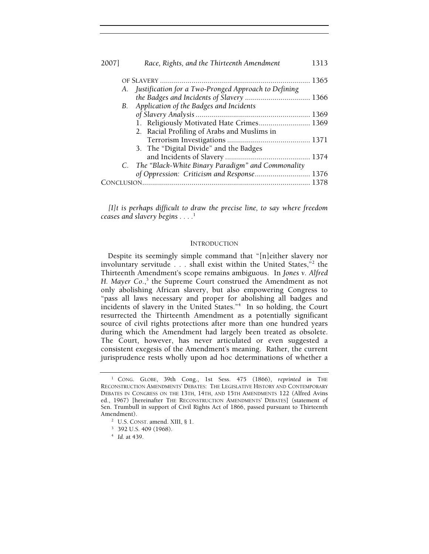| 20071      | Race, Rights, and the Thirteenth Amendment              | 1313 |
|------------|---------------------------------------------------------|------|
|            |                                                         |      |
|            | A. Justification for a Two-Pronged Approach to Defining |      |
|            | the Badges and Incidents of Slavery  1366               |      |
| B.         | Application of the Badges and Incidents                 |      |
|            |                                                         |      |
|            | 1. Religiously Motivated Hate Crimes 1369               |      |
|            | 2. Racial Profiling of Arabs and Muslims in             |      |
|            |                                                         |      |
|            | 3. The "Digital Divide" and the Badges                  |      |
|            |                                                         |      |
|            | C. The "Black-White Binary Paradigm" and Commonality    |      |
|            | of Oppression: Criticism and Response 1376              |      |
| ONCLUSION. |                                                         |      |

*[I]t is perhaps difficult to draw the precise line, to say where freedom ceases and slavery begins . . . .*<sup>1</sup>

#### **INTRODUCTION**

Despite its seemingly simple command that "[n]either slavery nor involuntary servitude . . . shall exist within the United States,"2 the Thirteenth Amendment's scope remains ambiguous. In *Jones v. Alfred*  H. Mayer Co.,<sup>3</sup> the Supreme Court construed the Amendment as not only abolishing African slavery, but also empowering Congress to "pass all laws necessary and proper for abolishing all badges and incidents of slavery in the United States."4 In so holding, the Court resurrected the Thirteenth Amendment as a potentially significant source of civil rights protections after more than one hundred years during which the Amendment had largely been treated as obsolete. The Court, however, has never articulated or even suggested a consistent exegesis of the Amendment's meaning. Rather, the current jurisprudence rests wholly upon ad hoc determinations of whether a

<sup>&</sup>lt;sup>1</sup> CONG. GLOBE, 39th Cong., 1st Sess. 475 (1866), *reprinted in* THE RECONSTRUCTION AMENDMENTS' DEBATES: THE LEGISLATIVE HISTORY AND CONTEMPORARY DEBATES IN CONGRESS ON THE 13TH, 14TH, AND 15TH AMENDMENTS 122 (Alfred Avins ed., 1967) [hereinafter THE RECONSTRUCTION AMENDMENTS' DEBATES] (statement of Sen. Trumbull in support of Civil Rights Act of 1866, passed pursuant to Thirteenth Amendment).

<sup>&</sup>lt;sup>2</sup> U.S. CONST. amend. XIII, § 1.

<sup>&</sup>lt;sup>3</sup> 392 U.S. 409 (1968).

<sup>4</sup>  *Id.* at 439.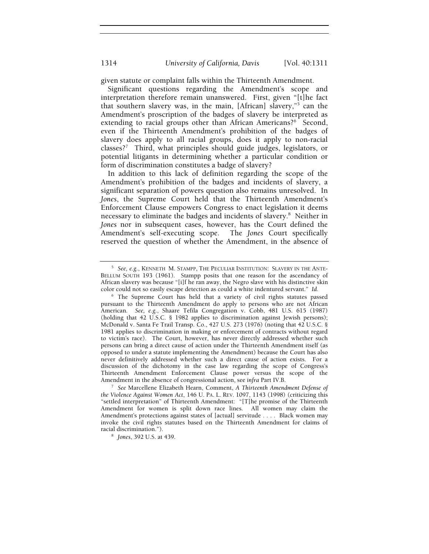given statute or complaint falls within the Thirteenth Amendment.

Significant questions regarding the Amendment's scope and interpretation therefore remain unanswered. First, given "[t]he fact that southern slavery was, in the main, [African] slavery,"5 can the Amendment's proscription of the badges of slavery be interpreted as extending to racial groups other than African Americans?<sup>6</sup> Second, even if the Thirteenth Amendment's prohibition of the badges of slavery does apply to all racial groups, does it apply to non-racial classes?7 Third, what principles should guide judges, legislators, or potential litigants in determining whether a particular condition or form of discrimination constitutes a badge of slavery?

In addition to this lack of definition regarding the scope of the Amendment's prohibition of the badges and incidents of slavery, a significant separation of powers question also remains unresolved. In *Jones*, the Supreme Court held that the Thirteenth Amendment's Enforcement Clause empowers Congress to enact legislation it deems necessary to eliminate the badges and incidents of slavery.<sup>8</sup> Neither in *Jones* nor in subsequent cases, however, has the Court defined the Amendment's self-executing scope. The *Jones* Court specifically reserved the question of whether the Amendment, in the absence of

<sup>5</sup>  *See, e.g.*, KENNETH M. STAMPP, THE PECULIAR INSTITUTION: SLAVERY IN THE ANTE-BELLUM SOUTH 193 (1961). Stampp posits that one reason for the ascendancy of African slavery was because "[i]f he ran away, the Negro slave with his distinctive skin color could not so easily escape detection as could a white indentured servant." *Id.*

<sup>&</sup>lt;sup>6</sup> The Supreme Court has held that a variety of civil rights statutes passed pursuant to the Thirteenth Amendment do apply to persons who are not African American. *See, e.g.*, Shaare Tefila Congregation v. Cobb, 481 U.S. 615 (1987) (holding that 42 U.S.C. § 1982 applies to discrimination against Jewish persons); McDonald v. Santa Fe Trail Transp. Co., 427 U.S. 273 (1976) (noting that 42 U.S.C. § 1981 applies to discrimination in making or enforcement of contracts without regard to victim's race). The Court, however, has never directly addressed whether such persons can bring a direct cause of action under the Thirteenth Amendment itself (as opposed to under a statute implementing the Amendment) because the Court has also never definitively addressed whether such a direct cause of action exists. For a discussion of the dichotomy in the case law regarding the scope of Congress's Thirteenth Amendment Enforcement Clause power versus the scope of the Amendment in the absence of congressional action, see *infra* Part IV.B.

<sup>7</sup>  *See* Marcellene Elizabeth Hearn, Comment, *A Thirteenth Amendment Defense of the Violence Against Women Act*, 146 U. PA. L. REV. 1097, 1143 (1998) (criticizing this "settled interpretation" of Thirteenth Amendment: "[T]he promise of the Thirteenth Amendment for women is split down race lines. All women may claim the Amendment's protections against states of [actual] servitude . . . . Black women may invoke the civil rights statutes based on the Thirteenth Amendment for claims of racial discrimination.").

*Jones*, 392 U.S. at 439.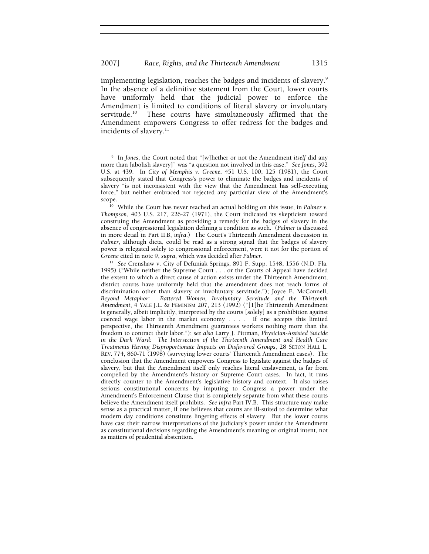implementing legislation, reaches the badges and incidents of slavery. $^9$ In the absence of a definitive statement from the Court, lower courts have uniformly held that the judicial power to enforce the Amendment is limited to conditions of literal slavery or involuntary<br>servitude.<sup>10</sup> These courts have simultaneously affirmed that the These courts have simultaneously affirmed that the Amendment empowers Congress to offer redress for the badges and incidents of slavery.<sup>11</sup>

<sup>9</sup> In *Jones*, the Court noted that "[w]hether or not the Amendment *itself* did any more than [abolish slavery]" was "a question not involved in this case." *See Jones*, 392 U.S. at 439. In *City of Memphis v. Greene*, 451 U.S. 100, 125 (1981), the Court subsequently stated that Congress's power to eliminate the badges and incidents of slavery "is not inconsistent with the view that the Amendment has self-executing force," but neither embraced nor rejected any particular view of the Amendment's

<sup>&</sup>lt;sup>10</sup> While the Court has never reached an actual holding on this issue, in *Palmer v*. *Thompson*, 403 U.S. 217, 226-27 (1971), the Court indicated its skepticism toward construing the Amendment as providing a remedy for the badges of slavery in the absence of congressional legislation defining a condition as such. (*Palmer* is discussed in more detail in Part II.B, *infra*.) The Court's Thirteenth Amendment discussion in *Palmer*, although dicta, could be read as a strong signal that the badges of slavery power is relegated solely to congressional enforcement, were it not for the portion of *Greene* cited in note 9, *supra*, which was decided after *Palmer.*

<sup>&</sup>lt;sup>11</sup> See Crenshaw v. City of Defuniak Springs, 891 F. Supp. 1548, 1556 (N.D. Fla. 1995) ("While neither the Supreme Court . . . or the Courts of Appeal have decided the extent to which a direct cause of action exists under the Thirteenth Amendment, district courts have uniformly held that the amendment does not reach forms of discrimination other than slavery or involuntary servitude."); Joyce E. McConnell, *Beyond Metaphor: Battered Women, Involuntary Servitude and the Thirteenth Amendment*, 4 YALE J.L. & FEMINISM 207, 213 (1992) ("[T]he Thirteenth Amendment is generally, albeit implicitly, interpreted by the courts [solely] as a prohibition against coerced wage labor in the market economy . . . . If one accepts this limited perspective, the Thirteenth Amendment guarantees workers nothing more than the freedom to contract their labor."); *see also* Larry J. Pittman, *Physician-Assisted Suicide in the Dark Ward: The Intersection of the Thirteenth Amendment and Health Care Treatments Having Disproportionate Impacts on Disfavored Groups*, 28 SETON HALL L. REV. 774, 860-71 (1998) (surveying lower courts' Thirteenth Amendment cases). The conclusion that the Amendment empowers Congress to legislate against the badges of slavery, but that the Amendment itself only reaches literal enslavement, is far from compelled by the Amendment's history or Supreme Court cases. In fact, it runs directly counter to the Amendment's legislative history and context. It also raises serious constitutional concerns by imputing to Congress a power under the Amendment's Enforcement Clause that is completely separate from what these courts believe the Amendment itself prohibits. *See infra* Part IV.B. This structure may make sense as a practical matter, if one believes that courts are ill-suited to determine what modern day conditions constitute lingering effects of slavery. But the lower courts have cast their narrow interpretations of the judiciary's power under the Amendment as constitutional decisions regarding the Amendment's meaning or original intent, not as matters of prudential abstention.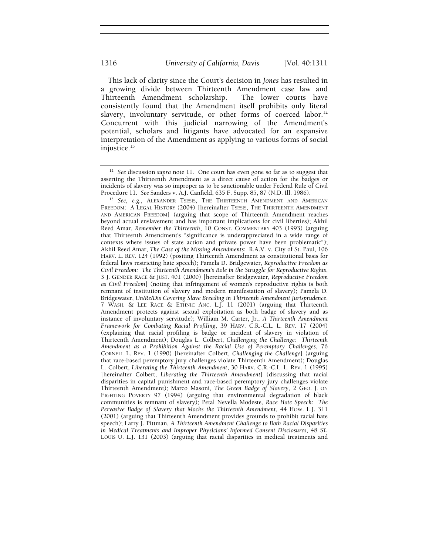This lack of clarity since the Court's decision in *Jones* has resulted in a growing divide between Thirteenth Amendment case law and Thirteenth Amendment scholarship. The lower courts have consistently found that the Amendment itself prohibits only literal slavery, involuntary servitude, or other forms of coerced labor.<sup>12</sup> Concurrent with this judicial narrowing of the Amendment's potential, scholars and litigants have advocated for an expansive interpretation of the Amendment as applying to various forms of social injustice.13

<sup>12</sup> *See* discussion *supra* note 11.One court has even gone so far as to suggest that asserting the Thirteenth Amendment as a direct cause of action for the badges or incidents of slavery was so improper as to be sanctionable under Federal Rule of Civil

Procedure 11. *See* Sanders v. A.J. Canfield, 635 F. Supp. 85, 87 (N.D. Ill. 1986). 13 *See, e.g.*, ALEXANDER TSESIS, THE THIRTEENTH AMENDMENT AND AMERICAN FREEDOM: A LEGAL HISTORY (2004) [hereinafter TSESIS, THE THIRTEENTH AMENDMENT AND AMERICAN FREEDOM] (arguing that scope of Thirteenth Amendment reaches beyond actual enslavement and has important implications for civil liberties); Akhil Reed Amar, *Remember the Thirteenth*, 10 CONST. COMMENTARY 403 (1993) (arguing that Thirteenth Amendment's "significance is underappreciated in a wide range of contexts where issues of state action and private power have been problematic"); Akhil Reed Amar, *The Case of the Missing Amendments:* R.A.V. v. City of St. Paul, 106 HARV. L. REV. 124 (1992) (positing Thirteenth Amendment as constitutional basis for federal laws restricting hate speech); Pamela D. Bridgewater, *Reproductive Freedom as Civil Freedom: The Thirteenth Amendment's Role in the Struggle for Reproductive Rights*, 3 J. GENDER RACE & JUST. 401 (2000) [hereinafter Bridgewater, *Reproductive Freedom as Civil Freedom*] (noting that infringement of women's reproductive rights is both remnant of institution of slavery and modern manifestation of slavery); Pamela D. Bridgewater, *Un/Re/Dis Covering Slave Breeding in Thirteenth Amendment Jurisprudence*, 7 WASH. & LEE RACE & ETHNIC ANC. L.J. 11 (2001) (arguing that Thirteenth Amendment protects against sexual exploitation as both badge of slavery and as instance of involuntary servitude); William M. Carter, Jr., *A Thirteenth Amendment Framework for Combating Racial Profiling*, 39 HARV. C.R.-C.L. L. REV. 17 (2004) (explaining that racial profiling is badge or incident of slavery in violation of Thirteenth Amendment); Douglas L. Colbert, *Challenging the Challenge: Thirteenth Amendment as a Prohibition Against the Racial Use of Peremptory Challenges*, 76 CORNELL L. REV. 1 (1990) [hereinafter Colbert, *Challenging the Challenge*] (arguing that race-based peremptory jury challenges violate Thirteenth Amendment); Douglas L. Colbert, *Liberating the Thirteenth Amendment*, 30 HARV. C.R.-C.L. L. REV. 1 (1995) [hereinafter Colbert, *Liberating the Thirteenth Amendment*] (discussing that racial disparities in capital punishment and race-based peremptory jury challenges violate Thirteenth Amendment); Marco Masoni, *The Green Badge of Slavery*, 2 GEO. J. ON FIGHTING POVERTY 97 (1994) (arguing that environmental degradation of black communities is remnant of slavery); Petal Nevella Modeste, *Race Hate Speech: The Pervasive Badge of Slavery that Mocks the Thirteenth Amendment*, 44 HOW. L.J. 311 (2001) (arguing that Thirteenth Amendment provides grounds to prohibit racial hate speech); Larry J. Pittman, *A Thirteenth Amendment Challenge to Both Racial Disparities in Medical Treatments and Improper Physicians' Informed Consent Disclosures*, 48 ST. LOUIS U. L.J. 131 (2003) (arguing that racial disparities in medical treatments and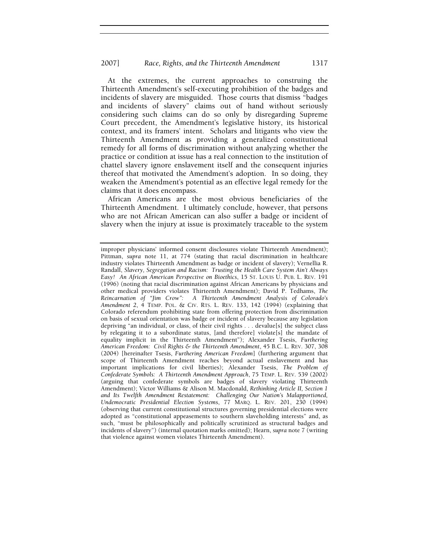At the extremes, the current approaches to construing the Thirteenth Amendment's self-executing prohibition of the badges and incidents of slavery are misguided. Those courts that dismiss "badges and incidents of slavery" claims out of hand without seriously considering such claims can do so only by disregarding Supreme Court precedent, the Amendment's legislative history, its historical context, and its framers' intent. Scholars and litigants who view the Thirteenth Amendment as providing a generalized constitutional remedy for all forms of discrimination without analyzing whether the practice or condition at issue has a real connection to the institution of chattel slavery ignore enslavement itself and the consequent injuries thereof that motivated the Amendment's adoption. In so doing, they weaken the Amendment's potential as an effective legal remedy for the claims that it does encompass.

African Americans are the most obvious beneficiaries of the Thirteenth Amendment. I ultimately conclude, however, that persons who are not African American can also suffer a badge or incident of slavery when the injury at issue is proximately traceable to the system

improper physicians' informed consent disclosures violate Thirteenth Amendment); Pittman, *supra* note 11, at 774 (stating that racial discrimination in healthcare industry violates Thirteenth Amendment as badge or incident of slavery); Vernellia R. Randall, *Slavery, Segregation and Racism: Trusting the Health Care System Ain't Always Easy! An African American Perspective on Bioethics*, 15 ST. LOUIS U. PUB. L. REV. 191 (1996) (noting that racial discrimination against African Americans by physicians and other medical providers violates Thirteenth Amendment); David P. Tedhams, *The Reincarnation of "Jim Crow": A Thirteenth Amendment Analysis of Colorado's Amendment 2*, 4 TEMP. POL. & CIV. RTS. L. REV. 133, 142 (1994) (explaining that Colorado referendum prohibiting state from offering protection from discrimination on basis of sexual orientation was badge or incident of slavery because any legislation depriving "an individual, or class, of their civil rights . . . devalue[s] the subject class by relegating it to a subordinate status, [and therefore] violate[s] the mandate of equality implicit in the Thirteenth Amendment"); Alexander Tsesis, *Furthering American Freedom: Civil Rights & the Thirteenth Amendment*, 45 B.C. L. REV. 307, 308 (2004) [hereinafter Tsesis, *Furthering American Freedom*] (furthering argument that scope of Thirteenth Amendment reaches beyond actual enslavement and has important implications for civil liberties); Alexander Tsesis, *The Problem of Confederate Symbols: A Thirteenth Amendment Approach*, 75 TEMP. L. REV. 539 (2002) (arguing that confederate symbols are badges of slavery violating Thirteenth Amendment); Victor Williams & Alison M. Macdonald, *Rethinking Article II, Section 1 and Its Twelfth Amendment Restatement: Challenging Our Nation's Malapportioned, Undemocratic Presidential Election Systems*, 77 MARQ. L. REV. 201, 230 (1994) (observing that current constitutional structures governing presidential elections were adopted as "constitutional appeasements to southern slaveholding interests" and, as such, "must be philosophically and politically scrutinized as structural badges and incidents of slavery") (internal quotation marks omitted); Hearn, *supra* note 7 (writing that violence against women violates Thirteenth Amendment).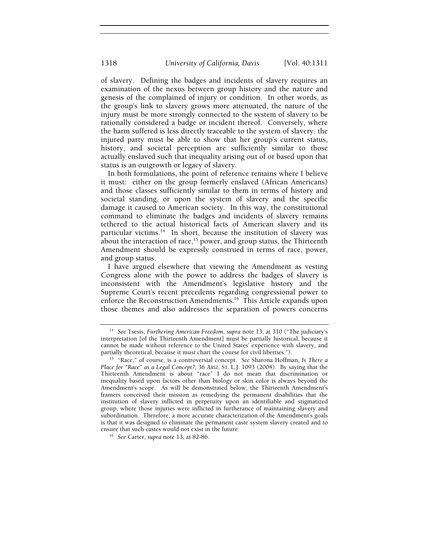of slavery. Defining the badges and incidents of slavery requires an examination of the nexus between group history and the nature and genesis of the complained of injury or condition. In other words, as the group's link to slavery grows more attenuated, the nature of the injury must be more strongly connected to the system of slavery to be rationally considered a badge or incident thereof. Conversely, where the harm suffered is less directly traceable to the system of slavery, the injured party must be able to show that her group's current status, history, and societal perception are sufficiently similar to those actually enslaved such that inequality arising out of or based upon that status is an outgrowth or legacy of slavery.

In both formulations, the point of reference remains where I believe it must: either on the group formerly enslaved (African Americans) and those classes sufficiently similar to them in terms of history and societal standing, or upon the system of slavery and the specific damage it caused to American society. In this way, the constitutional command to eliminate the badges and incidents of slavery remains tethered to the actual historical facts of American slavery and its particular victims.<sup>14</sup> In short, because the institution of slavery was about the interaction of race,<sup>15</sup> power, and group status, the Thirteenth Amendment should be expressly construed in terms of race, power, and group status.

I have argued elsewhere that viewing the Amendment as vesting Congress alone with the power to address the badges of slavery is inconsistent with the Amendment's legislative history and the Supreme Court's recent precedents regarding congressional power to enforce the Reconstruction Amendments.<sup>16</sup> This Article expands upon those themes and also addresses the separation of powers concerns

<sup>14</sup> *See* Tsesis, *Furthering American Freedom*, *supra* note 13, at 310 ("The judiciary's interpretation [of the Thirteenth Amendment] must be partially historical, because it cannot be made without reference to the United States' experience with slavery, and partially theoretical, because it must chart the course for civil liberties.").

<sup>&</sup>lt;sup>15</sup> "Race," of course, is a controversial concept. See Sharona Hoffman, *Is There a Place for "Race" as a Legal Concept?*, 36 ARIZ. ST. L.J. 1093 (2004). By saying that the Thirteenth Amendment is about "race" I do not mean that discrimination or inequality based upon factors other than biology or skin color is always beyond the Amendment's scope. As will be demonstrated below, the Thirteenth Amendment's framers conceived their mission as remedying the permanent disabilities that the institution of slavery inflicted in perpetuity upon an identifiable and stigmatized group, where those injuries were inflicted in furtherance of maintaining slavery and subordination. Therefore, a more accurate characterization of the Amendment's goals is that it was designed to eliminate the permanent caste system slavery created and to ensure that such castes would not exist in the future. 16 *See* Carter, *supra* note 13, at 82-86.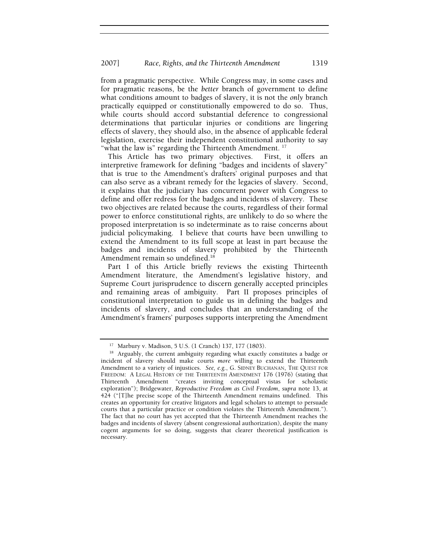from a pragmatic perspective. While Congress may, in some cases and for pragmatic reasons, be the *better* branch of government to define what conditions amount to badges of slavery, it is not the *only* branch practically equipped or constitutionally empowered to do so. Thus, while courts should accord substantial deference to congressional determinations that particular injuries or conditions are lingering effects of slavery, they should also, in the absence of applicable federal legislation, exercise their independent constitutional authority to say "what the law is" regarding the Thirteenth Amendment.  $^{17}$ 

This Article has two primary objectives. First, it offers an interpretive framework for defining "badges and incidents of slavery" that is true to the Amendment's drafters' original purposes and that can also serve as a vibrant remedy for the legacies of slavery. Second, it explains that the judiciary has concurrent power with Congress to define and offer redress for the badges and incidents of slavery. These two objectives are related because the courts, regardless of their formal power to enforce constitutional rights, are unlikely to do so where the proposed interpretation is so indeterminate as to raise concerns about judicial policymaking. I believe that courts have been unwilling to extend the Amendment to its full scope at least in part because the badges and incidents of slavery prohibited by the Thirteenth Amendment remain so undefined.<sup>18</sup>

Part I of this Article briefly reviews the existing Thirteenth Amendment literature, the Amendment's legislative history, and Supreme Court jurisprudence to discern generally accepted principles and remaining areas of ambiguity. Part II proposes principles of constitutional interpretation to guide us in defining the badges and incidents of slavery, and concludes that an understanding of the Amendment's framers' purposes supports interpreting the Amendment

<sup>17</sup> Marbury v. Madison, 5 U.S. (1 Cranch) 137, 177 (1803).

<sup>&</sup>lt;sup>18</sup> Arguably, the current ambiguity regarding what exactly constitutes a badge or incident of slavery should make courts *more* willing to extend the Thirteenth Amendment to a variety of injustices. *See, e.g.*, G. SIDNEY BUCHANAN, THE QUEST FOR FREEDOM: A LEGAL HISTORY OF THE THIRTEENTH AMENDMENT 176 (1976) (stating that Thirteenth Amendment "creates inviting conceptual vistas for scholastic exploration"); Bridgewater, *Reproductive Freedom as Civil Freedom*, *supra* note 13, at 424 ("[T]he precise scope of the Thirteenth Amendment remains undefined. This creates an opportunity for creative litigators and legal scholars to attempt to persuade courts that a particular practice or condition violates the Thirteenth Amendment."). The fact that no court has yet accepted that the Thirteenth Amendment reaches the badges and incidents of slavery (absent congressional authorization), despite the many cogent arguments for so doing, suggests that clearer theoretical justification is necessary.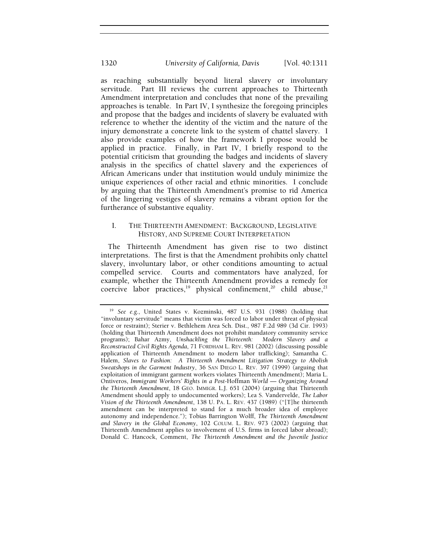as reaching substantially beyond literal slavery or involuntary servitude. Part III reviews the current approaches to Thirteenth Amendment interpretation and concludes that none of the prevailing approaches is tenable. In Part IV, I synthesize the foregoing principles and propose that the badges and incidents of slavery be evaluated with reference to whether the identity of the victim and the nature of the injury demonstrate a concrete link to the system of chattel slavery. I also provide examples of how the framework I propose would be applied in practice. Finally, in Part IV, I briefly respond to the potential criticism that grounding the badges and incidents of slavery analysis in the specifics of chattel slavery and the experiences of African Americans under that institution would unduly minimize the unique experiences of other racial and ethnic minorities. I conclude by arguing that the Thirteenth Amendment's promise to rid America of the lingering vestiges of slavery remains a vibrant option for the furtherance of substantive equality.

## I. THE THIRTEENTH AMENDMENT: BACKGROUND, LEGISLATIVE HISTORY, AND SUPREME COURT INTERPRETATION

The Thirteenth Amendment has given rise to two distinct interpretations. The first is that the Amendment prohibits only chattel slavery, involuntary labor, or other conditions amounting to actual compelled service. Courts and commentators have analyzed, for example*,* whether the Thirteenth Amendment provides a remedy for coercive labor practices,<sup>19</sup> physical confinement,<sup>20</sup> child abuse,<sup>21</sup>

<sup>19</sup> *See e.g.*, United States v. Kozminski, 487 U.S. 931 (1988) (holding that "involuntary servitude" means that victim was forced to labor under threat of physical force or restraint); Sterier v. Bethlehem Area Sch. Dist., 987 F.2d 989 (3d Cir. 1993) (holding that Thirteenth Amendment does not prohibit mandatory community service programs); Bahar Azmy, *Unshackling the Thirteenth: Modern Slavery and a Reconstructed Civil Rights Agenda*, 71 FORDHAM L. REV. 981 (2002) (discussing possible application of Thirteenth Amendment to modern labor trafficking); Samantha C. Halem, *Slaves to Fashion: A Thirteenth Amendment Litigation Strategy to Abolish Sweatshops in the Garment Industry*, 36 SAN DIEGO L. REV. 397 (1999) (arguing that exploitation of immigrant garment workers violates Thirteenth Amendment); Maria L. Ontiveros, *Immigrant Workers' Rights in a Post-*Hoffman *World — Organizing Around the Thirteenth Amendment*, 18 GEO. IMMIGR. L.J. 651 (2004) (arguing that Thirteenth Amendment should apply to undocumented workers); Lea S. Vandervelde, *The Labor Vision of the Thirteenth Amendment*, 138 U. PA. L. REV. 437 (1989) ("[T]he thirteenth amendment can be interpreted to stand for a much broader idea of employee autonomy and independence."); Tobias Barrington Wolff, *The Thirteenth Amendment and Slavery in the Global Economy*, 102 COLUM. L. REV. 973 (2002) (arguing that Thirteenth Amendment applies to involvement of U.S. firms in forced labor abroad); Donald C. Hancock, Comment, *The Thirteenth Amendment and the Juvenile Justice*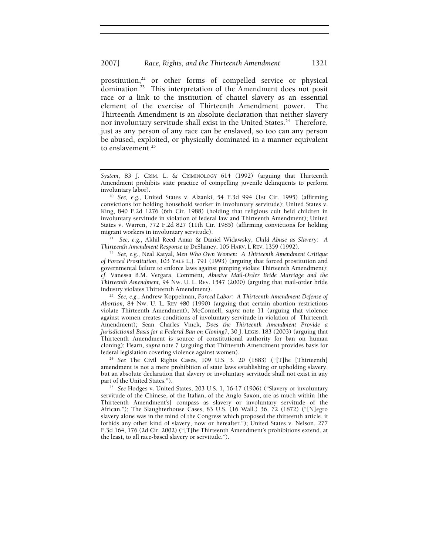## 2007] *Race, Rights, and the Thirteenth Amendment* 1321

prostitution,<sup>22</sup> or other forms of compelled service or physical domination.<sup>23</sup> This interpretation of the Amendment does not posit race or a link to the institution of chattel slavery as an essential element of the exercise of Thirteenth Amendment power. The Thirteenth Amendment is an absolute declaration that neither slavery nor involuntary servitude shall exist in the United States.<sup>24</sup> Therefore, just as any person of any race can be enslaved, so too can any person be abused, exploited, or physically dominated in a manner equivalent to enslavement.<sup>25</sup>

<sup>21</sup>*See, e.g.*, Akhil Reed Amar & Daniel Widawsky, *Child Abuse as Slavery: A* 

<sup>22</sup> See, e.g., Neal Katyal, Men Who Own Women: A Thirteenth Amendment Critique *of Forced Prostitution*, 103 YALE L.J. 791 (1993) (arguing that forced prostitution and governmental failure to enforce laws against pimping violate Thirteenth Amendment); *cf*. Vanessa B.M. Vergara, Comment, *Abusive Mail-Order Bride Marriage and the Thirteenth Amendment*, 94 NW. U. L. REV. 1547 (2000) (arguing that mail-order bride industry violates Thirteenth Amendment). 23 *See, e.g.*, Andrew Koppelman, *Forced Labor: A Thirteenth Amendment Defense of* 

*Abortion*, 84 NW. U. L. REV 480 (1990) (arguing that certain abortion restrictions violate Thirteenth Amendment); McConnell, *supra* note 11 (arguing that violence against women creates conditions of involuntary servitude in violation of Thirteenth Amendment); Sean Charles Vinck, *Does the Thirteenth Amendment Provide a Jurisdictional Basis for a Federal Ban on Cloning?*, 30 J. LEGIS. 183 (2003) (arguing that Thirteenth Amendment is source of constitutional authority for ban on human cloning); Hearn, *supra* note 7 (arguing that Thirteenth Amendment provides basis for federal legislation covering violence against women).

<sup>24</sup> *See* The Civil Rights Cases, 109 U.S. 3, 20 (1883) ("[T]he [Thirteenth] amendment is not a mere prohibition of state laws establishing or upholding slavery, but an absolute declaration that slavery or involuntary servitude shall not exist in any

<sup>25</sup> See Hodges v. United States, 203 U.S. 1, 16-17 (1906) ("Slavery or involuntary servitude of the Chinese, of the Italian, of the Anglo Saxon, are as much within [the Thirteenth Amendment's] compass as slavery or involuntary servitude of the African."); The Slaughterhouse Cases, 83 U.S. (16 Wall.) 36, 72 (1872) ("[N]egro slavery alone was in the mind of the Congress which proposed the thirteenth article, it forbids any other kind of slavery, now or hereafter."); United States v. Nelson, 277 F.3d 164, 176 (2d Cir. 2002) ("[T]he Thirteenth Amendment's prohibitions extend, at the least, to all race-based slavery or servitude.").

*System*, 83 J. CRIM. L. & CRIMINOLOGY 614 (1992) (arguing that Thirteenth Amendment prohibits state practice of compelling juvenile delinquents to perform involuntary labor).

<sup>20</sup> *See, e.g.*, United States v. Alzanki, 54 F.3d 994 (1st Cir. 1995) (affirming convictions for holding household worker in involuntary servitude); United States v. King, 840 F.2d 1276 (6th Cir. 1988) (holding that religious cult held children in involuntary servitude in violation of federal law and Thirteenth Amendment); United States v. Warren, 772 F.2d 827 (11th Cir. 1985) (affirming convictions for holding migrant workers in involuntary servitude).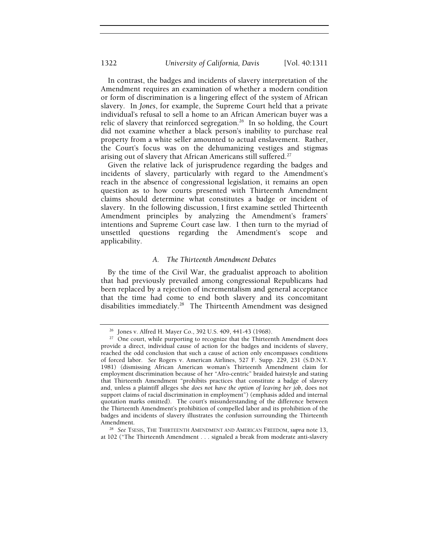In contrast, the badges and incidents of slavery interpretation of the Amendment requires an examination of whether a modern condition or form of discrimination is a lingering effect of the system of African slavery. In *Jones*, for example, the Supreme Court held that a private individual's refusal to sell a home to an African American buyer was a relic of slavery that reinforced segregation.<sup>26</sup> In so holding, the Court did not examine whether a black person's inability to purchase real property from a white seller amounted to actual enslavement. Rather, the Court's focus was on the dehumanizing vestiges and stigmas arising out of slavery that African Americans still suffered.<sup>27</sup>

Given the relative lack of jurisprudence regarding the badges and incidents of slavery, particularly with regard to the Amendment's reach in the absence of congressional legislation, it remains an open question as to how courts presented with Thirteenth Amendment claims should determine what constitutes a badge or incident of slavery. In the following discussion, I first examine settled Thirteenth Amendment principles by analyzing the Amendment's framers' intentions and Supreme Court case law. I then turn to the myriad of unsettled questions regarding the Amendment's scope and applicability.

#### *A. The Thirteenth Amendment Debates*

By the time of the Civil War, the gradualist approach to abolition that had previously prevailed among congressional Republicans had been replaced by a rejection of incrementalism and general acceptance that the time had come to end both slavery and its concomitant disabilities immediately.<sup>28</sup> The Thirteenth Amendment was designed

<sup>26</sup> Jones v. Alfred H. Mayer Co., 392 U.S. 409, 441-43 (1968).

 $27$  One court, while purporting to recognize that the Thirteenth Amendment does provide a direct, individual cause of action for the badges and incidents of slavery, reached the odd conclusion that such a cause of action only encompasses conditions of forced labor. *See* Rogers v. American Airlines, 527 F. Supp. 229, 231 (S.D.N.Y. 1981) (dismissing African American woman's Thirteenth Amendment claim for employment discrimination because of her "Afro-centric" braided hairstyle and stating that Thirteenth Amendment "prohibits practices that constitute a badge of slavery and, unless a plaintiff alleges she *does not have the option of leaving her job*, does not support claims of racial discrimination in employment") (emphasis added and internal quotation marks omitted). The court's misunderstanding of the difference between the Thirteenth Amendment's prohibition of compelled labor and its prohibition of the badges and incidents of slavery illustrates the confusion surrounding the Thirteenth Amendment.<br><sup>28</sup> See Tsesis, The Thirteenth Amendment and American Freedom, *supra* note 13,

at 102 ("The Thirteenth Amendment . . . signaled a break from moderate anti-slavery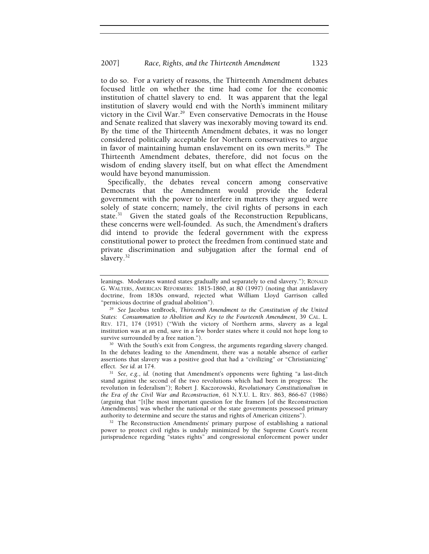to do so. For a variety of reasons, the Thirteenth Amendment debates focused little on whether the time had come for the economic institution of chattel slavery to end. It was apparent that the legal institution of slavery would end with the North's imminent military victory in the Civil War.<sup>29</sup> Even conservative Democrats in the House and Senate realized that slavery was inexorably moving toward its end. By the time of the Thirteenth Amendment debates, it was no longer considered politically acceptable for Northern conservatives to argue in favor of maintaining human enslavement on its own merits. $30$  The Thirteenth Amendment debates, therefore, did not focus on the wisdom of ending slavery itself, but on what effect the Amendment would have beyond manumission.

Specifically, the debates reveal concern among conservative Democrats that the Amendment would provide the federal government with the power to interfere in matters they argued were solely of state concern; namely, the civil rights of persons in each state.<sup>31</sup> Given the stated goals of the Reconstruction Republicans, these concerns were well-founded. As such, the Amendment's drafters did intend to provide the federal government with the express constitutional power to protect the freedmen from continued state and private discrimination and subjugation after the formal end of slavery.<sup>32</sup>

In the debates leading to the Amendment, there was a notable absence of earlier assertions that slavery was a positive good that had a "civilizing" or "Christianizing" effect. See id. at 174.

<sup>31</sup> See, e.g., *id.* (noting that Amendment's opponents were fighting "a last-ditch stand against the second of the two revolutions which had been in progress: The revolution in federalism"); Robert J. Kaczorowski, *Revolutionary Constitutionalism in the Era of the Civil War and Reconstruction*, 61 N.Y.U. L. REV. 863, 866-67 (1986) (arguing that "[t]he most important question for the framers [of the Reconstruction Amendments] was whether the national or the state governments possessed primary authority to determine and secure the status and rights of American citizens"). 32 The Reconstruction Amendments' primary purpose of establishing a national

power to protect civil rights is unduly minimized by the Supreme Court's recent jurisprudence regarding "states rights" and congressional enforcement power under

leanings. Moderates wanted states gradually and separately to end slavery."); RONALD G. WALTERS, AMERICAN REFORMERS: 1815-1860, at 80 (1997) (noting that antislavery doctrine, from 1830s onward, rejected what William Lloyd Garrison called "pernicious doctrine of gradual abolition"). 29 *See* Jacobus tenBroek, *Thirteenth Amendment to the Constitution of the United* 

*States*: *Consummation to Abolition and Key to the Fourteenth Amendment*, 39 CAL. L. REV. 171, 174 (1951) ("With the victory of Northern arms, slavery as a legal institution was at an end, save in a few border states where it could not hope long to survive surrounded by a free nation.").<br><sup>30</sup> With the South's exit from Congress, the arguments regarding slavery changed.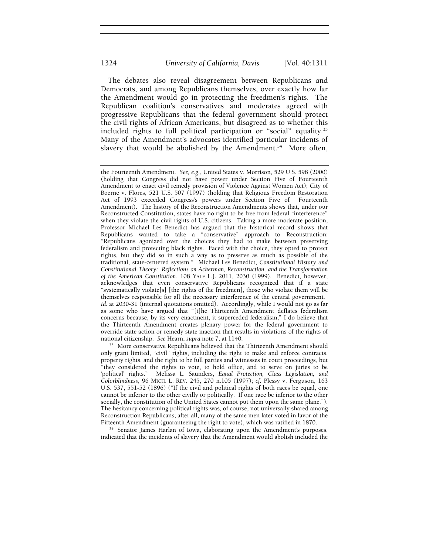The debates also reveal disagreement between Republicans and Democrats, and among Republicans themselves, over exactly how far the Amendment would go in protecting the freedmen's rights. The Republican coalition's conservatives and moderates agreed with progressive Republicans that the federal government should protect the civil rights of African Americans, but disagreed as to whether this included rights to full political participation or "social" equality.<sup>33</sup> Many of the Amendment's advocates identified particular incidents of slavery that would be abolished by the Amendment.<sup>34</sup> More often,

<sup>33</sup> More conservative Republicans believed that the Thirteenth Amendment should only grant limited, "civil" rights, including the right to make and enforce contracts, property rights, and the right to be full parties and witnesses in court proceedings, but "they considered the rights to vote, to hold office, and to serve on juries to be 'political' rights." Melissa L. Saunders, *Equal Protection, Class Legislation, and Colorblindness*, 96 MICH. L. REV. 245, 270 n.105 (1997); *cf.* Plessy v. Ferguson, 163 U.S. 537, 551-52 (1896) ("If the civil and political rights of both races be equal, one cannot be inferior to the other civilly or politically. If one race be inferior to the other socially, the constitution of the United States cannot put them upon the same plane."). The hesitancy concerning political rights was, of course, not universally shared among Reconstruction Republicans; after all, many of the same men later voted in favor of the

<sup>34</sup> Senator James Harlan of Iowa, elaborating upon the Amendment's purposes, indicated that the incidents of slavery that the Amendment would abolish included the

the Fourteenth Amendment. *See, e.g.*, United States v. Morrison, 529 U.S. 598 (2000) (holding that Congress did not have power under Section Five of Fourteenth Amendment to enact civil remedy provision of Violence Against Women Act); City of Boerne v. Flores, 521 U.S. 507 (1997) (holding that Religious Freedom Restoration Act of 1993 exceeded Congress's powers under Section Five of Fourteenth Amendment).The history of the Reconstruction Amendments shows that, under our Reconstructed Constitution, states have no right to be free from federal "interference" when they violate the civil rights of U.S. citizens. Taking a more moderate position, Professor Michael Les Benedict has argued that the historical record shows that Republicans wanted to take a "conservative" approach to Reconstruction: "Republicans agonized over the choices they had to make between preserving federalism and protecting black rights. Faced with the choice, they opted to protect rights, but they did so in such a way as to preserve as much as possible of the traditional, state-centered system." Michael Les Benedict, *Constitutional History and Constitutional Theory: Reflections on Ackerman, Reconstruction, and the Transformation of the American Constitution*, 108 YALE L.J. 2011, 2030 (1999). Benedict, however, acknowledges that even conservative Republicans recognized that if a state "systematically violate[s] [the rights of the freedmen], those who violate them will be themselves responsible for all the necessary interference of the central government." Id. at 2030-31 (internal quotations omitted). Accordingly, while I would not go as far as some who have argued that "[t]he Thirteenth Amendment deflates federalism concerns because, by its very enactment, it superceded federalism," I do believe that the Thirteenth Amendment creates plenary power for the federal government to override state action or remedy state inaction that results in violations of the rights of national citizenship. See Hearn, supra note 7, at 1140.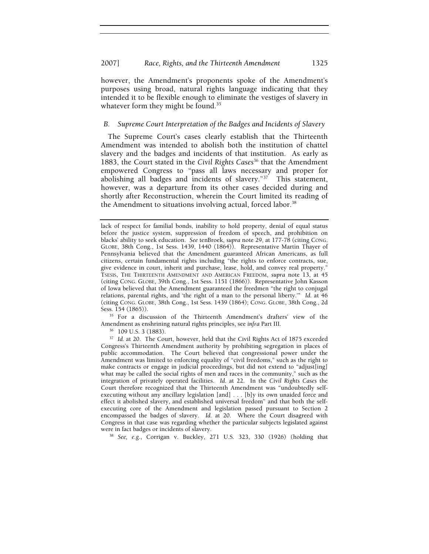however, the Amendment's proponents spoke of the Amendment's purposes using broad, natural rights language indicating that they intended it to be flexible enough to eliminate the vestiges of slavery in whatever form they might be found.<sup>35</sup>

## *B. Supreme Court Interpretation of the Badges and Incidents of Slavery*

The Supreme Court's cases clearly establish that the Thirteenth Amendment was intended to abolish both the institution of chattel slavery and the badges and incidents of that institution. As early as 1883, the Court stated in the *Civil Rights Cases*<sup>36</sup> that the Amendment empowered Congress to "pass all laws necessary and proper for abolishing all badges and incidents of slavery."37 This statement, however, was a departure from its other cases decided during and shortly after Reconstruction, wherein the Court limited its reading of the Amendment to situations involving actual, forced labor.<sup>38</sup>

<sup>35</sup> For a discussion of the Thirteenth Amendment's drafters' view of the Amendment as enshrining natural rights principles, see *infra* Part III*.*

36 109 U.S. 3 (1883).

<sup>37</sup> Id. at 20. The Court, however, held that the Civil Rights Act of 1875 exceeded Congress's Thirteenth Amendment authority by prohibiting segregation in places of public accommodation. The Court believed that congressional power under the Amendment was limited to enforcing equality of "civil freedoms," such as the right to make contracts or engage in judicial proceedings, but did not extend to "adjust[ing] what may be called the social rights of men and races in the community," such as the integration of privately operated facilities. *Id.* at 22. In the *Civil Rights Cases* the Court therefore recognized that the Thirteenth Amendment was "undoubtedly selfexecuting without any ancillary legislation [and] . . . [b]y its own unaided force and effect it abolished slavery, and established universal freedom" and that both the selfexecuting core of the Amendment and legislation passed pursuant to Section 2 encompassed the badges of slavery. *Id.* at 20. Where the Court disagreed with Congress in that case was regarding whether the particular subjects legislated against were in fact badges or incidents of slavery.

38 *See, e.g.*, Corrigan v. Buckley, 271 U.S. 323, 330 (1926) (holding that

lack of respect for familial bonds, inability to hold property, denial of equal status before the justice system, suppression of freedom of speech, and prohibition on blacks' ability to seek education. *See* tenBroek, *supra* note 29, at 177-78 (citing CONG. GLOBE, 38th Cong., 1st Sess. 1439, 1440 (1864)). Representative Martin Thayer of Pennsylvania believed that the Amendment guaranteed African Americans, as full citizens, certain fundamental rights including "the rights to enforce contracts, sue, give evidence in court, inherit and purchase, lease, hold, and convey real property." TSESIS, THE THIRTEENTH AMENDMENT AND AMERICAN FREEDOM, *supra* note 13, at 45 (citing CONG. GLOBE, 39th Cong., 1st Sess. 1151 (1866)). Representative John Kasson of Iowa believed that the Amendment guaranteed the freedmen "the right to conjugal relations, parental rights, and 'the right of a man to the personal liberty.'" *Id.* at 46 (citing CONG. GLOBE, 38th Cong., 1st Sess. 1439 (1864); CONG. GLOBE, 38th Cong., 2d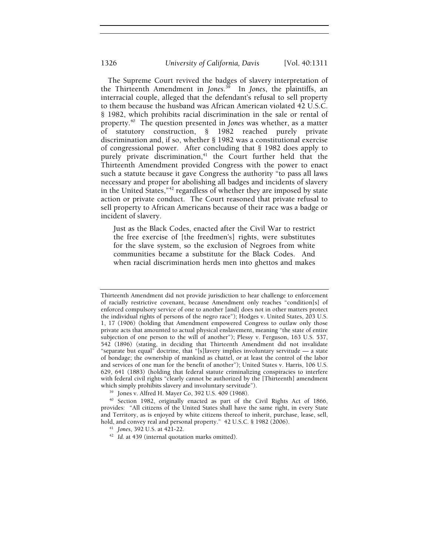The Supreme Court revived the badges of slavery interpretation of the Thirteenth Amendment in *Jones*. 39 In *Jones*, the plaintiffs, an interracial couple, alleged that the defendant's refusal to sell property to them because the husband was African American violated 42 U.S.C. § 1982, which prohibits racial discrimination in the sale or rental of property.40 The question presented in *Jones* was whether, as a matter of statutory construction, § 1982 reached purely private discrimination and, if so, whether § 1982 was a constitutional exercise of congressional power. After concluding that § 1982 does apply to purely private discrimination, $41$  the Court further held that the Thirteenth Amendment provided Congress with the power to enact such a statute because it gave Congress the authority "to pass all laws necessary and proper for abolishing all badges and incidents of slavery in the United States,"42 regardless of whether they are imposed by state action or private conduct. The Court reasoned that private refusal to sell property to African Americans because of their race was a badge or incident of slavery.

Just as the Black Codes, enacted after the Civil War to restrict the free exercise of [the freedmen's] rights, were substitutes for the slave system, so the exclusion of Negroes from white communities became a substitute for the Black Codes. And when racial discrimination herds men into ghettos and makes

Thirteenth Amendment did not provide jurisdiction to hear challenge to enforcement of racially restrictive covenant, because Amendment only reaches "condition[s] of enforced compulsory service of one to another [and] does not in other matters protect the individual rights of persons of the negro race"); Hodges v. United States, 203 U.S. 1, 17 (1906) (holding that Amendment empowered Congress to outlaw only those private acts that amounted to actual physical enslavement, meaning "the state of entire subjection of one person to the will of another"); Plessy v. Ferguson, 163 U.S. 537, 542 (1896) (stating, in deciding that Thirteenth Amendment did not invalidate "separate but equal" doctrine, that "[s]lavery implies involuntary servitude — a state of bondage; the ownership of mankind as chattel, or at least the control of the labor and services of one man for the benefit of another"); United States v. Harris, 106 U.S. 629, 641 (1883) (holding that federal statute criminalizing conspiracies to interfere with federal civil rights "clearly cannot be authorized by the [Thirteenth] amendment which simply prohibits slavery and involuntary servitude"). 39 Jones v. Alfred H. Mayer Co, 392 U.S. 409 (1968).

<sup>40</sup> Section 1982, originally enacted as part of the Civil Rights Act of 1866, provides: "All citizens of the United States shall have the same right, in every State and Territory, as is enjoyed by white citizens thereof to inherit, purchase, lease, sell, hold, and convey real and personal property." 42 U.S.C. § 1982 (2006). 41 *Jones*, 392 U.S. at 421-22. 42 *Id.* at 439 (internal quotation marks omitted).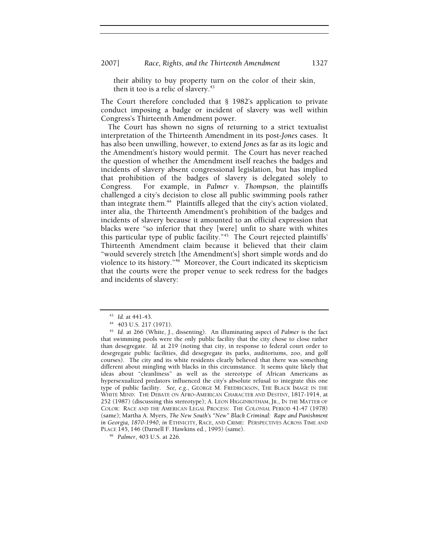their ability to buy property turn on the color of their skin, then it too is a relic of slavery. $43$ 

The Court therefore concluded that § 1982's application to private conduct imposing a badge or incident of slavery was well within Congress's Thirteenth Amendment power.

The Court has shown no signs of returning to a strict textualist interpretation of the Thirteenth Amendment in its post-*Jones* cases. It has also been unwilling, however, to extend *Jones* as far as its logic and the Amendment's history would permit. The Court has never reached the question of whether the Amendment itself reaches the badges and incidents of slavery absent congressional legislation, but has implied that prohibition of the badges of slavery is delegated solely to Congress. For example, in *Palmer v. Thompson*, the plaintiffs challenged a city's decision to close all public swimming pools rather than integrate them.<sup>44</sup> Plaintiffs alleged that the city's action violated, inter alia, the Thirteenth Amendment's prohibition of the badges and incidents of slavery because it amounted to an official expression that blacks were "so inferior that they [were] unfit to share with whites this particular type of public facility."45 The Court rejected plaintiffs' Thirteenth Amendment claim because it believed that their claim "would severely stretch [the Amendment's] short simple words and do violence to its history."46 Moreover, the Court indicated its skepticism that the courts were the proper venue to seek redress for the badges and incidents of slavery:

<sup>43</sup> *Id.* at 441-43. 44 403 U.S. 217 (1971).

<sup>45</sup> *Id.* at 266 (White, J., dissenting). An illuminating aspect of *Palmer* is the fact that swimming pools were the only public facility that the city chose to close rather than desegregate. *Id.* at 219 (noting that city, in response to federal court order to desegregate public facilities, did desegregate its parks, auditoriums, zoo, and golf courses). The city and its white residents clearly believed that there was something different about mingling with blacks in this circumstance. It seems quite likely that ideas about "cleanliness" as well as the stereotype of African Americans as hypersexualized predators influenced the city's absolute refusal to integrate this one type of public facility. *See, e.g.*, GEORGE M. FREDRICKSON, THE BLACK IMAGE IN THE WHITE MIND: THE DEBATE ON AFRO-AMERICAN CHARACTER AND DESTINY, 1817-1914, at 252 (1987) (discussing this stereotype); A. LEON HIGGINBOTHAM, JR., IN THE MATTER OF COLOR: RACE AND THE AMERICAN LEGAL PROCESS: THE COLONIAL PERIOD 41-47 (1978) (same); Martha A. Myers, *The New South's "New" Black Criminal: Rape and Punishment in Georgia, 1870-1940*, *in* ETHNICITY, RACE, AND CRIME: PERSPECTIVES ACROSS TIME AND PLACE 145, 146 (Darnell F. Hawkins ed., 1995) (same). 46 *Palmer*, 403 U.S. at 226.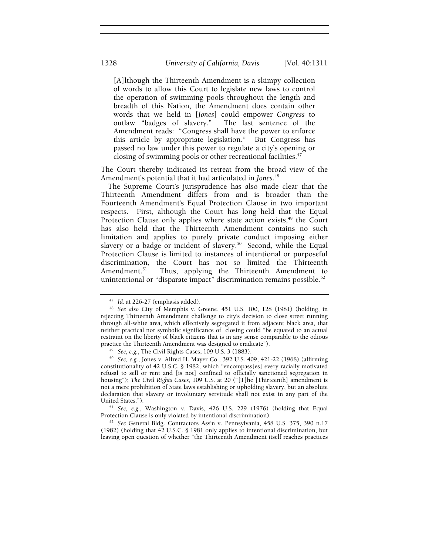[A]lthough the Thirteenth Amendment is a skimpy collection of words to allow this Court to legislate new laws to control the operation of swimming pools throughout the length and breadth of this Nation, the Amendment does contain other words that we held in [*Jones*] could empower *Congress* to outlaw "badges of slavery." The last sentence of the Amendment reads: "Congress shall have the power to enforce this article by appropriate legislation." But Congress has passed no law under this power to regulate a city's opening or closing of swimming pools or other recreational facilities.<sup>47</sup>

The Court thereby indicated its retreat from the broad view of the Amendment's potential that it had articulated in *Jones*. 48

The Supreme Court's jurisprudence has also made clear that the Thirteenth Amendment differs from and is broader than the Fourteenth Amendment's Equal Protection Clause in two important respects. First, although the Court has long held that the Equal Protection Clause only applies where state action exists, $49$  the Court has also held that the Thirteenth Amendment contains no such limitation and applies to purely private conduct imposing either slavery or a badge or incident of slavery.<sup>50</sup> Second, while the Equal Protection Clause is limited to instances of intentional or purposeful discrimination, the Court has not so limited the Thirteenth Amendment.<sup>51</sup> Thus, applying the Thirteenth Amendment to unintentional or "disparate impact" discrimination remains possible. $52$ 

United States.").<br><sup>51</sup> *See, e.g.*, Washington v. Davis, 426 U.S. 229 (1976) (holding that Equal Protection Clause is only violated by intentional discrimination).

<sup>52</sup> See General Bldg. Contractors Ass'n v. Pennsylvania, 458 U.S. 375, 390 n.17 (1982) (holding that 42 U.S.C. § 1981 only applies to intentional discrimination, but leaving open question of whether "the Thirteenth Amendment itself reaches practices

<sup>47</sup> *Id.* at 226-27 (emphasis added). 48 *See also* City of Memphis v. Greene, 451 U.S. 100, 128 (1981) (holding, in rejecting Thirteenth Amendment challenge to city's decision to close street running through all-white area, which effectively segregated it from adjacent black area, that neither practical nor symbolic significance of closing could "be equated to an actual restraint on the liberty of black citizens that is in any sense comparable to the odious practice the Thirteenth Amendment was designed to eradicate").

<sup>49</sup> *See, e.g.*, The Civil Rights Cases, 109 U.S. 3 (1883). 50 *See, e.g.*, Jones v. Alfred H. Mayer Co., 392 U.S. 409, 421-22 (1968) (affirming constitutionality of 42 U.S.C. § 1982, which "encompass[es] every racially motivated refusal to sell or rent and [is not] confined to officially sanctioned segregation in housing"); *The Civil Rights Cases*, 109 U.S. at 20 ("[T]he [Thirteenth] amendment is not a mere prohibition of State laws establishing or upholding slavery, but an absolute declaration that slavery or involuntary servitude shall not exist in any part of the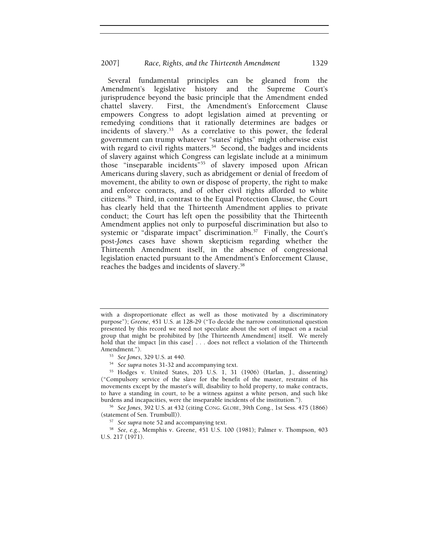Several fundamental principles can be gleaned from the Amendment's legislative history and the Supreme Court's jurisprudence beyond the basic principle that the Amendment ended chattel slavery. First, the Amendment's Enforcement Clause empowers Congress to adopt legislation aimed at preventing or remedying conditions that it rationally determines are badges or incidents of slavery.<sup>53</sup> As a correlative to this power, the federal government can trump whatever "states' rights" might otherwise exist with regard to civil rights matters.<sup>54</sup> Second, the badges and incidents of slavery against which Congress can legislate include at a minimum those "inseparable incidents"55 of slavery imposed upon African Americans during slavery, such as abridgement or denial of freedom of movement, the ability to own or dispose of property, the right to make and enforce contracts, and of other civil rights afforded to white citizens.56 Third, in contrast to the Equal Protection Clause, the Court has clearly held that the Thirteenth Amendment applies to private conduct; the Court has left open the possibility that the Thirteenth Amendment applies not only to purposeful discrimination but also to systemic or "disparate impact" discrimination.<sup>57</sup> Finally, the Court's post-*Jones* cases have shown skepticism regarding whether the Thirteenth Amendment itself, in the absence of congressional legislation enacted pursuant to the Amendment's Enforcement Clause, reaches the badges and incidents of slavery.58

with a disproportionate effect as well as those motivated by a discriminatory purpose"); *Greene*, 451 U.S. at 128-29 ("To decide the narrow constitutional question presented by this record we need not speculate about the sort of impact on a racial group that might be prohibited by [the Thirteenth Amendment] itself. We merely hold that the impact [in this case] . . . does not reflect a violation of the Thirteenth Amendment."). 53 *See Jones*, 329 U.S. at 440. 54 *See supra* notes 31-32 and accompanying text.

<sup>55</sup> Hodges v. United States, 203 U.S. 1, 31 (1906) (Harlan, J., dissenting) ("Compulsory service of the slave for the benefit of the master, restraint of his movements except by the master's will, disability to hold property, to make contracts, to have a standing in court, to be a witness against a white person, and such like

burdens and incapacities, were the inseparable incidents of the institution."). 56 *See Jones*, 392 U.S. at 432 (citing CONG. GLOBE, 39th Cong., 1st Sess. 475 (1866)

<sup>&</sup>lt;sup>57</sup> See supra note 52 and accompanying text.<br><sup>58</sup> See, e.g., Memphis v. Greene, 451 U.S. 100 (1981); Palmer v. Thompson, 403 U.S. 217 (1971).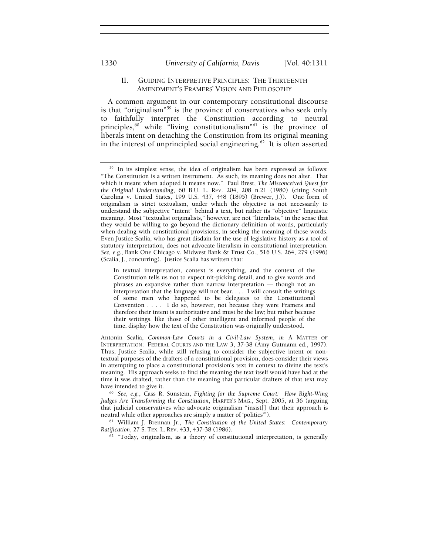## II. GUIDING INTERPRETIVE PRINCIPLES: THE THIRTEENTH AMENDMENT'S FRAMERS' VISION AND PHILOSOPHY

A common argument in our contemporary constitutional discourse is that "originalism"59 is the province of conservatives who seek only to faithfully interpret the Constitution according to neutral principles,<sup>60</sup> while "living constitutionalism"<sup>61</sup> is the province of liberals intent on detaching the Constitution from its original meaning in the interest of unprincipled social engineering. $62$  It is often asserted

<sup>61</sup> William J. Brennan Jr., *The Constitution of the United States: Contemporary Ratification*, 27 S. Tex. L. Rev. 433, 437-38 (1986).

<sup>62</sup> "Today, originalism, as a theory of constitutional interpretation, is generally

<sup>&</sup>lt;sup>59</sup> In its simplest sense, the idea of originalism has been expressed as follows: "The Constitution is a written instrument. As such, its meaning does not alter. That which it meant when adopted it means now." Paul Brest, *The Misconceived Quest for the Original Understanding*, 60 B.U. L. REV. 204, 208 n.21 (1980) (citing South Carolina v. United States, 199 U.S. 437, 448 (1895) (Brewer, J.)). One form of originalism is strict textualism, under which the objective is not necessarily to understand the subjective "intent" behind a text, but rather its "objective" linguistic meaning. Most "textualist originalists," however, are not "literalists," in the sense that they would be willing to go beyond the dictionary definition of words, particularly when dealing with constitutional provisions, in seeking the meaning of those words. Even Justice Scalia, who has great disdain for the use of legislative history as a tool of statutory interpretation, does not advocate literalism in constitutional interpretation. *See, e.g.*, Bank One Chicago v. Midwest Bank & Trust Co*.*, 516 U.S. 264, 279 (1996) (Scalia, J., concurring). Justice Scalia has written that:

In textual interpretation, context is everything, and the context of the Constitution tells us not to expect nit-picking detail, and to give words and phrases an expansive rather than narrow interpretation — though not an interpretation that the language will not bear. . . . I will consult the writings of some men who happened to be delegates to the Constitutional Convention . . . . I do so, however, not because they were Framers and therefore their intent is authoritative and must be the law; but rather because their writings, like those of other intelligent and informed people of the time, display how the text of the Constitution was originally understood.

Antonin Scalia, *Common-Law Courts in a Civil-Law System*, *in* A MATTER OF INTERPRETATION: FEDERAL COURTS AND THE LAW 3, 37-38 (Amy Gutmann ed., 1997). Thus, Justice Scalia, while still refusing to consider the subjective intent or nontextual purposes of the drafters of a constitutional provision, does consider their views in attempting to place a constitutional provision's text in context to divine the text's meaning. His approach seeks to find the meaning the text itself would have had at the time it was drafted, rather than the meaning that particular drafters of that text may have intended to give it.

<sup>60</sup> *See*, *e.g.*, Cass R. Sunstein, *Fighting for the Supreme Court: How Right-Wing Judges Are Transforming the Constitution*, HARPER'S MAG., Sept. 2005, at 36 (arguing that judicial conservatives who advocate originalism "insist[] that their approach is neutral while other approaches are simply a matter of 'politics'").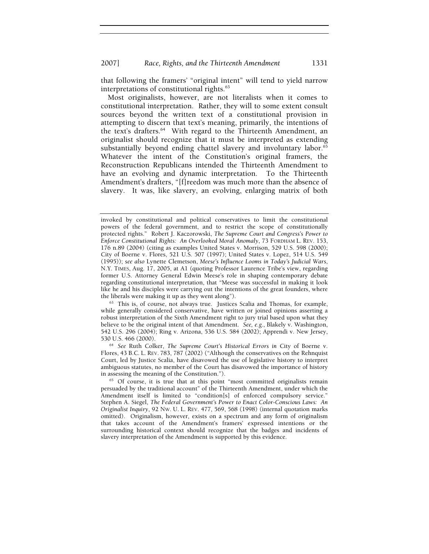that following the framers' "original intent" will tend to yield narrow interpretations of constitutional rights.<sup>63</sup>

Most originalists, however, are not literalists when it comes to constitutional interpretation. Rather, they will to some extent consult sources beyond the written text of a constitutional provision in attempting to discern that text's meaning, primarily, the intentions of the text's drafters.<sup>64</sup> With regard to the Thirteenth Amendment, an originalist should recognize that it must be interpreted as extending substantially beyond ending chattel slavery and involuntary labor.<sup>65</sup> Whatever the intent of the Constitution's original framers, the Reconstruction Republicans intended the Thirteenth Amendment to have an evolving and dynamic interpretation. To the Thirteenth Amendment's drafters, "[f]reedom was much more than the absence of slavery. It was, like slavery, an evolving, enlarging matrix of both

invoked by constitutional and political conservatives to limit the constitutional powers of the federal government, and to restrict the scope of constitutionally protected rights." Robert J. Kaczorowski, *The Supreme Court and Congress's Power to Enforce Constitutional Rights: An Overlooked Moral Anomaly*, 73 FORDHAM L. REV. 153, 176 n.89 (2004) (citing as examples United States v. Morrison, 529 U.S. 598 (2000); City of Boerne v. Flores, 521 U.S. 507 (1997); United States v. Lopez, 514 U.S. 549 (1995)); *see also* Lynette Clemetson, *Meese's Influence Looms in Today's Judicial Wars*, N.Y. TIMES, Aug. 17, 2005, at A1 (quoting Professor Laurence Tribe's view, regarding former U.S. Attorney General Edwin Meese's role in shaping contemporary debate regarding constitutional interpretation, that "Meese was successful in making it look like he and his disciples were carrying out the intentions of the great founders, where the liberals were making it up as they went along").

<sup>&</sup>lt;sup>63</sup> This is, of course, not always true. Justices Scalia and Thomas, for example, while generally considered conservative, have written or joined opinions asserting a robust interpretation of the Sixth Amendment right to jury trial based upon what they believe to be the original intent of that Amendment. *See, e.g.*, Blakely v. Washington, 542 U.S. 296 (2004); Ring v. Arizona, 536 U.S. 584 (2002); Apprendi v. New Jersey,

<sup>&</sup>lt;sup>64</sup> See Ruth Colker, *The Supreme Court's Historical Errors in City of Boerne v.* Flores, 43 B.C. L. REV. 783, 787 (2002) ("Although the conservatives on the Rehnquist Court, led by Justice Scalia, have disavowed the use of legislative history to interpret ambiguous statutes, no member of the Court has disavowed the importance of history in assessing the meaning of the Constitution.").<br><sup>65</sup> Of course, it is true that at this point "most committed originalists remain

persuaded by the traditional account" of the Thirteenth Amendment, under which the Amendment itself is limited to "condition[s] of enforced compulsory service." Stephen A. Siegel, *The Federal Government's Power to Enact Color-Conscious Laws: An Originalist Inquiry*, 92 NW. U. L. REV. 477, 569, 568 (1998) (internal quotation marks omitted). Originalism, however, exists on a spectrum and any form of originalism that takes account of the Amendment's framers' expressed intentions or the surrounding historical context should recognize that the badges and incidents of slavery interpretation of the Amendment is supported by this evidence.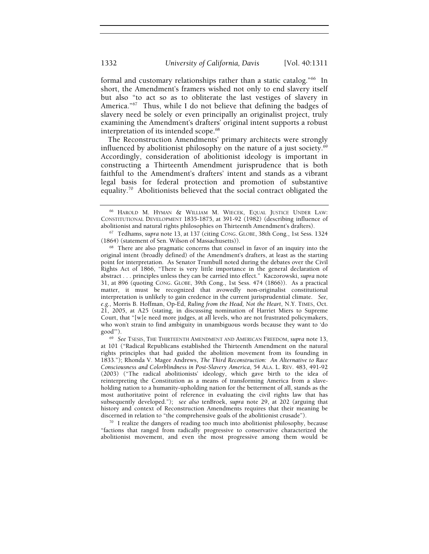formal and customary relationships rather than a static catalog."<sup>66</sup> In short, the Amendment's framers wished not only to end slavery itself but also "to act so as to obliterate the last vestiges of slavery in America."67 Thus, while I do not believe that defining the badges of slavery need be solely or even principally an originalist project, truly examining the Amendment's drafters' original intent supports a robust interpretation of its intended scope.<sup>68</sup>

The Reconstruction Amendments' primary architects were strongly influenced by abolitionist philosophy on the nature of a just society. $69$ Accordingly, consideration of abolitionist ideology is important in constructing a Thirteenth Amendment jurisprudence that is both faithful to the Amendment's drafters' intent and stands as a vibrant legal basis for federal protection and promotion of substantive equality.70 Abolitionists believed that the social contract obligated the

<sup>66</sup> HAROLD M. HYMAN & WILLIAM M. WIECEK, EQUAL JUSTICE UNDER LAW: CONSTITUTIONAL DEVELOPMENT 1835-1875, at 391-92 (1982) (describing influence of abolitionist and natural rights philosophies on Thirteenth Amendment's drafters). 67 Tedhams, *supra* note 13, at 137 (citing CONG. GLOBE, 38th Cong., 1st Sess. 1324

<sup>(1864) (</sup>statement of Sen. Wilson of Massachusetts)). 68 There are also pragmatic concerns that counsel in favor of an inquiry into the

original intent (broadly defined) of the Amendment's drafters, at least as the starting point for interpretation. As Senator Trumbull noted during the debates over the Civil Rights Act of 1866, "There is very little importance in the general declaration of abstract . . . principles unless they can be carried into effect." Kaczorowski, *supra* note 31, at 896 (quoting CONG. GLOBE, 39th Cong., 1st Sess. 474 (1866)). As a practical matter, it must be recognized that avowedly non-originalist constitutional interpretation is unlikely to gain credence in the current jurisprudential climate. *See, e.g.*, Morris B. Hoffman, Op-Ed, *Ruling from the Head, Not the Heart*, N.Y. TIMES, Oct. 21, 2005, at A25 (stating, in discussing nomination of Harriet Miers to Supreme Court, that "[w]e need more judges, at all levels, who are not frustrated policymakers, who won't strain to find ambiguity in unambiguous words because they want to 'do good'").

<sup>&</sup>lt;sup>69</sup> See TSESIS, THE THIRTEENTH AMENDMENT AND AMERICAN FREEDOM, *supra* note 13, at 101 ("Radical Republicans established the Thirteenth Amendment on the natural rights principles that had guided the abolition movement from its founding in 1833."); Rhonda V. Magee Andrews, *The Third Reconstruction: An Alternative to Race Consciousness and Colorblindness in Post-Slavery America*, 54 ALA. L. REV. 483, 491-92 (2003) ("The radical abolitionists' ideology, which gave birth to the idea of reinterpreting the Constitution as a means of transforming America from a slaveholding nation to a humanity-upholding nation for the betterment of all, stands as the most authoritative point of reference in evaluating the civil rights law that has subsequently developed."); *see also* tenBroek, *supra* note 29, at 202 (arguing that history and context of Reconstruction Amendments requires that their meaning be discerned in relation to "the comprehensive goals of the abolitionist crusade"). 70 I realize the dangers of reading too much into abolitionist philosophy, because

<sup>&</sup>quot;factions that ranged from radically progressive to conservative characterized the abolitionist movement, and even the most progressive among them would be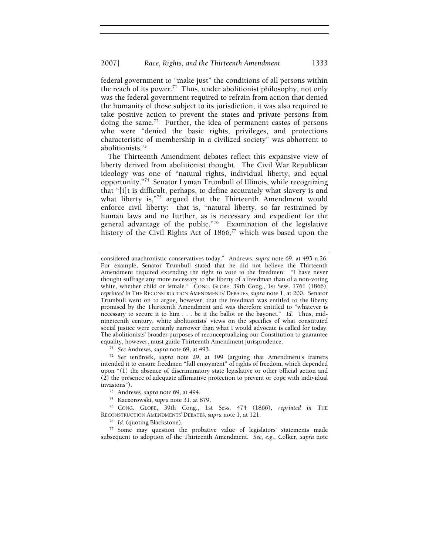federal government to "make just" the conditions of all persons within the reach of its power.<sup>71</sup> Thus, under abolitionist philosophy, not only was the federal government required to refrain from action that denied the humanity of those subject to its jurisdiction, it was also required to take positive action to prevent the states and private persons from doing the same.<sup>72</sup> Further, the idea of permanent castes of persons who were "denied the basic rights, privileges, and protections characteristic of membership in a civilized society" was abhorrent to abolitionists.73

The Thirteenth Amendment debates reflect this expansive view of liberty derived from abolitionist thought. The Civil War Republican ideology was one of "natural rights, individual liberty, and equal opportunity."74 Senator Lyman Trumbull of Illinois, while recognizing that "[i]t is difficult, perhaps, to define accurately what slavery is and what liberty is,"<sup>75</sup> argued that the Thirteenth Amendment would enforce civil liberty: that is, "natural liberty, so far restrained by human laws and no further, as is necessary and expedient for the general advantage of the public."76 Examination of the legislative history of the Civil Rights Act of  $1866$ ,<sup>77</sup> which was based upon the

<sup>71</sup> *See* Andrews, *supra* note 69, at 493. 72 *See* tenBroek, *supra* note 29, at 199 (arguing that Amendment's framers intended it to ensure freedmen "full enjoyment" of rights of freedom, which depended upon "(1) the absence of discriminatory state legislative or other official action and (2) the presence of adequate affirmative protection to prevent or cope with individual invasions"). 73 Andrews, *supra* note 69, at 494.

<sup>74</sup> Kaczorowski, *supra* note 31, at 879.<br><sup>75</sup> CONG. GLOBE, 39th Cong., 1st Sess. 474 (1866), *reprinted in* THE RECONSTRUCTION AMENDMENTS' DEBATES, *supra* note 1, at 121.

<sup>76</sup> Id. (quoting Blackstone).<br><sup>77</sup> Some may question the probative value of legislators' statements made subsequent to adoption of the Thirteenth Amendment. *See, e.g.*, Colker, *supra* note

considered anachronistic conservatives today." Andrews, *supra* note 69, at 493 n.26. For example, Senator Trumbull stated that he did not believe the Thirteenth Amendment required extending the right to vote to the freedmen: "I have never thought suffrage any more necessary to the liberty of a freedman than of a non-voting white, whether child or female." CONG. GLOBE, 39th Cong., 1st Sess. 1761 (1866), *reprinted in* THE RECONSTRUCTION AMENDMENTS' DEBATES, *supra* note 1, at 200.Senator Trumbull went on to argue, however, that the freedman was entitled to the liberty promised by the Thirteenth Amendment and was therefore entitled to "whatever is necessary to secure it to him . . . be it the ballot or the bayonet." *Id.* Thus, midnineteenth century, white abolitionists' views on the specifics of what constituted social justice were certainly narrower than what I would advocate is called for today. The abolitionists' broader purposes of reconceptualizing our Constitution to guarantee equality, however, must guide Thirteenth Amendment jurisprudence.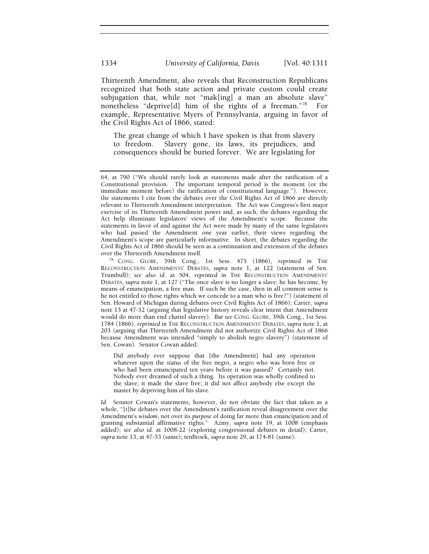Thirteenth Amendment, also reveals that Reconstruction Republicans recognized that both state action and private custom could create subjugation that, while not "mak[ing] a man an absolute slave" nonetheless "deprive[d] him of the rights of a freeman."78 For example, Representative Myers of Pennsylvania, arguing in favor of the Civil Rights Act of 1866, stated:

The great change of which I have spoken is that from slavery to freedom. Slavery gone, its laws, its prejudices, and consequences should be buried forever. We are legislating for

Did anybody ever suppose that [the Amendment] had any operation whatever upon the *status* of the free negro, a negro who was born free or who had been emancipated ten years before it was passed? Certainly not. Nobody ever dreamed of such a thing. Its operation was wholly confined to the slave; it made the slave free; it did not affect anybody else except the master by depriving him of his slave.

*Id.* Senator Cowan's statements, however, do not obviate the fact that taken as a whole, "[t]he debates over the Amendment's ratification reveal disagreement over the Amendment's *wisdom*, not over its *purpose* of doing far more than emancipation and of granting substantial affirmative rights." Azmy, *supra* note 19, at 1008 (emphasis added); *see also id.* at 1008-22 (exploring congressional debates in detail); Carter, *supra* note 13, at 47-53 (same); tenBroek, *supra* note 29, at 174-81 (same).

<sup>64,</sup> at 790 ("We should rarely look at statements made after the ratification of a Constitutional provision. The important temporal period is the moment (or the immediate moment before) the ratification of constitutional language."). However, the statements I cite from the debates over the Civil Rights Act of 1866 are directly relevant to Thirteenth Amendment interpretation. The Act was Congress's first major exercise of its Thirteenth Amendment power and, as such, the debates regarding the Act help illuminate legislators' views of the Amendment's scope. Because the statements in favor of and against the Act were made by many of the same legislators who had passed the Amendment one year earlier, their views regarding the Amendment's scope are particularly informative. In short, the debates regarding the Civil Rights Act of 1866 should be seen as a continuation and extension of the debates

<sup>&</sup>lt;sup>78</sup> CONG. GLOBE, 39th Cong., 1st Sess. 475 (1866), *reprinted in* THE RECONSTRUCTION AMENDMENTS' DEBATES, *supra* note 1, at 122 (statement of Sen. Trumbull); *see also id.* at 504, *reprinted in* THE RECONSTRUCTION AMENDMENTS' DEBATES, *supra* note 1, at 127 ("The once slave is no longer a slave; he has become, by means of emancipation, a free man. If such be the case, then in all common sense is he not entitled to those rights which we concede to a man who is free?") (statement of Sen. Howard of Michigan during debates over Civil Rights Act of 1866); Carter, *supra* note 13 at 47-52 (arguing that legislative history reveals clear intent that Amendment would do more than end chattel slavery). *But see* CONG. GLOBE, 39th Cong., 1st Sess. 1784 (1866), *reprinted in* THE RECONSTRUCTION AMENDMENTS' DEBATES, *supra* note 1, at 203 (arguing that Thirteenth Amendment did not authorize Civil Rights Act of 1866 because Amendment was intended "simply to abolish negro slavery") (statement of Sen. Cowan). Senator Cowan added: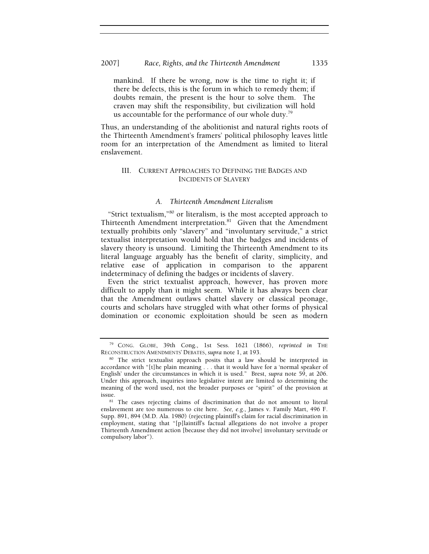## 2007] *Race, Rights, and the Thirteenth Amendment* 1335

mankind. If there be wrong, now is the time to right it; if there be defects, this is the forum in which to remedy them; if doubts remain, the present is the hour to solve them. The craven may shift the responsibility, but civilization will hold us accountable for the performance of our whole duty.<sup>79</sup>

Thus, an understanding of the abolitionist and natural rights roots of the Thirteenth Amendment's framers' political philosophy leaves little room for an interpretation of the Amendment as limited to literal enslavement.

## III. CURRENT APPROACHES TO DEFINING THE BADGES AND INCIDENTS OF SLAVERY

## *A. Thirteenth Amendment Literalism*

"Strict textualism,"80 or literalism, is the most accepted approach to Thirteenth Amendment interpretation.<sup>81</sup> Given that the Amendment textually prohibits only "slavery" and "involuntary servitude," a strict textualist interpretation would hold that the badges and incidents of slavery theory is unsound. Limiting the Thirteenth Amendment to its literal language arguably has the benefit of clarity, simplicity, and relative ease of application in comparison to the apparent indeterminacy of defining the badges or incidents of slavery.

Even the strict textualist approach, however, has proven more difficult to apply than it might seem. While it has always been clear that the Amendment outlaws chattel slavery or classical peonage, courts and scholars have struggled with what other forms of physical domination or economic exploitation should be seen as modern

<sup>79</sup> CONG. GLOBE, 39th Cong., 1st Sess. 1621 (1866), *reprinted in* THE RECONSTRUCTION AMENDMENTS' DEBATES, *supra* note 1, at 193.<br><sup>80</sup> The strict textualist approach posits that a law should be interpreted in

accordance with "[t]he plain meaning . . . that it would have for a 'normal speaker of English' under the circumstances in which it is used." Brest, *supra* note 59, at 206. Under this approach, inquiries into legislative intent are limited to determining the meaning of the word used, not the broader purposes or "spirit" of the provision at issue. 81 The cases rejecting claims of discrimination that do not amount to literal

enslavement are too numerous to cite here. *See, e.g.*, James v. Family Mart, 496 F. Supp. 891, 894 (M.D. Ala. 1980) (rejecting plaintiff's claim for racial discrimination in employment, stating that "[p]laintiff's factual allegations do not involve a proper Thirteenth Amendment action [because they did not involve] involuntary servitude or compulsory labor").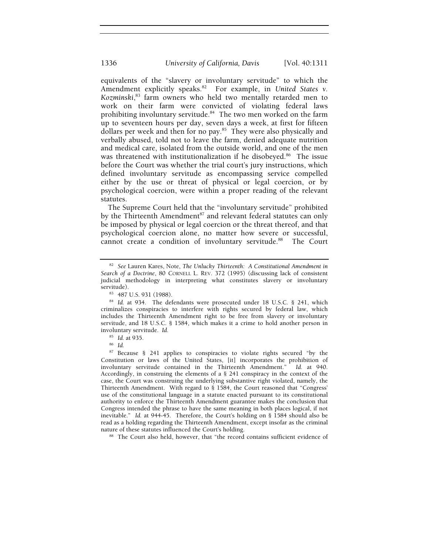equivalents of the "slavery or involuntary servitude" to which the Amendment explicitly speaks.<sup>82</sup> For example, in *United States v. Kozminski*, 83 farm owners who held two mentally retarded men to work on their farm were convicted of violating federal laws prohibiting involuntary servitude.<sup>84</sup> The two men worked on the farm up to seventeen hours per day, seven days a week, at first for fifteen dollars per week and then for no pay.<sup>85</sup> They were also physically and verbally abused, told not to leave the farm, denied adequate nutrition and medical care, isolated from the outside world, and one of the men was threatened with institutionalization if he disobeyed.<sup>86</sup> The issue before the Court was whether the trial court's jury instructions, which defined involuntary servitude as encompassing service compelled either by the use or threat of physical or legal coercion, or by psychological coercion, were within a proper reading of the relevant statutes.

The Supreme Court held that the "involuntary servitude" prohibited by the Thirteenth Amendment $87$  and relevant federal statutes can only be imposed by physical or legal coercion or the threat thereof, and that psychological coercion alone, no matter how severe or successful, cannot create a condition of involuntary servitude.<sup>88</sup> The Court

<sup>82</sup> *See* Lauren Kares, Note, *The Unlucky Thirteenth: A Constitutional Amendment in Search of a Doctrine*, 80 CORNELL L. REV. 372 (1995) (discussing lack of consistent judicial methodology in interpreting what constitutes slavery or involuntary

<sup>83 487</sup> U.S. 931 (1988).

<sup>&</sup>lt;sup>84</sup> Id. at 934. The defendants were prosecuted under 18 U.S.C. § 241, which criminalizes conspiracies to interfere with rights secured by federal law, which includes the Thirteenth Amendment right to be free from slavery or involuntary servitude, and 18 U.S.C. § 1584, which makes it a crime to hold another person in involuntary servitude. *Id.*

<sup>85</sup> *Id.* at 935. 86 *Id.*

<sup>87</sup> Because § 241 applies to conspiracies to violate rights secured "by the Constitution or laws of the United States, [it] incorporates the prohibition of involuntary servitude contained in the Thirteenth Amendment." *Id.* at 940. Accordingly, in construing the elements of a § 241 conspiracy in the context of the case, the Court was construing the underlying substantive right violated, namely, the Thirteenth Amendment. With regard to § 1584, the Court reasoned that "Congress' use of the constitutional language in a statute enacted pursuant to its constitutional authority to enforce the Thirteenth Amendment guarantee makes the conclusion that Congress intended the phrase to have the same meaning in both places logical, if not inevitable." *Id.* at 944-45. Therefore, the Court's holding on § 1584 should also be read as a holding regarding the Thirteenth Amendment, except insofar as the criminal nature of these statutes influenced the Court's holding.<br><sup>88</sup> The Court also held, however, that "the record contains sufficient evidence of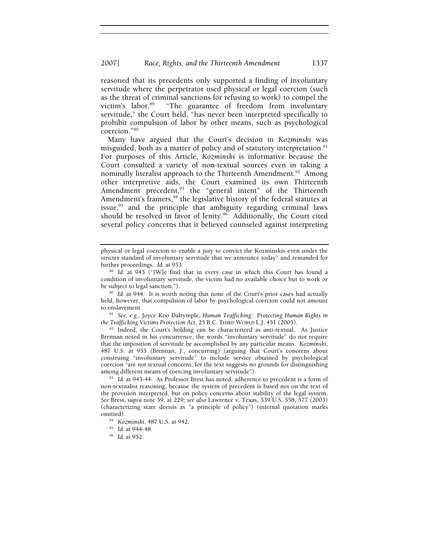reasoned that its precedents only supported a finding of involuntary servitude where the perpetrator used physical or legal coercion (such as the threat of criminal sanctions for refusing to work) to compel the victim's labor.<sup>89</sup> "The guarantee of freedom from involuntary servitude," the Court held, "has never been interpreted specifically to prohibit compulsion of labor by other means, such as psychological coercion."90

Many have argued that the Court's decision in *Kozminski* was misguided, both as a matter of policy and of statutory interpretation.<sup>91</sup> For purposes of this Article, *Kozminski* is informative because the Court consulted a variety of non-textual sources even in taking a nominally literalist approach to the Thirteenth Amendment.<sup>92</sup> Among other interpretive aids, the Court examined its own Thirteenth Amendment precedent,<sup>93</sup> the "general intent" of the Thirteenth Amendment's framers,<sup>94</sup> the legislative history of the federal statutes at issue,<sup>95</sup> and the principle that ambiguity regarding criminal laws should be resolved in favor of lenity. $96$  Additionally, the Court cited several policy concerns that it believed counseled against interpreting

to enslavement. 91 *See, e.g.*, Joyce Koo Dalrymple, *Human Trafficking: Protecting Human Rights in the Trafficking Victims Protection Act*, 25 B.C. THIRD WORLD L.J. 451 (2005).

92 Indeed, the Court's holding can be characterized as *anti*-textual. As Justice Brennan noted in his concurrence, the words "involuntary servitude" do not require that the imposition of servitude be accomplished by any particular means. *Kozminski*, 487 U.S. at 955 (Brennan, J., concurring) (arguing that Court's concerns about construing "involuntary servitude" to include service obtained by psychological coercion "are not textual concerns, for the text suggests no grounds for distinguishing among different means of coercing involuntary servitude").

<sup>93</sup> Id. at 943-44. As Professor Brest has noted, adherence to precedent is a form of non-textualist reasoning, because the system of precedent is based not on the text of the provision interpreted, but on policy concerns about stability of the legal system. *See* Brest, s*upra* note 59, at 229; *see also* Lawrence v. Texas, 539 U.S. 558, 577 (2003) (characterizing stare decisis as "a principle of policy") (internal quotation marks omitted).

physical or legal coercion to enable a jury to convict the Kozminskis even under the stricter standard of involuntary servitude that we announce today" and remanded for further proceedings. Id. at 953.

<sup>&</sup>lt;sup>89</sup> Id. at 943 ("[W]e find that in every case in which this Court has found a condition of involuntary servitude, the victim had no available choice but to work or

<sup>&</sup>lt;sup>90</sup> Id. at 944. It is worth noting that none of the Court's prior cases had actually held, however, that compulsion of labor by psychological coercion could not amount

<sup>94</sup> *Kozminski*, 487 U.S. at 942. 95 *Id.* at 944-48. 96 *Id.* at 952.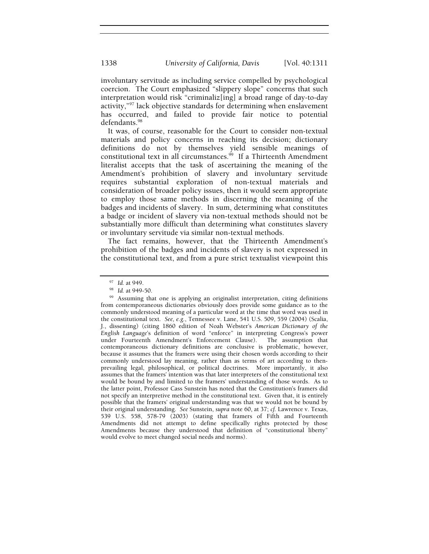involuntary servitude as including service compelled by psychological coercion. The Court emphasized "slippery slope" concerns that such interpretation would risk "criminaliz[ing] a broad range of day-to-day activity,"97 lack objective standards for determining when enslavement has occurred, and failed to provide fair notice to potential defendants.<sup>98</sup>

It was, of course, reasonable for the Court to consider non-textual materials and policy concerns in reaching its decision; dictionary definitions do not by themselves yield sensible meanings of constitutional text in all circumstances.<sup>99</sup> If a Thirteenth Amendment literalist accepts that the task of ascertaining the meaning of the Amendment's prohibition of slavery and involuntary servitude requires substantial exploration of non-textual materials and consideration of broader policy issues, then it would seem appropriate to employ those same methods in discerning the meaning of the badges and incidents of slavery. In sum, determining what constitutes a badge or incident of slavery via non-textual methods should not be substantially more difficult than determining what constitutes slavery or involuntary servitude via similar non-textual methods.

The fact remains, however, that the Thirteenth Amendment's prohibition of the badges and incidents of slavery is not expressed in the constitutional text, and from a pure strict textualist viewpoint this

<sup>97</sup> *Id.* at 949. 98 *Id.* at 949-50. 99 Assuming that one is applying an originalist interpretation, citing definitions from contemporaneous dictionaries obviously does provide some guidance as to the commonly understood meaning of a particular word at the time that word was used in the constitutional text. *See, e.g.*, Tennessee v. Lane, 541 U.S. 509, 559 (2004) (Scalia, J., dissenting) (citing 1860 edition of Noah Webster's *American Dictionary of the English Language*'s definition of word "enforce" in interpreting Congress's power under Fourteenth Amendment's Enforcement Clause). The assumption that contemporaneous dictionary definitions are conclusive is problematic, however, because it assumes that the framers were using their chosen words according to their commonly understood lay meaning, rather than as terms of art according to thenprevailing legal, philosophical, or political doctrines. More importantly, it also assumes that the framers' intention was that later interpreters of the constitutional text would be bound by and limited to the framers' understanding of those words. As to the latter point, Professor Cass Sunstein has noted that the Constitution's framers did not specify an interpretive method in the constitutional text. Given that, it is entirely possible that the framers' original understanding was that we would not be bound by their original understanding.*See* Sunstein, *supra* note 60, at 37; *cf.* Lawrence v. Texas, 539 U.S. 558, 578-79 (2003) (stating that framers of Fifth and Fourteenth Amendments did not attempt to define specifically rights protected by those Amendments because they understood that definition of "constitutional liberty" would evolve to meet changed social needs and norms).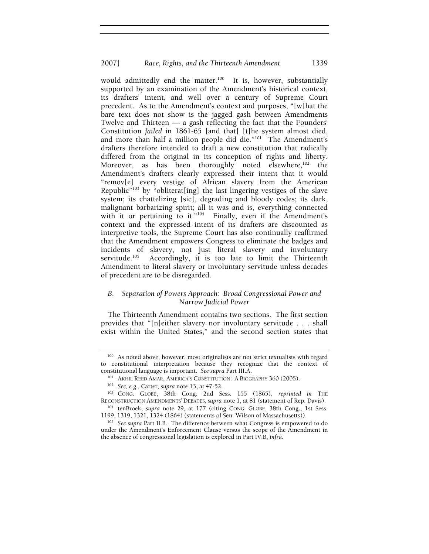would admittedly end the matter.<sup>100</sup> It is, however, substantially supported by an examination of the Amendment's historical context, its drafters' intent, and well over a century of Supreme Court precedent. As to the Amendment's context and purposes, "[w]hat the bare text does not show is the jagged gash between Amendments Twelve and Thirteen — a gash reflecting the fact that the Founders' Constitution *failed* in 1861-65 [and that] [t]he system almost died, and more than half a million people did die."<sup>101</sup> The Amendment's drafters therefore intended to draft a new constitution that radically differed from the original in its conception of rights and liberty. Moreover, as has been thoroughly noted elsewhere, $102$  the Amendment's drafters clearly expressed their intent that it would "remov[e] every vestige of African slavery from the American Republic"103 by "obliterat[ing] the last lingering vestiges of the slave system; its chattelizing [sic], degrading and bloody codes; its dark, malignant barbarizing spirit; all it was and is, everything connected with it or pertaining to it."<sup>104</sup> Finally, even if the Amendment's context and the expressed intent of its drafters are discounted as interpretive tools, the Supreme Court has also continually reaffirmed that the Amendment empowers Congress to eliminate the badges and incidents of slavery, not just literal slavery and involuntary servitude.<sup>105</sup> Accordingly, it is too late to limit the Thirteenth Amendment to literal slavery or involuntary servitude unless decades of precedent are to be disregarded.

## *B. Separation of Powers Approach: Broad Congressional Power and Narrow Judicial Power*

The Thirteenth Amendment contains two sections. The first section provides that "[n]either slavery nor involuntary servitude . . . shall exist within the United States," and the second section states that

<sup>&</sup>lt;sup>100</sup> As noted above, however, most originalists are not strict textualists with regard to constitutional interpretation because they recognize that the context of constitutional language is important. *See supra* Part III.A. 101 AKHIL REED AMAR, AMERICA'S CONSTITUTION: A BIOGRAPHY 360 (2005).

<sup>102</sup> *See, e.g.*, Carter, *supra* note 13, at 47-52. 103 CONG. GLOBE, 38th Cong. 2nd Sess. 155 (1865), *reprinted in* THE

RECONSTRUCTION AMENDMENTS' DEBATES, *supra* note 1, at 81 (statement of Rep. Davis).<br><sup>104</sup> tenBroek, *supra* note 29, at 177 (citing CONG. GLOBE, 38th Cong., 1st Sess.<br>1199, 1319, 1321, 1324 (1864) (statements of Sen. Wils

<sup>&</sup>lt;sup>105</sup> See supra Part II.B. The difference between what Congress is empowered to do under the Amendment's Enforcement Clause versus the scope of the Amendment in the absence of congressional legislation is explored in Part IV.B, *infra*.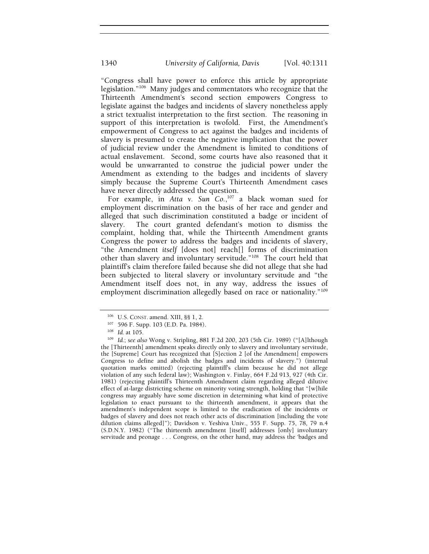"Congress shall have power to enforce this article by appropriate legislation."106 Many judges and commentators who recognize that the Thirteenth Amendment's second section empowers Congress to legislate against the badges and incidents of slavery nonetheless apply a strict textualist interpretation to the first section. The reasoning in support of this interpretation is twofold. First, the Amendment's empowerment of Congress to act against the badges and incidents of slavery is presumed to create the negative implication that the power of judicial review under the Amendment is limited to conditions of actual enslavement. Second, some courts have also reasoned that it would be unwarranted to construe the judicial power under the Amendment as extending to the badges and incidents of slavery simply because the Supreme Court's Thirteenth Amendment cases have never directly addressed the question.

For example, in *Atta v. Sun Co.*,<sup>107</sup> a black woman sued for employment discrimination on the basis of her race and gender and alleged that such discrimination constituted a badge or incident of slavery. The court granted defendant's motion to dismiss the complaint, holding that, while the Thirteenth Amendment grants Congress the power to address the badges and incidents of slavery, "the Amendment *itself* [does not] reach[] forms of discrimination other than slavery and involuntary servitude."108 The court held that plaintiff's claim therefore failed because she did not allege that she had been subjected to literal slavery or involuntary servitude and "the Amendment itself does not, in any way, address the issues of employment discrimination allegedly based on race or nationality."<sup>109</sup>

<sup>106</sup> U.S. CONST. amend. XIII, §§ 1, 2.<br><sup>107</sup> 596 F. Supp. 103 (E.D. Pa. 1984).<br><sup>108</sup> *Id.*; *see also* Wong v. Stripling, 881 F.2d 200, 203 (5th Cir. 1989) ("[A]lthough the [Thirteenth] amendment speaks directly only to slavery and involuntary servitude, the [Supreme] Court has recognized that [S]ection 2 [of the Amendment] empowers Congress to define and abolish the badges and incidents of slavery.") (internal quotation marks omitted) (rejecting plaintiff's claim because he did not allege violation of any such federal law); Washington v. Finlay, 664 F.2d 913, 927 (4th Cir. 1981) (rejecting plaintiff's Thirteenth Amendment claim regarding alleged dilutive effect of at-large districting scheme on minority voting strength, holding that "[w]hile congress may arguably have some discretion in determining what kind of protective legislation to enact pursuant to the thirteenth amendment, it appears that the amendment's independent scope is limited to the eradication of the incidents or badges of slavery and does not reach other acts of discrimination [including the vote dilution claims alleged]"); Davidson v. Yeshiva Univ., 555 F. Supp. 75, 78, 79 n.4 (S.D.N.Y. 1982) ("The thirteenth amendment [itself] addresses [only] involuntary servitude and peonage . . . Congress, on the other hand, may address the 'badges and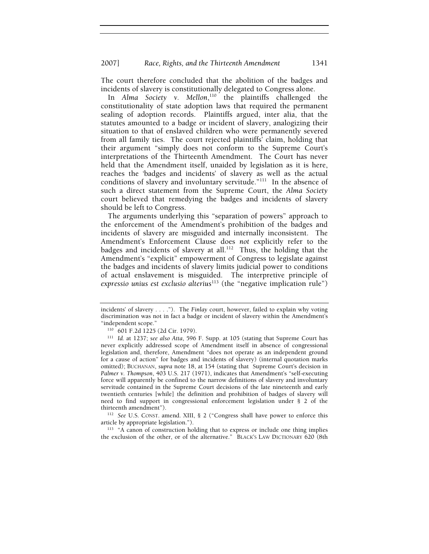The court therefore concluded that the abolition of the badges and incidents of slavery is constitutionally delegated to Congress alone.

In *Alma Society v. Mellon*,<sup>110</sup> the plaintiffs challenged the constitutionality of state adoption laws that required the permanent sealing of adoption records. Plaintiffs argued, inter alia, that the statutes amounted to a badge or incident of slavery, analogizing their situation to that of enslaved children who were permanently severed from all family ties. The court rejected plaintiffs' claim, holding that their argument "simply does not conform to the Supreme Court's interpretations of the Thirteenth Amendment. The Court has never held that the Amendment itself, unaided by legislation as it is here, reaches the 'badges and incidents' of slavery as well as the actual conditions of slavery and involuntary servitude."<sup>111</sup> In the absence of such a direct statement from the Supreme Court, the *Alma Society* court believed that remedying the badges and incidents of slavery should be left to Congress.

The arguments underlying this "separation of powers" approach to the enforcement of the Amendment's prohibition of the badges and incidents of slavery are misguided and internally inconsistent. The Amendment's Enforcement Clause does *not* explicitly refer to the badges and incidents of slavery at all.<sup>112</sup> Thus, the holding that the Amendment's "explicit" empowerment of Congress to legislate against the badges and incidents of slavery limits judicial power to conditions of actual enslavement is misguided. The interpretive principle of *expressio unius est exclusio alterius*113 (the "negative implication rule")

<sup>112</sup> See U.S. CONST. amend. XIII, § 2 ("Congress shall have power to enforce this article by appropriate legislation.").

<sup>113</sup> "A canon of construction holding that to express or include one thing implies the exclusion of the other, or of the alternative." BLACK'S LAW DICTIONARY 620 (8th

incidents' of slavery . . . ."). The *Finlay* court, however, failed to explain why voting discrimination was not in fact a badge or incident of slavery within the Amendment's "independent scope."<br><sup>110</sup> 601 F.2d 1225 (2d Cir. 1979).

<sup>&</sup>lt;sup>111</sup> Id. at 1237; see also Atta, 596 F. Supp. at 105 (stating that Supreme Court has never explicitly addressed scope of Amendment itself in absence of congressional legislation and, therefore, Amendment "does not operate as an independent ground for a cause of action" for badges and incidents of slavery) (internal quotation marks omitted); BUCHANAN, *supra* note 18, at 154 (stating that Supreme Court's decision in *Palmer v. Thompson*, 403 U.S. 217 (1971), indicates that Amendment's "self-executing force will apparently be confined to the narrow definitions of slavery and involuntary servitude contained in the Supreme Court decisions of the late nineteenth and early twentieth centuries [while] the definition and prohibition of badges of slavery will need to find support in congressional enforcement legislation under § 2 of the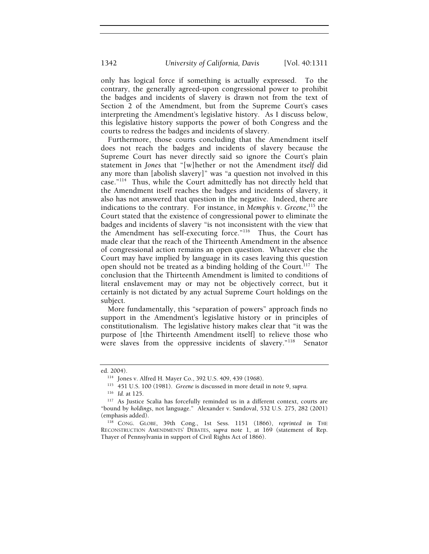only has logical force if something is actually expressed. To the contrary, the generally agreed-upon congressional power to prohibit the badges and incidents of slavery is drawn not from the text of Section 2 of the Amendment, but from the Supreme Court's cases interpreting the Amendment's legislative history. As I discuss below, this legislative history supports the power of both Congress and the courts to redress the badges and incidents of slavery.

Furthermore, those courts concluding that the Amendment itself does not reach the badges and incidents of slavery because the Supreme Court has never directly said so ignore the Court's plain statement in *Jones* that "[w]hether or not the Amendment *itself* did any more than [abolish slavery]" was "a question not involved in this case."114 Thus, while the Court admittedly has not directly held that the Amendment itself reaches the badges and incidents of slavery, it also has not answered that question in the negative. Indeed, there are indications to the contrary. For instance, in *Memphis v. Greene*, 115 the Court stated that the existence of congressional power to eliminate the badges and incidents of slavery "is not inconsistent with the view that the Amendment has self-executing force."116 Thus, the Court has made clear that the reach of the Thirteenth Amendment in the absence of congressional action remains an open question. Whatever else the Court may have implied by language in its cases leaving this question open should not be treated as a binding holding of the Court.<sup>117</sup> The conclusion that the Thirteenth Amendment is limited to conditions of literal enslavement may or may not be objectively correct, but it certainly is not dictated by any actual Supreme Court holdings on the subject.

More fundamentally, this "separation of powers" approach finds no support in the Amendment's legislative history or in principles of constitutionalism. The legislative history makes clear that "it was the purpose of [the Thirteenth Amendment itself] to relieve those who were slaves from the oppressive incidents of slavery."<sup>118</sup> Senator

ed. 2004).<br><sup>114</sup> Jones v. Alfred H. Mayer Co., 392 U.S. 409, 439 (1968).<br><sup>115</sup> 451 U.S. 100 (1981). *Greene* is discussed in more detail in note 9, *supra*.<br><sup>116</sup> Id. at 125.

<sup>&</sup>lt;sup>117</sup> As Justice Scalia has forcefully reminded us in a different context, courts are "bound by *holdings*, not language." Alexander v. Sandoval, 532 U.S. 275, 282 (2001) (emphasis added). 118 CONG. GLOBE, 39th Cong., 1st Sess. 1151 (1866), *reprinted in* THE

RECONSTRUCTION AMENDMENTS' DEBATES, *supra* note 1, at 169 (statement of Rep. Thayer of Pennsylvania in support of Civil Rights Act of 1866).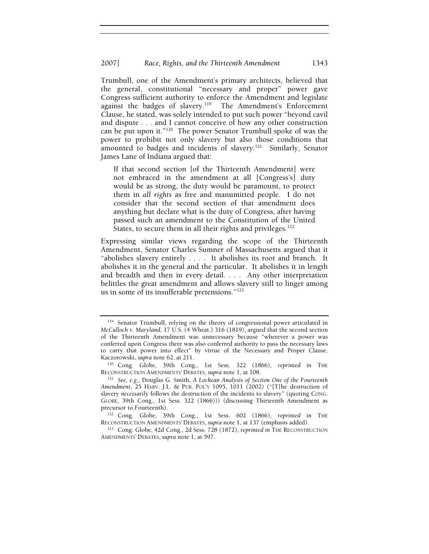Trumbull, one of the Amendment's primary architects, believed that the general, constitutional "necessary and proper" power gave Congress sufficient authority to enforce the Amendment and legislate against the badges of slavery.<sup>119</sup> The Amendment's Enforcement Clause, he stated, was solely intended to put such power "beyond cavil and dispute . . . and I cannot conceive of how any other construction can be put upon it."120 The power Senator Trumbull spoke of was the power to prohibit not only slavery but also those conditions that amounted to badges and incidents of slavery.<sup>121</sup> Similarly, Senator James Lane of Indiana argued that:

If that second section [of the Thirteenth Amendment] were not embraced in the amendment at all [Congress's] duty would be as strong, the duty would be paramount, to protect them in *all rights* as free and manumitted people. I do not consider that the second section of that amendment does anything but declare what is the duty of Congress, after having passed such an amendment to the Constitution of the United States, to secure them in all their rights and privileges.<sup>122</sup>

Expressing similar views regarding the scope of the Thirteenth Amendment, Senator Charles Sumner of Massachusetts argued that it "abolishes slavery entirely . . . . It abolishes its root and branch. It abolishes it in the general and the particular. It abolishes it in length and breadth and then in every detail. . . . Any other interpretation belittles the great amendment and allows slavery still to linger among us in some of its insufferable pretensions."123

<sup>119</sup> Senator Trumbull, relying on the theory of congressional power articulated in *McCulloch v. Maryland*, 17 U.S. (4 Wheat.) 316 (1819), argued that the second section of the Thirteenth Amendment was unnecessary because "wherever a power was conferred upon Congress there was also conferred authority to pass the necessary laws to carry that power into effect" by virtue of the Necessary and Proper Clause.

Kaczorowski, *supra* note 62, at 211.<br><sup>120</sup> Cong. Globe, 39th Cong., 1st Sess. 322 (1866), *reprinted in* THE RECONSTRUCTION AMENDMENTS' DEBATES, *supra* note 1, at 108.

<sup>&</sup>lt;sup>121</sup> See, e.g., Douglas G. Smith, *A Lockean Analysis of Section One of the Fourteenth Amendment*, 25 HARV. J.L. & PUB. POL'Y 1095, 1011 (2002) ("[T]he destruction of slavery *necessarily* follows the destruction of the incidents to slavery" (quoting CONG. GLOBE, 39th Cong., 1st Sess. 322 (1866))) (discussing Thirteenth Amendment as precursor to Fourteenth).<br><sup>122</sup> Cong. Globe, 39th Cong., 1st Sess. 602 (1866), *reprinted in* THE

RECONSTRUCTION AMENDMENTS' DEBATES, *supra* note 1, at 137 (emphasis added).<br><sup>123</sup> Cong. Globe, 42d Cong., 2d Sess. 728 (1872), *reprinted in* THE RECONSTRUCTION

AMENDMENTS' DEBATES, *supra* note 1, at 597.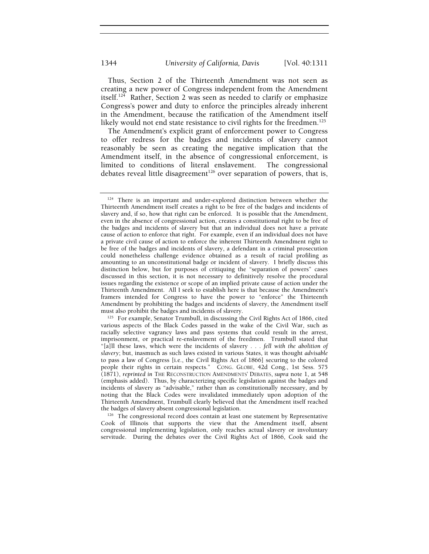Thus, Section 2 of the Thirteenth Amendment was not seen as creating a new power of Congress independent from the Amendment itself.124 Rather, Section 2 was seen as needed to clarify or emphasize Congress's power and duty to enforce the principles already inherent in the Amendment, because the ratification of the Amendment itself likely would not end state resistance to civil rights for the freedmen.<sup>125</sup>

The Amendment's explicit grant of enforcement power to Congress to offer redress for the badges and incidents of slavery cannot reasonably be seen as creating the negative implication that the Amendment itself, in the absence of congressional enforcement, is limited to conditions of literal enslavement. The congressional debates reveal little disagreement<sup>126</sup> over separation of powers, that is,

<sup>&</sup>lt;sup>124</sup> There is an important and under-explored distinction between whether the Thirteenth Amendment itself creates a right to be free of the badges and incidents of slavery and, if so, how that right can be enforced. It is possible that the Amendment, even in the absence of congressional action, creates a constitutional right to be free of the badges and incidents of slavery but that an individual does not have a private cause of action to enforce that right. For example, even if an individual does not have a private civil cause of action to enforce the inherent Thirteenth Amendment right to be free of the badges and incidents of slavery, a defendant in a criminal prosecution could nonetheless challenge evidence obtained as a result of racial profiling as amounting to an unconstitutional badge or incident of slavery. I briefly discuss this distinction below, but for purposes of critiquing the "separation of powers" cases discussed in this section, it is not necessary to definitively resolve the procedural issues regarding the existence or scope of an implied private cause of action under the Thirteenth Amendment. All I seek to establish here is that because the Amendment's framers intended for Congress to have the power to "enforce" the Thirteenth Amendment by prohibiting the badges and incidents of slavery, the Amendment itself

 $125$  For example, Senator Trumbull, in discussing the Civil Rights Act of 1866, cited various aspects of the Black Codes passed in the wake of the Civil War, such as racially selective vagrancy laws and pass systems that could result in the arrest, imprisonment, or practical re-enslavement of the freedmen. Trumbull stated that "[a]ll these laws, which were the incidents of slavery . . . *fell with the abolition of slavery*; but, inasmuch as such laws existed in various States, it was thought *advisable* to pass a law of Congress [i.e., the Civil Rights Act of 1866] securing to the colored people their rights in certain respects." CONG. GLOBE, 42d Cong., 1st Sess. 575 (1871), *reprinted in* THE RECONSTRUCTION AMENDMENTS' DEBATES, *supra* note 1, at 548 (emphasis added).Thus, by characterizing specific legislation against the badges and incidents of slavery as "advisable," rather than as constitutionally necessary, and by noting that the Black Codes were invalidated immediately upon adoption of the Thirteenth Amendment, Trumbull clearly believed that the Amendment itself reached

the badges of slavery absent congressional legislation.<br><sup>126</sup> The congressional record does contain at least one statement by Representative Cook of Illinois that supports the view that the Amendment itself, absent congressional implementing legislation, only reaches actual slavery or involuntary servitude. During the debates over the Civil Rights Act of 1866, Cook said the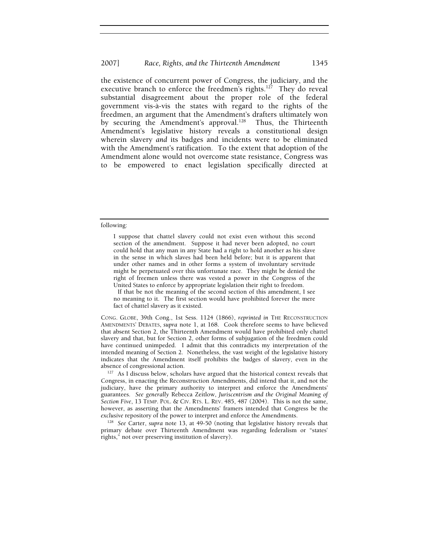the existence of concurrent power of Congress, the judiciary, and the executive branch to enforce the freedmen's rights.<sup>127</sup> They do reveal substantial disagreement about the proper role of the federal government vis-à-vis the states with regard to the rights of the freedmen, an argument that the Amendment's drafters ultimately won by securing the Amendment's approval.<sup>128</sup> Thus, the Thirteenth Amendment's legislative history reveals a constitutional design wherein slavery *and* its badges and incidents were to be eliminated with the Amendment's ratification. To the extent that adoption of the Amendment alone would not overcome state resistance, Congress was to be empowered to enact legislation specifically directed at

#### following:

I suppose that chattel slavery could not exist even without this second section of the amendment. Suppose it had never been adopted, no court could hold that any man in any State had a right to hold another as his slave in the sense in which slaves had been held before; but it is apparent that under other names and in other forms a system of involuntary servitude might be perpetuated over this unfortunate race. They might be denied the right of freemen unless there was vested a power in the Congress of the United States to enforce by appropriate legislation their right to freedom.

 If that be not the meaning of the second section of this amendment, I see no meaning to it. The first section would have prohibited forever the mere fact of chattel slavery as it existed.

CONG. GLOBE, 39th Cong., 1st Sess. 1124 (1866), *reprinted in* THE RECONSTRUCTION AMENDMENTS' DEBATES, *supra* note 1, at 168.Cook therefore seems to have believed that absent Section 2, the Thirteenth Amendment would have prohibited only chattel slavery and that, but for Section 2, other forms of subjugation of the freedmen could have continued unimpeded. I admit that this contradicts my interpretation of the intended meaning of Section 2. Nonetheless, the vast weight of the legislative history indicates that the Amendment itself prohibits the badges of slavery, even in the absence of congressional action.

<sup>127</sup> As I discuss below, scholars have argued that the historical context reveals that Congress, in enacting the Reconstruction Amendments, did intend that it, and not the judiciary, have the primary authority to interpret and enforce the Amendments' guarantees. *See generally* Rebecca Zeitlow, *Juriscentrism and the Original Meaning of Section Five*, 13 TEMP. POL. & CIV. RTS. L. REV. 485, 487 (2004). This is not the same, however, as asserting that the Amendments' framers intended that Congress be the *exclusive* repository of the power to interpret and enforce the Amendments. 128 *See* Carter, *supra* note 13, at 49-50 (noting that legislative history reveals that

primary debate over Thirteenth Amendment was regarding federalism or "states' rights," not over preserving institution of slavery).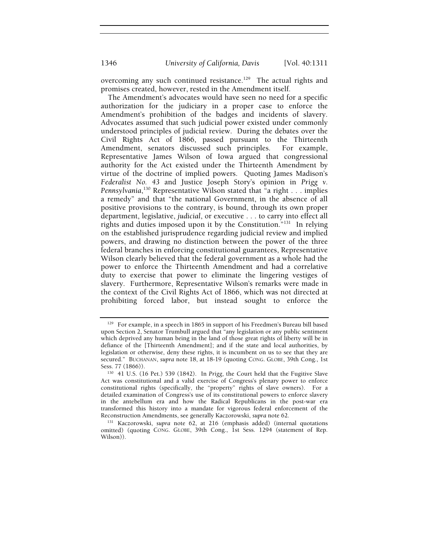overcoming any such continued resistance.<sup>129</sup> The actual rights and promises created, however, rested in the Amendment itself.

The Amendment's advocates would have seen no need for a specific authorization for the judiciary in a proper case to enforce the Amendment's prohibition of the badges and incidents of slavery. Advocates assumed that such judicial power existed under commonly understood principles of judicial review. During the debates over the Civil Rights Act of 1866, passed pursuant to the Thirteenth Amendment, senators discussed such principles. For example, Representative James Wilson of Iowa argued that congressional authority for the Act existed under the Thirteenth Amendment by virtue of the doctrine of implied powers. Quoting James Madison's *Federalist No. 43* and Justice Joseph Story's opinion in *Prigg v. Pennsylvania*, 130 Representative Wilson stated that "a right . . . implies a remedy" and that "the national Government, in the absence of all positive provisions to the contrary, is bound, through its own proper department, legislative, *judicial*, or executive . . . to carry into effect all rights and duties imposed upon it by the Constitution."131 In relying on the established jurisprudence regarding judicial review and implied powers, and drawing no distinction between the power of the three federal branches in enforcing constitutional guarantees, Representative Wilson clearly believed that the federal government as a whole had the power to enforce the Thirteenth Amendment and had a correlative duty to exercise that power to eliminate the lingering vestiges of slavery. Furthermore, Representative Wilson's remarks were made in the context of the Civil Rights Act of 1866, which was not directed at prohibiting forced labor, but instead sought to enforce the

<sup>&</sup>lt;sup>129</sup> For example, in a speech in 1865 in support of his Freedmen's Bureau bill based upon Section 2, Senator Trumbull argued that "any legislation or any public sentiment which deprived any human being in the land of those great rights of liberty will be in defiance of the [Thirteenth Amendment]; and if the state and local authorities, by legislation or otherwise, deny these rights, it is incumbent on us to see that they are secured." BUCHANAN, *supra* note 18, at 18-19 (quoting CONG. GLOBE, 39th Cong., 1st Sess. 77 (1866)). 130 41 U.S. (16 Pet.) 539 (1842). In *Prigg*, the Court held that the Fugitive Slave

Act was constitutional and a valid exercise of Congress's plenary power to enforce constitutional rights (specifically, the "property" rights of slave owners). For a detailed examination of Congress's use of its constitutional powers to enforce slavery in the antebellum era and how the Radical Republicans in the post-war era transformed this history into a mandate for vigorous federal enforcement of the Reconstruction Amendments, see generally Kaczorowski, *supra* note 62. 131 Kaczorowski, *supra* note 62, at 216 (emphasis added) (internal quotations

omitted) (quoting CONG. GLOBE, 39th Cong., 1st Sess. 1294 (statement of Rep. Wilson)).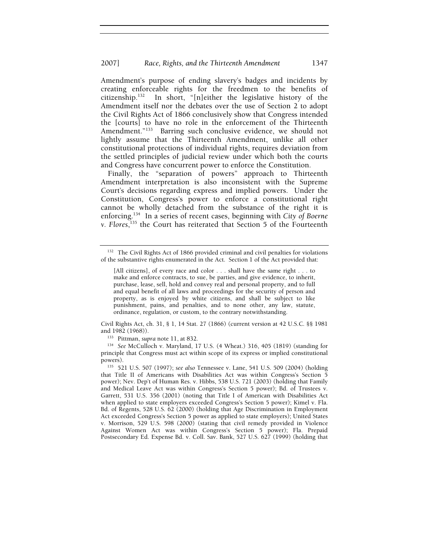### 2007] *Race, Rights, and the Thirteenth Amendment* 1347

Amendment's purpose of ending slavery's badges and incidents by creating enforceable rights for the freedmen to the benefits of citizenship.132 In short, "[n]either the legislative history of the Amendment itself nor the debates over the use of Section 2 to adopt the Civil Rights Act of 1866 conclusively show that Congress intended the [courts] to have no role in the enforcement of the Thirteenth Amendment."<sup>133</sup> Barring such conclusive evidence, we should not lightly assume that the Thirteenth Amendment, unlike all other constitutional protections of individual rights, requires deviation from the settled principles of judicial review under which both the courts and Congress have concurrent power to enforce the Constitution.

Finally, the "separation of powers" approach to Thirteenth Amendment interpretation is also inconsistent with the Supreme Court's decisions regarding express and implied powers. Under the Constitution, Congress's power to enforce a constitutional right cannot be wholly detached from the substance of the right it is enforcing.134 In a series of recent cases, beginning with *City of Boerne v. Flores*, 135 the Court has reiterated that Section 5 of the Fourteenth

Civil Rights Act, ch. 31, § 1, 14 Stat. 27 (1866) (current version at 42 U.S.C. §§ 1981

<sup>133</sup> Pittman, *supra* note 11, at 832.<br><sup>134</sup> See McCulloch v. Maryland, 17 U.S. (4 Wheat.) 316, 405 (1819) (standing for principle that Congress must act within scope of its express or implied constitutional powers). 135 521 U.S. 507 (1997); *see also* Tennessee v. Lane, 541 U.S. 509 (2004) (holding

that Title II of Americans with Disabilities Act was within Congress's Section 5 power); Nev. Dep't of Human Res. v. Hibbs, 538 U.S. 721 (2003) (holding that Family and Medical Leave Act was within Congress's Section 5 power); Bd. of Trustees v. Garrett, 531 U.S. 356 (2001) (noting that Title I of American with Disabilities Act when applied to state employers exceeded Congress's Section 5 power); Kimel v. Fla. Bd. of Regents, 528 U.S. 62 (2000) (holding that Age Discrimination in Employment Act exceeded Congress's Section 5 power as applied to state employers); United States v. Morrison, 529 U.S. 598 (2000) (stating that civil remedy provided in Violence Against Women Act was within Congress's Section 5 power); Fla. Prepaid Postsecondary Ed. Expense Bd. v. Coll. Sav. Bank, 527 U.S. 627 (1999) (holding that

<sup>&</sup>lt;sup>132</sup> The Civil Rights Act of 1866 provided criminal and civil penalties for violations of the substantive rights enumerated in the Act. Section 1 of the Act provided that:

<sup>[</sup>All citizens], of every race and color . . . shall have the same right . . . to make and enforce contracts, to sue, be parties, and give evidence, to inherit, purchase, lease, sell, hold and convey real and personal property, and to full and equal benefit of all laws and proceedings for the security of person and property, as is enjoyed by white citizens, and shall be subject to like punishment, pains, and penalties, and to none other, any law, statute, ordinance, regulation, or custom, to the contrary notwithstanding.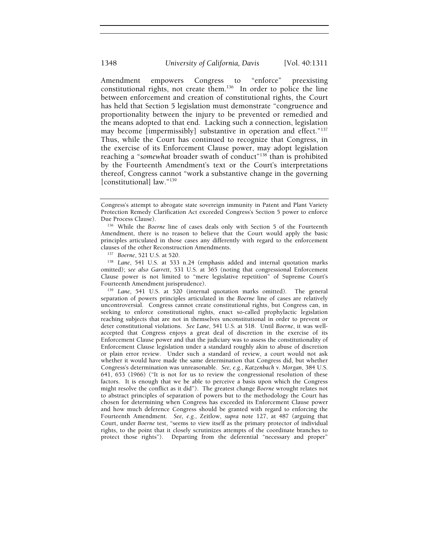Amendment empowers Congress to "enforce" preexisting constitutional rights, not create them.<sup>136</sup> In order to police the line between enforcement and creation of constitutional rights, the Court has held that Section 5 legislation must demonstrate "congruence and proportionality between the injury to be prevented or remedied and the means adopted to that end. Lacking such a connection, legislation may become [impermissibly] substantive in operation and effect."<sup>137</sup> Thus, while the Court has continued to recognize that Congress, in the exercise of its Enforcement Clause power, may adopt legislation reaching a "somewhat broader swath of conduct"<sup>138</sup> than is prohibited by the Fourteenth Amendment's text or the Court's interpretations thereof, Congress cannot "work a substantive change in the governing [constitutional] law."139

clauses of the other Reconstruction Amendments. 137 *Boerne*, 521 U.S. at 520. 138 *Lane*, 541 U.S. at 533 n.24 (emphasis added and internal quotation marks omitted); *see also Garrett*, 531 U.S. at 365 (noting that congressional Enforcement Clause power is not limited to "mere legislative repetition" of Supreme Court's

<sup>139</sup> Lane, 541 U.S. at 520 (internal quotation marks omitted). The general separation of powers principles articulated in the *Boerne* line of cases are relatively uncontroversial. Congress cannot create constitutional rights, but Congress can, in seeking to enforce constitutional rights, enact so-called prophylactic legislation reaching subjects that are not in themselves unconstitutional in order to prevent or deter constitutional violations. *See Lane*, 541 U.S. at 518. Until *Boerne*, it was wellaccepted that Congress enjoys a great deal of discretion in the exercise of its Enforcement Clause power and that the judiciary was to assess the constitutionality of Enforcement Clause legislation under a standard roughly akin to abuse of discretion or plain error review. Under such a standard of review, a court would not ask whether it would have made the same determination that Congress did, but whether Congress's determination was unreasonable. *See, e.g.*, *Katzenbach v. Morgan*, 384 U.S. 641, 653 (1966) ("It is not for us to review the congressional resolution of these factors. It is enough that we be able to perceive a basis upon which the Congress might resolve the conflict as it did"). The greatest change *Boerne* wrought relates not to abstract principles of separation of powers but to the methodology the Court has chosen for determining when Congress has exceeded its Enforcement Clause power and how much deference Congress should be granted with regard to enforcing the Fourteenth Amendment. *See, e.g.*, Zeitlow, *supra* note 127, at 487 (arguing that Court, under *Boerne* test, "seems to view itself as the primary protector of individual rights, to the point that it closely scrutinizes attempts of the coordinate branches to protect those rights"). Departing from the deferential "necessary and proper"

Congress's attempt to abrogate state sovereign immunity in Patent and Plant Variety Protection Remedy Clarification Act exceeded Congress's Section 5 power to enforce

Due Process Clause). 136 While the *Boerne* line of cases deals only with Section 5 of the Fourteenth Amendment, there is no reason to believe that the Court would apply the basic principles articulated in those cases any differently with regard to the enforcement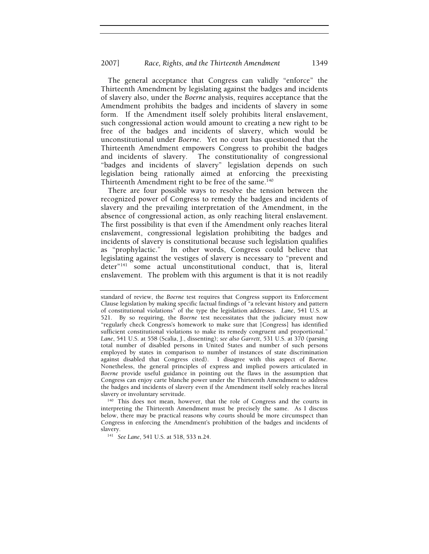The general acceptance that Congress can validly "enforce" the Thirteenth Amendment by legislating against the badges and incidents of slavery also, under the *Boerne* analysis, requires acceptance that the Amendment prohibits the badges and incidents of slavery in some form. If the Amendment itself solely prohibits literal enslavement, such congressional action would amount to creating a new right to be free of the badges and incidents of slavery, which would be unconstitutional under *Boerne*. Yet no court has questioned that the Thirteenth Amendment empowers Congress to prohibit the badges and incidents of slavery. The constitutionality of congressional "badges and incidents of slavery" legislation depends on such legislation being rationally aimed at enforcing the preexisting Thirteenth Amendment right to be free of the same.<sup>140</sup>

There are four possible ways to resolve the tension between the recognized power of Congress to remedy the badges and incidents of slavery and the prevailing interpretation of the Amendment, in the absence of congressional action, as only reaching literal enslavement. The first possibility is that even if the Amendment only reaches literal enslavement, congressional legislation prohibiting the badges and incidents of slavery is constitutional because such legislation qualifies as "prophylactic." In other words, Congress could believe that legislating against the vestiges of slavery is necessary to "prevent and deter"141 some actual unconstitutional conduct, that is, literal enslavement. The problem with this argument is that it is not readily

interpreting the Thirteenth Amendment must be precisely the same. As I discuss below, there may be practical reasons why courts should be more circumspect than Congress in enforcing the Amendment's prohibition of the badges and incidents of

slavery. 141 *See Lane*, 541 U.S. at 518, 533 n.24.

standard of review, the *Boerne* test requires that Congress support its Enforcement Clause legislation by making specific factual findings of "a relevant history and pattern of constitutional violations" of the type the legislation addresses. *Lane*, 541 U.S. at 521. By so requiring, the *Boerne* test necessitates that the judiciary must now "regularly check Congress's homework to make sure that [Congress] has identified sufficient constitutional violations to make its remedy congruent and proportional." *Lane*, 541 U.S. at 558 (Scalia, J., dissenting); *see also Garrett*, 531 U.S. at 370 (parsing total number of disabled persons in United States and number of such persons employed by states in comparison to number of instances of state discrimination against disabled that Congress cited). I disagree with this aspect of *Boerne*. Nonetheless, the general principles of express and implied powers articulated in *Boerne* provide useful guidance in pointing out the flaws in the assumption that Congress can enjoy carte blanche power under the Thirteenth Amendment to address the badges and incidents of slavery even if the Amendment itself solely reaches literal slavery or involuntary servitude.<br><sup>140</sup> This does not mean, however, that the role of Congress and the courts in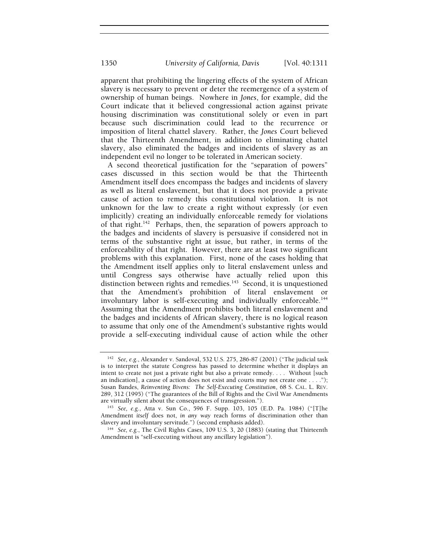apparent that prohibiting the lingering effects of the system of African slavery is necessary to prevent or deter the reemergence of a system of ownership of human beings. Nowhere in *Jones*, for example, did the Court indicate that it believed congressional action against private housing discrimination was constitutional solely or even in part because such discrimination could lead to the recurrence or imposition of literal chattel slavery. Rather, the *Jones* Court believed that the Thirteenth Amendment, in addition to eliminating chattel slavery, also eliminated the badges and incidents of slavery as an independent evil no longer to be tolerated in American society.

A second theoretical justification for the "separation of powers" cases discussed in this section would be that the Thirteenth Amendment itself does encompass the badges and incidents of slavery as well as literal enslavement, but that it does not provide a private cause of action to remedy this constitutional violation. It is not unknown for the law to create a right without expressly (or even implicitly) creating an individually enforceable remedy for violations of that right.<sup>142</sup> Perhaps, then, the separation of powers approach to the badges and incidents of slavery is persuasive if considered not in terms of the substantive right at issue, but rather, in terms of the enforceability of that right. However, there are at least two significant problems with this explanation. First, none of the cases holding that the Amendment itself applies only to literal enslavement unless and until Congress says otherwise have actually relied upon this distinction between rights and remedies.<sup>143</sup> Second, it is unquestioned that the Amendment's prohibition of literal enslavement or involuntary labor is self-executing and individually enforceable.<sup>144</sup> Assuming that the Amendment prohibits both literal enslavement and the badges and incidents of African slavery, there is no logical reason to assume that only one of the Amendment's substantive rights would provide a self-executing individual cause of action while the other

<sup>142</sup> *See, e.g.*, Alexander v. Sandoval, 532 U.S. 275, 286-87 (2001) ("The judicial task is to interpret the statute Congress has passed to determine whether it displays an intent to create not just a private right but also a private remedy. . . . Without [such an indication], a cause of action does not exist and courts may not create one . . . ."); Susan Bandes, *Reinventing Bivens: The Self-Executing Constitution*, 68 S. CAL. L. REV. 289, 312 (1995) ("The guarantees of the Bill of Rights and the Civil War Amendments are virtually silent about the consequences of transgression.").

<sup>143</sup> *See, e.g.*, Atta v. Sun Co., 596 F. Supp. 103, 105 (E.D. Pa. 1984) ("[T]he Amendment *itself* does not, *in any way* reach forms of discrimination other than

<sup>&</sup>lt;sup>144</sup> See, e.g., The Civil Rights Cases, 109 U.S. 3, 20 (1883) (stating that Thirteenth Amendment is "self-executing without any ancillary legislation").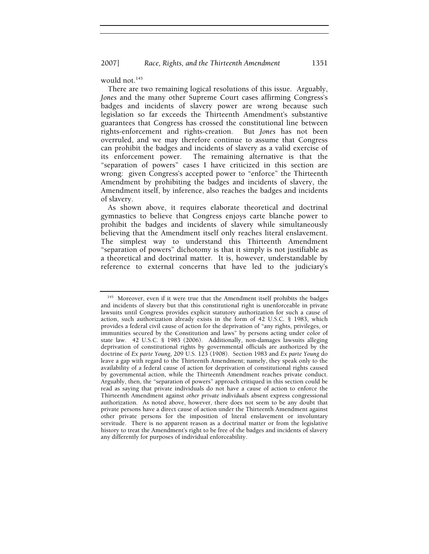would not.<sup>145</sup>

There are two remaining logical resolutions of this issue. Arguably, *Jones* and the many other Supreme Court cases affirming Congress's badges and incidents of slavery power are wrong because such legislation so far exceeds the Thirteenth Amendment's substantive guarantees that Congress has crossed the constitutional line between rights-enforcement and rights-creation. But *Jones* has not been overruled, and we may therefore continue to assume that Congress can prohibit the badges and incidents of slavery as a valid exercise of its enforcement power. The remaining alternative is that the "separation of powers" cases I have criticized in this section are wrong: given Congress's accepted power to "enforce" the Thirteenth Amendment by prohibiting the badges and incidents of slavery, the Amendment itself, by inference, also reaches the badges and incidents of slavery.

As shown above, it requires elaborate theoretical and doctrinal gymnastics to believe that Congress enjoys carte blanche power to prohibit the badges and incidents of slavery while simultaneously believing that the Amendment itself only reaches literal enslavement. The simplest way to understand this Thirteenth Amendment "separation of powers" dichotomy is that it simply is not justifiable as a theoretical and doctrinal matter. It is, however, understandable by reference to external concerns that have led to the judiciary's

<sup>&</sup>lt;sup>145</sup> Moreover, even if it were true that the Amendment itself prohibits the badges and incidents of slavery but that this constitutional right is unenforceable in private lawsuits until Congress provides explicit statutory authorization for such a cause of action, such authorization already exists in the form of 42 U.S.C. § 1983, which provides a federal civil cause of action for the deprivation of "any rights, privileges, or immunities secured by the Constitution and laws" by persons acting under color of state law. 42 U.S.C. § 1983 (2006). Additionally, non-damages lawsuits alleging deprivation of constitutional rights by governmental officials are authorized by the doctrine of *Ex parte Young*, 209 U.S. 123 (1908). Section 1983 and *Ex parte Young* do leave a gap with regard to the Thirteenth Amendment; namely, they speak only to the availability of a federal cause of action for deprivation of constitutional rights caused by governmental action, while the Thirteenth Amendment reaches private conduct. Arguably, then, the "separation of powers" approach critiqued in this section could be read as saying that private individuals do not have a cause of action to enforce the Thirteenth Amendment against *other private individuals* absent express congressional authorization. As noted above, however, there does not seem to be any doubt that private persons have a direct cause of action under the Thirteenth Amendment against other private persons for the imposition of literal enslavement or involuntary servitude. There is no apparent reason as a doctrinal matter or from the legislative history to treat the Amendment's right to be free of the badges and incidents of slavery any differently for purposes of individual enforceability.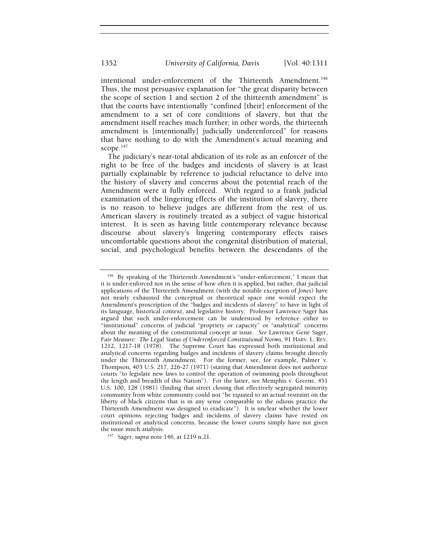intentional under-enforcement of the Thirteenth Amendment.<sup>146</sup> Thus, the most persuasive explanation for "the great disparity between the scope of section 1 and section 2 of the thirteenth amendment" is that the courts have intentionally "confined [their] enforcement of the amendment to a set of core conditions of slavery, but that the amendment itself reaches much further; in other words, the thirteenth amendment is [intentionally] judicially underenforced" for reasons that have nothing to do with the Amendment's actual meaning and scope.<sup>147</sup>

The judiciary's near-total abdication of its role as an enforcer of the right to be free of the badges and incidents of slavery is at least partially explainable by reference to judicial reluctance to delve into the history of slavery and concerns about the potential reach of the Amendment were it fully enforced. With regard to a frank judicial examination of the lingering effects of the institution of slavery, there is no reason to believe judges are different from the rest of us. American slavery is routinely treated as a subject of vague historical interest. It is seen as having little contemporary relevance because discourse about slavery's lingering contemporary effects raises uncomfortable questions about the congenital distribution of material, social, and psychological benefits between the descendants of the

the issue much analysis. 147 Sager, *supra* note 146, at 1219 n.21.

<sup>146</sup> By speaking of the Thirteenth Amendment's "under-enforcement," I mean that it is under-enforced not in the sense of how often it is applied, but rather, that judicial applications of the Thirteenth Amendment (with the notable exception of *Jones*) have not nearly exhausted the conceptual or theoretical space one would expect the Amendment's proscription of the "badges and incidents of slavery" to have in light of its language, historical context, and legislative history. Professor Lawrence Sager has argued that such under-enforcement can be understood by reference either to "institutional" concerns of judicial "propriety or capacity" or "analytical" concerns about the meaning of the constitutional concept at issue. *See* Lawrence Gene Sager, *Fair Measure: The Legal Status of Underenforced Constitutional Norms*, 91 HARV. L. REV. 1212, 1217-18 (1978). The Supreme Court has expressed both institutional and analytical concerns regarding badges and incidents of slavery claims brought directly under the Thirteenth Amendment. For the former, see, for example, Palmer v. Thompson, 403 U.S. 217, 226-27 (1971) (stating that Amendment does not authorize courts "to legislate new laws to control the operation of swimming pools throughout the length and breadth of this Nation"). For the latter, see Memphis v. Greene, 451 U.S. 100, 128 (1981) (finding that street closing that effectively segregated minority community from white community could not "be equated to an actual restraint on the liberty of black citizens that is in any sense comparable to the odious practice the Thirteenth Amendment was designed to eradicate"). It is unclear whether the lower court opinions rejecting badges and incidents of slavery claims have rested on institutional or analytical concerns, because the lower courts simply have not given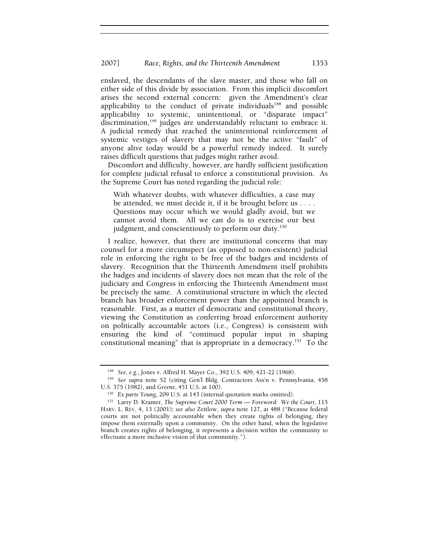enslaved, the descendants of the slave master, and those who fall on either side of this divide by association. From this implicit discomfort arises the second external concern: given the Amendment's clear applicability to the conduct of private individuals $148$  and possible applicability to systemic, unintentional, or "disparate impact" discrimination,<sup>149</sup> judges are understandably reluctant to embrace it. A judicial remedy that reached the unintentional reinforcement of systemic vestiges of slavery that may not be the active "fault" of anyone alive today would be a powerful remedy indeed. It surely raises difficult questions that judges might rather avoid.

Discomfort and difficulty, however, are hardly sufficient justification for complete judicial refusal to enforce a constitutional provision. As the Supreme Court has noted regarding the judicial role:

With whatever doubts, with whatever difficulties, a case may be attended, we must decide it, if it be brought before us . . . . Questions may occur which we would gladly avoid, but we cannot avoid them. All we can do is to exercise our best judgment, and conscientiously to perform our duty.<sup>150</sup>

I realize, however, that there are institutional concerns that may counsel for a more circumspect (as opposed to non-existent) judicial role in enforcing the right to be free of the badges and incidents of slavery. Recognition that the Thirteenth Amendment itself prohibits the badges and incidents of slavery does not mean that the role of the judiciary and Congress in enforcing the Thirteenth Amendment must be precisely the same. A constitutional structure in which the elected branch has broader enforcement power than the appointed branch is reasonable. First, as a matter of democratic and constitutional theory, viewing the Constitution as conferring broad enforcement authority on politically accountable actors (i.e., Congress) is consistent with ensuring the kind of "continued popular input in shaping constitutional meaning" that is appropriate in a democracy.151 To the

<sup>148</sup> *See, e.g.*, Jones v. Alfred H. Mayer Co., 392 U.S. 409, 421-22 (1968). 149 *See supra* note 52 (citing Gen'l Bldg. Contractors Ass'n v. Pennsylvania, 458 U.S. 375 (1982), and *Greene*, 451 U.S. at 100).

<sup>150</sup> *Ex parte Young*, 209 U.S. at 143 (internal quotation marks omitted). 151 Larry D. Kramer, *The Supreme Court 2000 Term — Foreword: We the Court*, 115 HARV. L. REV. 4, 13 (2001); *see also* Zeitlow, *supra* note 127, at 488 ("Because federal courts are not politically accountable when they create rights of belonging, they impose them externally upon a community. On the other hand, when the legislative branch creates rights of belonging, it represents a decision within the community to effectuate a more inclusive vision of that community.").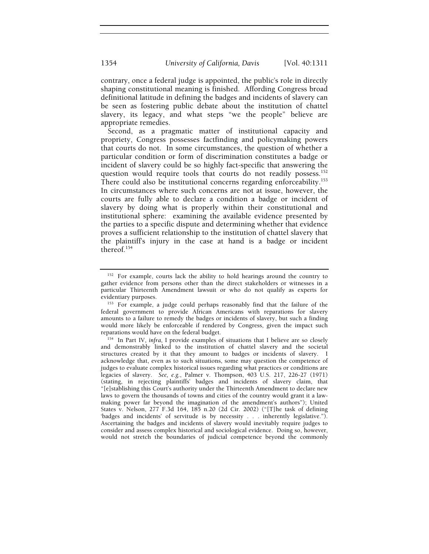contrary, once a federal judge is appointed, the public's role in directly shaping constitutional meaning is finished. Affording Congress broad definitional latitude in defining the badges and incidents of slavery can be seen as fostering public debate about the institution of chattel slavery, its legacy, and what steps "we the people" believe are appropriate remedies.

Second, as a pragmatic matter of institutional capacity and propriety, Congress possesses factfinding and policymaking powers that courts do not. In some circumstances, the question of whether a particular condition or form of discrimination constitutes a badge or incident of slavery could be so highly fact-specific that answering the question would require tools that courts do not readily possess.<sup>152</sup> There could also be institutional concerns regarding enforceability.<sup>153</sup> In circumstances where such concerns are not at issue, however, the courts are fully able to declare a condition a badge or incident of slavery by doing what is properly within their constitutional and institutional sphere: examining the available evidence presented by the parties to a specific dispute and determining whether that evidence proves a sufficient relationship to the institution of chattel slavery that the plaintiff's injury in the case at hand is a badge or incident thereof.154

<sup>&</sup>lt;sup>152</sup> For example, courts lack the ability to hold hearings around the country to gather evidence from persons other than the direct stakeholders or witnesses in a particular Thirteenth Amendment lawsuit or who do not qualify as experts for evidentiary purposes.<br><sup>153</sup> For example, a judge could perhaps reasonably find that the failure of the

federal government to provide African Americans with reparations for slavery amounts to a failure to remedy the badges or incidents of slavery, but such a finding would more likely be enforceable if rendered by Congress, given the impact such reparations would have on the federal budget.

<sup>&</sup>lt;sup>154</sup> In Part IV, *infra*, I provide examples of situations that I believe are so closely and demonstrably linked to the institution of chattel slavery and the societal structures created by it that they amount to badges or incidents of slavery. I acknowledge that, even as to such situations, some may question the competence of judges to evaluate complex historical issues regarding what practices or conditions are legacies of slavery. *See, e.g.*, Palmer v. Thompson, 403 U.S. 217, 226-27 (1971) (stating, in rejecting plaintiffs' badges and incidents of slavery claim, that "[e]stablishing this Court's authority under the Thirteenth Amendment to declare new laws to govern the thousands of towns and cities of the country would grant it a lawmaking power far beyond the imagination of the amendment's authors"); United States v. Nelson, 277 F.3d 164, 185 n.20 (2d Cir. 2002) ("[T]he task of defining 'badges and incidents' of servitude is by necessity . . . inherently legislative."). Ascertaining the badges and incidents of slavery would inevitably require judges to consider and assess complex historical and sociological evidence. Doing so, however, would not stretch the boundaries of judicial competence beyond the commonly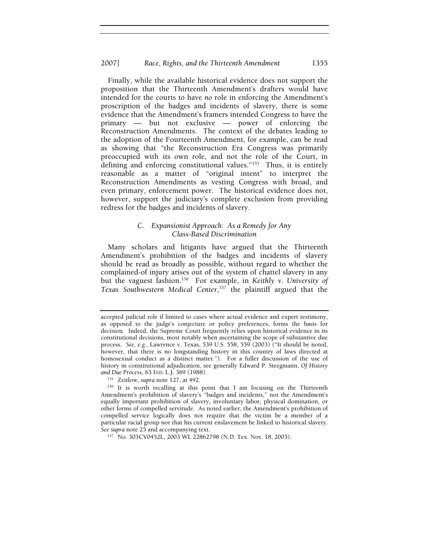Finally, while the available historical evidence does not support the proposition that the Thirteenth Amendment's drafters would have intended for the courts to have *no* role in enforcing the Amendment's proscription of the badges and incidents of slavery, there is some evidence that the Amendment's framers intended Congress to have the primary — but not exclusive — power of enforcing the Reconstruction Amendments. The context of the debates leading to the adoption of the Fourteenth Amendment, for example, can be read as showing that "the Reconstruction Era Congress was primarily preoccupied with its own role, and not the role of the Court, in defining and enforcing constitutional values."<sup>155</sup> Thus, it is entirely reasonable as a matter of "original intent" to interpret the Reconstruction Amendments as vesting Congress with broad, and even primary, enforcement power. The historical evidence does not, however, support the judiciary's complete exclusion from providing redress for the badges and incidents of slavery.

## *C. Expansionist Approach: As a Remedy for Any Class-Based Discrimination*

Many scholars and litigants have argued that the Thirteenth Amendment's prohibition of the badges and incidents of slavery should be read as broadly as possible, without regard to whether the complained-of injury arises out of the system of chattel slavery in any but the vaguest fashion.156 For example, in *Keithly v. University of Texas Southwestern Medical Center*, 157 the plaintiff argued that the

accepted judicial role if limited to cases where actual evidence and expert testimony, as opposed to the judge's conjecture or policy preferences, forms the basis for decision. Indeed, the Supreme Court frequently relies upon historical evidence in its constitutional decisions, most notably when ascertaining the scope of substantive due process. *See, e.g.*, Lawrence v. Texas, 539 U.S. 558, 559 (2003) ("It should be noted, however, that there is no longstanding history in this country of laws directed at homosexual conduct as a distinct matter.").For a fuller discussion of the use of history in constitutional adjudication, see generally Edward P. Steegmann, *Of History and Due Process*, 63 IND. L.J. 369 (1988).<br><sup>155</sup> Zeitlow, *supra* note 127, at 492.<br><sup>156</sup> It is worth recalling at this point that I am focusing on the Thirteenth

Amendment's prohibition of slavery's "badges and incidents," not the Amendment's equally important prohibition of slavery, involuntary labor, physical domination, or other forms of compelled servitude. As noted earlier, the Amendment's prohibition of compelled service logically does not require that the victim be a member of a particular racial group nor that his current enslavement be linked to historical slavery. *See supra* note 25 and accompanying text.<br><sup>157</sup> No. 303CV0452L, 2003 WL 22862798 (N.D. Tex. Nov. 18, 2003).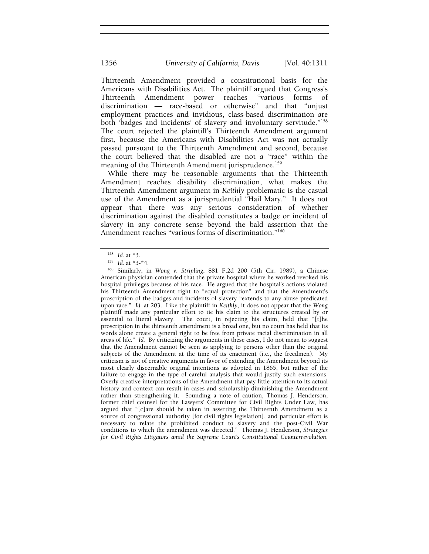Thirteenth Amendment provided a constitutional basis for the Americans with Disabilities Act. The plaintiff argued that Congress's Thirteenth Amendment power reaches "various forms of discrimination — race-based or otherwise" and that "unjust employment practices and invidious, class-based discrimination are both 'badges and incidents' of slavery and involuntary servitude."158 The court rejected the plaintiff's Thirteenth Amendment argument first, because the Americans with Disabilities Act was not actually passed pursuant to the Thirteenth Amendment and second, because the court believed that the disabled are not a "race" within the meaning of the Thirteenth Amendment jurisprudence.<sup>159</sup>

While there may be reasonable arguments that the Thirteenth Amendment reaches disability discrimination, what makes the Thirteenth Amendment argument in *Keithly* problematic is the casual use of the Amendment as a jurisprudential "Hail Mary." It does not appear that there was any serious consideration of whether discrimination against the disabled constitutes a badge or incident of slavery in any concrete sense beyond the bald assertion that the Amendment reaches "various forms of discrimination."<sup>160</sup>

<sup>158</sup> *Id.* at \*3. 159 *Id.* at \*3-\*4. 160 Similarly, in *Wong v. Stripling*, 881 F.2d 200 (5th Cir. 1989), a Chinese American physician contended that the private hospital where he worked revoked his hospital privileges because of his race. He argued that the hospital's actions violated his Thirteenth Amendment right to "equal protection" and that the Amendment's proscription of the badges and incidents of slavery "extends to any abuse predicated upon race." *Id.* at 203. Like the plaintiff in *Keithly*, it does not appear that the *Wong*  plaintiff made any particular effort to tie his claim to the structures created by or essential to literal slavery. The court, in rejecting his claim, held that "[t]he proscription in the thirteenth amendment is a broad one, but no court has held that its words alone create a general right to be free from private racial discrimination in all areas of life." *Id.* By criticizing the arguments in these cases, I do not mean to suggest that the Amendment cannot be seen as applying to persons other than the original subjects of the Amendment at the time of its enactment (i.e., the freedmen). My criticism is not of creative arguments in favor of extending the Amendment beyond its most clearly discernable original intentions as adopted in 1865, but rather of the failure to engage in the type of careful analysis that would justify such extensions. Overly creative interpretations of the Amendment that pay little attention to its actual history and context can result in cases and scholarship diminishing the Amendment rather than strengthening it. Sounding a note of caution, Thomas J. Henderson, former chief counsel for the Lawyers' Committee for Civil Rights Under Law, has argued that "[c]are should be taken in asserting the Thirteenth Amendment as a source of congressional authority [for civil rights legislation], and particular effort is necessary to relate the prohibited conduct to slavery and the post-Civil War conditions to which the amendment was directed." Thomas J. Henderson, *Strategies for Civil Rights Litigators amid the Supreme Court's Constitutional Counterrevolution*,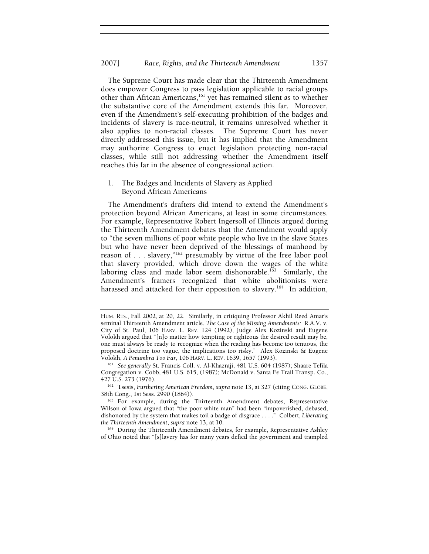The Supreme Court has made clear that the Thirteenth Amendment does empower Congress to pass legislation applicable to racial groups other than African Americans,161 yet has remained silent as to whether the substantive core of the Amendment extends this far.Moreover, even if the Amendment's self-executing prohibition of the badges and incidents of slavery is race-neutral, it remains unresolved whether it also applies to non-racial classes. The Supreme Court has never directly addressed this issue, but it has implied that the Amendment may authorize Congress to enact legislation protecting non-racial classes, while still not addressing whether the Amendment itself reaches this far in the absence of congressional action.

## 1. The Badges and Incidents of Slavery as Applied Beyond African Americans

The Amendment's drafters did intend to extend the Amendment's protection beyond African Americans, at least in some circumstances. For example, Representative Robert Ingersoll of Illinois argued during the Thirteenth Amendment debates that the Amendment would apply to "the seven millions of poor white people who live in the slave States but who have never been deprived of the blessings of manhood by reason of . . . slavery,"162 presumably by virtue of the free labor pool that slavery provided, which drove down the wages of the white laboring class and made labor seem dishonorable.<sup>163</sup> Similarly, the Amendment's framers recognized that white abolitionists were harassed and attacked for their opposition to slavery.<sup>164</sup> In addition,

<sup>162</sup> Tsesis, *Furthering American Freedom*, *supra* note 13, at 327 (citing CONG. GLOBE, 38th Cong., 1st Sess. 2990 (1864)).<br><sup>163</sup> For example, during the Thirteenth Amendment debates, Representative

<sup>164</sup> During the Thirteenth Amendment debates, for example, Representative Ashley of Ohio noted that "[s]lavery has for many years defied the government and trampled

HUM. RTS., Fall 2002, at 20, 22. Similarly, in critiquing Professor Akhil Reed Amar's seminal Thirteenth Amendment article, *The Case of the Missing Amendments:* R.A.V. v. City of St. Paul, 106 HARV. L. REV. 124 (1992), Judge Alex Kozinski and Eugene Volokh argued that "[n]o matter how tempting or righteous the desired result may be, one must always be ready to recognize when the reading has become too tenuous, the proposed doctrine too vague, the implications too risky." Alex Kozinski & Eugene Volokh, *A Penumbra Too Far*, <sup>106</sup> HARV. L. REV. 1639, 1657 (1993). 161 *See generally* St. Francis Coll. v. Al-Khazraji, 481 U.S. 604 (1987); Shaare Tefila

Congregation v. Cobb, 481 U.S. 615, (1987); McDonald v. Santa Fe Trail Transp. Co., 427 U.S. 273 (1976).

Wilson of Iowa argued that "the poor white man" had been "impoverished, debased, dishonored by the system that makes toil a badge of disgrace . . . ." Colbert, *Liberating*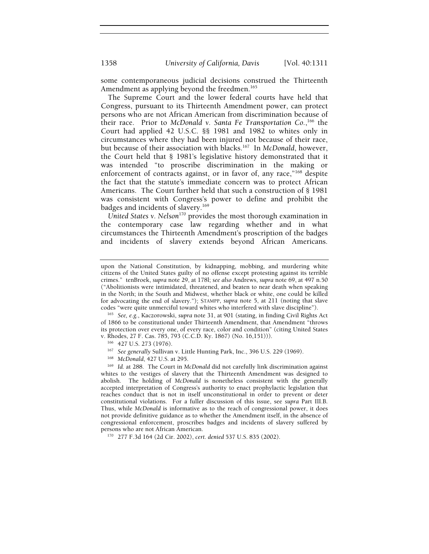some contemporaneous judicial decisions construed the Thirteenth Amendment as applying beyond the freedmen.<sup>165</sup>

The Supreme Court and the lower federal courts have held that Congress, pursuant to its Thirteenth Amendment power, can protect persons who are not African American from discrimination because of their race. Prior to *McDonald v. Santa Fe Transportation Co.*, 166 the Court had applied 42 U.S.C. §§ 1981 and 1982 to whites only in circumstances where they had been injured not because of their race, but because of their association with blacks.167 In *McDonald*, however, the Court held that § 1981's legislative history demonstrated that it was intended "to proscribe discrimination in the making or enforcement of contracts against, or in favor of, any race,"168 despite the fact that the statute's immediate concern was to protect African Americans. The Court further held that such a construction of § 1981 was consistent with Congress's power to define and prohibit the badges and incidents of slavery.<sup>169</sup>

*United States v. Nelson*170 provides the most thorough examination in the contemporary case law regarding whether and in what circumstances the Thirteenth Amendment's proscription of the badges and incidents of slavery extends beyond African Americans.

<sup>165</sup> See, e.g., Kaczorowski, *supra* note 31, at 901 (stating, in finding Civil Rights Act of 1866 to be constitutional under Thirteenth Amendment, that Amendment "throws its protection over every one, of every race, color and condition" (citing United States v. Rhodes, 27 F. Cas. 785, 793 (C.C.D. Ky. 1867) (No. 16,151))).<br><sup>166</sup> 427 U.S. 273 (1976).<br><sup>167</sup> *See generally Sullivan v. Little Hunting Park, Inc., 396 U.S. 229 (1969).*<br><sup>168</sup> *McDonald, 427 U.S. at 295.*<br><sup>169</sup> *Id. a* 

upon the National Constitution, by kidnapping, mobbing, and murdering white citizens of the United States guilty of no offense except protesting against its terrible crimes." tenBroek, *supra* note 29, at 178l; *see also* Andrews, *supra* note 69, at 497 n.50 ("Abolitionists were intimidated, threatened, and beaten to near death when speaking in the North; in the South and Midwest, whether black or white, one could be killed for advocating the end of slavery."); STAMPP, *supra* note 5, at 211 (noting that slave

whites to the vestiges of slavery that the Thirteenth Amendment was designed to abolish. The holding of *McDonald* is nonetheless consistent with the generally accepted interpretation of Congress's authority to enact prophylactic legislation that reaches conduct that is not in itself unconstitutional in order to prevent or deter constitutional violations. For a fuller discussion of this issue, see *supra* Part III.B. Thus, while *McDonald* is informative as to the reach of congressional power, it does not provide definitive guidance as to whether the Amendment itself, in the absence of congressional enforcement, proscribes badges and incidents of slavery suffered by persons who are not African American. 170 277 F.3d 164 (2d Cir. 2002), *cert. denied* 537 U.S. 835 (2002).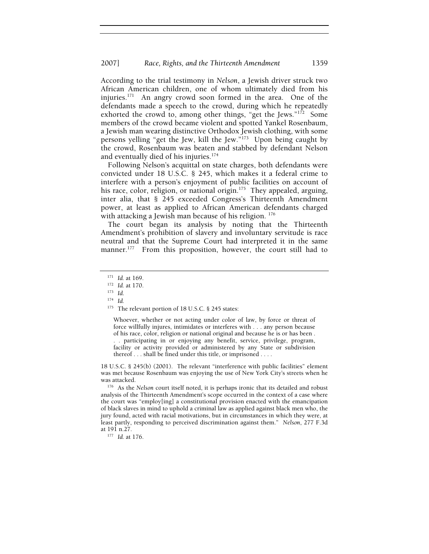According to the trial testimony in *Nelson*, a Jewish driver struck two African American children, one of whom ultimately died from his injuries.171 An angry crowd soon formed in the area. One of the defendants made a speech to the crowd, during which he repeatedly exhorted the crowd to, among other things, "get the Jews." $172$  Some members of the crowd became violent and spotted Yankel Rosenbaum, a Jewish man wearing distinctive Orthodox Jewish clothing, with some persons yelling "get the Jew, kill the Jew."173 Upon being caught by the crowd, Rosenbaum was beaten and stabbed by defendant Nelson and eventually died of his injuries. $174$ 

Following Nelson's acquittal on state charges, both defendants were convicted under 18 U.S.C. § 245, which makes it a federal crime to interfere with a person's enjoyment of public facilities on account of his race, color, religion, or national origin.<sup>175</sup> They appealed, arguing, inter alia, that § 245 exceeded Congress's Thirteenth Amendment power, at least as applied to African American defendants charged with attacking a Jewish man because of his religion. <sup>176</sup>

The court began its analysis by noting that the Thirteenth Amendment's prohibition of slavery and involuntary servitude is race neutral and that the Supreme Court had interpreted it in the same manner.<sup>177</sup> From this proposition, however, the court still had to

Whoever, whether or not acting under color of law, by force or threat of force willfully injures, intimidates or interferes with . . . any person because of his race, color, religion or national original and because he is or has been . . . participating in or enjoying any benefit, service, privilege, program, facility or activity provided or administered by any State or subdivision thereof . . . shall be fined under this title, or imprisoned . . . .

18 U.S.C. § 245(b) (2001). The relevant "interference with public facilities" element was met because Rosenbaum was enjoying the use of New York City's streets when he

<sup>176</sup> As the *Nelson* court itself noted, it is perhaps ironic that its detailed and robust analysis of the Thirteenth Amendment's scope occurred in the context of a case where the court was "employ[ing] a constitutional provision enacted with the emancipation of black slaves in mind to uphold a criminal law as applied against black men who, the jury found, acted with racial motivations, but in circumstances in which they were, at least partly, responding to perceived discrimination against them." *Nelson*, 277 F.3d

<sup>171</sup> *Id.* at 169. 172 *Id.* at 170. 173 *Id*. 174 *Id.*

<sup>&</sup>lt;sup>175</sup> The relevant portion of 18 U.S.C. § 245 states:

<sup>&</sup>lt;sup>177</sup> Id. at 176.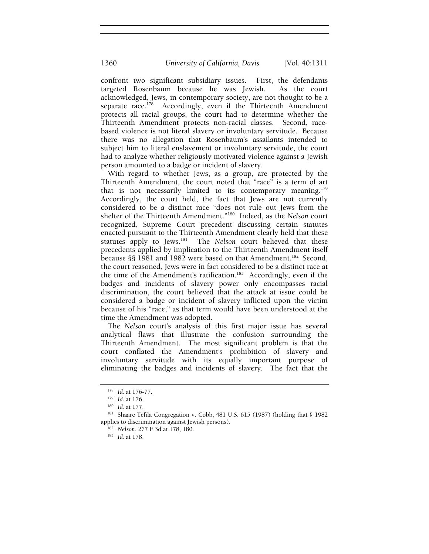confront two significant subsidiary issues. First, the defendants targeted Rosenbaum because he was Jewish. As the court acknowledged, Jews, in contemporary society, are not thought to be a separate race.<sup>178</sup> Accordingly, even if the Thirteenth Amendment protects all racial groups, the court had to determine whether the Thirteenth Amendment protects non-racial classes. Second, racebased violence is not literal slavery or involuntary servitude. Because there was no allegation that Rosenbaum's assailants intended to subject him to literal enslavement or involuntary servitude, the court had to analyze whether religiously motivated violence against a Jewish person amounted to a badge or incident of slavery.

With regard to whether Jews, as a group, are protected by the Thirteenth Amendment, the court noted that "race" is a term of art that is not necessarily limited to its contemporary meaning.<sup>179</sup> Accordingly, the court held, the fact that Jews are not currently considered to be a distinct race "does not rule out Jews from the shelter of the Thirteenth Amendment."180 Indeed, as the *Nelson* court recognized, Supreme Court precedent discussing certain statutes enacted pursuant to the Thirteenth Amendment clearly held that these<br>statutes apply to Jews.<sup>181</sup> The Nelson court believed that these The *Nelson* court believed that these precedents applied by implication to the Thirteenth Amendment itself because §§ 1981 and 1982 were based on that Amendment.<sup>182</sup> Second, the court reasoned, Jews were in fact considered to be a distinct race at the time of the Amendment's ratification.183 Accordingly, even if the badges and incidents of slavery power only encompasses racial discrimination, the court believed that the attack at issue could be considered a badge or incident of slavery inflicted upon the victim because of his "race," as that term would have been understood at the time the Amendment was adopted.

The *Nelson* court's analysis of this first major issue has several analytical flaws that illustrate the confusion surrounding the Thirteenth Amendment. The most significant problem is that the court conflated the Amendment's prohibition of slavery and involuntary servitude with its equally important purpose of eliminating the badges and incidents of slavery. The fact that the

<sup>178</sup> *Id.* at 176-77.<br><sup>179</sup> *Id.* at 176.<br><sup>180</sup> *Id.* at 177.<br><sup>181</sup> Shaare Tefila Congregation v. Cobb, 481 U.S. 615 (1987) (holding that § 1982 applies to discrimination against Jewish persons).

<sup>182</sup> *Nelson*, 277 F.3d at 178, 180. 183 *Id.* at 178.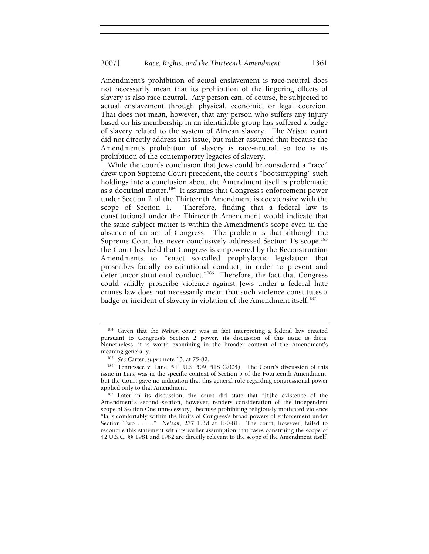Amendment's prohibition of actual enslavement is race-neutral does not necessarily mean that its prohibition of the lingering effects of slavery is also race-neutral. Any person can, of course, be subjected to actual enslavement through physical, economic, or legal coercion. That does not mean, however, that any person who suffers any injury based on his membership in an identifiable group has suffered a badge of slavery related to the system of African slavery. The *Nelson* court did not directly address this issue, but rather assumed that because the Amendment's prohibition of slavery is race-neutral, so too is its prohibition of the contemporary legacies of slavery.

While the court's conclusion that Jews could be considered a "race" drew upon Supreme Court precedent, the court's "bootstrapping" such holdings into a conclusion about the Amendment itself is problematic as a doctrinal matter.<sup>184</sup> It assumes that Congress's enforcement power under Section 2 of the Thirteenth Amendment is coextensive with the scope of Section 1. Therefore, finding that a federal law is constitutional under the Thirteenth Amendment would indicate that the same subject matter is within the Amendment's scope even in the absence of an act of Congress. The problem is that although the Supreme Court has never conclusively addressed Section 1's scope,<sup>185</sup> the Court has held that Congress is empowered by the Reconstruction Amendments to "enact so-called prophylactic legislation that proscribes facially constitutional conduct, in order to prevent and deter unconstitutional conduct."<sup>186</sup> Therefore, the fact that Congress could validly proscribe violence against Jews under a federal hate crimes law does not necessarily mean that such violence constitutes a badge or incident of slavery in violation of the Amendment itself.<sup>187</sup>

<sup>184</sup> Given that the *Nelson* court was in fact interpreting a federal law enacted pursuant to Congress's Section 2 power, its discussion of this issue is dicta. Nonetheless, it is worth examining in the broader context of the Amendment's meaning generally.<br><sup>185</sup> *See* Carter, *supra* note 13, at 75-82.

<sup>186</sup> Tennessee v. Lane, 541 U.S. 509, 518 (2004). The Court's discussion of this issue in *Lane* was in the specific context of Section 5 of the Fourteenth Amendment, but the Court gave no indication that this general rule regarding congressional power

applied only to that Amendment.<br><sup>187</sup> Later in its discussion, the court did state that "[t]he existence of the Amendment's second section, however, renders consideration of the independent scope of Section One unnecessary," because prohibiting religiously motivated violence "falls comfortably within the limits of Congress's broad powers of enforcement under Section Two . . . ." *Nelson*, 277 F.3d at 180-81. The court, however, failed to reconcile this statement with its earlier assumption that cases construing the scope of 42 U.S.C. §§ 1981 and 1982 are directly relevant to the scope of the Amendment itself.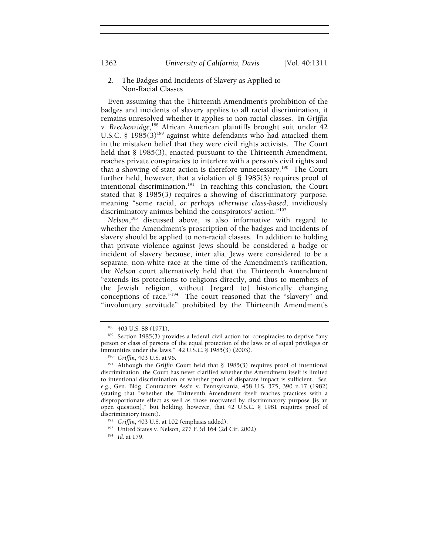## 2. The Badges and Incidents of Slavery as Applied to Non-Racial Classes

Even assuming that the Thirteenth Amendment's prohibition of the badges and incidents of slavery applies to all racial discrimination, it remains unresolved whether it applies to non-racial classes. In *Griffin v. Breckenridge*, 188 African American plaintiffs brought suit under 42 U.S.C. § 1985(3)<sup>189</sup> against white defendants who had attacked them in the mistaken belief that they were civil rights activists. The Court held that § 1985(3), enacted pursuant to the Thirteenth Amendment, reaches private conspiracies to interfere with a person's civil rights and that a showing of state action is therefore unnecessary.190 The Court further held, however, that a violation of § 1985(3) requires proof of intentional discrimination.<sup>191</sup> In reaching this conclusion, the Court stated that § 1985(3) requires a showing of discriminatory purpose, meaning "some racial, *or perhaps otherwise class-based*, invidiously discriminatory animus behind the conspirators' action."192

*Nelson*, 193 discussed above, is also informative with regard to whether the Amendment's proscription of the badges and incidents of slavery should be applied to non-racial classes. In addition to holding that private violence against Jews should be considered a badge or incident of slavery because, inter alia, Jews were considered to be a separate, non-white race at the time of the Amendment's ratification, the *Nelson* court alternatively held that the Thirteenth Amendment "extends its protections to religions directly, and thus to members of the Jewish religion, without [regard to] historically changing conceptions of race."<sup>194</sup> The court reasoned that the "slavery" and "involuntary servitude" prohibited by the Thirteenth Amendment's

<sup>&</sup>lt;sup>188</sup> 403 U.S. 88 (1971).<br><sup>189</sup> Section 1985(3) provides a federal civil action for conspiracies to deprive "any person or class of persons of the equal protection of the laws or of equal privileges or immunities under the laws." 42 U.S.C. § 1985(3) (2003).

<sup>&</sup>lt;sup>190</sup> Griffin, 403 U.S. at 96.<br><sup>191</sup> Although the *Griffin* Court held that § 1985(3) requires proof of intentional discrimination, the Court has never clarified whether the Amendment itself is limited to intentional discrimination or whether proof of disparate impact is sufficient*. See, e.g.*, Gen. Bldg. Contractors Ass'n v. Pennsylvania, 458 U.S. 375, 390 n.17 (1982) (stating that "whether the Thirteenth Amendment itself reaches practices with a disproportionate effect as well as those motivated by discriminatory purpose [is an open question]," but holding, however, that 42 U.S.C. § 1981 requires proof of discriminatory intent).

<sup>192</sup> *Griffin*, 403 U.S. at 102 (emphasis added).

<sup>193</sup> United States v. Nelson, 277 F.3d 164 (2d Cir. 2002). 194 *Id.* at 179.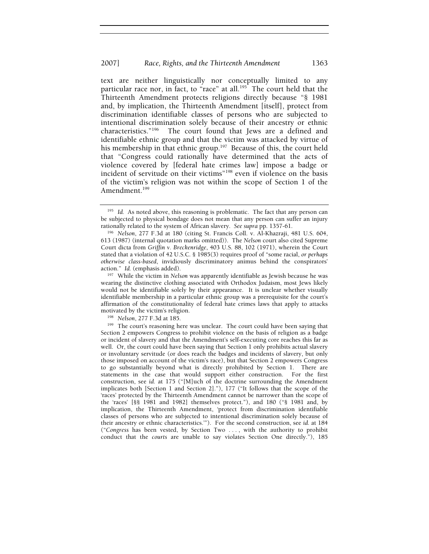text are neither linguistically nor conceptually limited to any particular race nor, in fact, to "race" at all.<sup>195</sup> The court held that the Thirteenth Amendment protects religions directly because "§ 1981 and, by implication, the Thirteenth Amendment [itself], protect from discrimination identifiable classes of persons who are subjected to intentional discrimination solely because of their ancestry or ethnic characteristics."196 The court found that Jews are a defined and identifiable ethnic group and that the victim was attacked by virtue of his membership in that ethnic group.<sup>197</sup> Because of this, the court held that "Congress could rationally have determined that the acts of violence covered by [federal hate crimes law] impose a badge or incident of servitude on their victims"198 even if violence on the basis of the victim's religion was not within the scope of Section 1 of the Amendment.<sup>199</sup>

<sup>&</sup>lt;sup>195</sup> Id. As noted above, this reasoning is problematic. The fact that any person can be subjected to physical bondage does not mean that any person can suffer an injury rationally related to the system of African slavery. See supra pp. 1357-61.

<sup>&</sup>lt;sup>196</sup> Nelson, 277 F.3d at 180 (citing St. Francis Coll. v. Al-Khazraji, 481 U.S. 604, 613 (1987) (internal quotation marks omitted)). The *Nelson* court also cited Supreme Court dicta from *Griffin v. Breckenridge*, 403 U.S. 88, 102 (1971), wherein the Court stated that a violation of 42 U.S.C. § 1985(3) requires proof of "some racial, *or perhaps otherwise class-based*, invidiously discriminatory animus behind the conspirators'

action." *Id.* (emphasis added). 197 While the victim in *Nelson* was apparently identifiable as Jewish because he was wearing the distinctive clothing associated with Orthodox Judaism, most Jews likely would not be identifiable solely by their appearance. It is unclear whether visually identifiable membership in a particular ethnic group was a prerequisite for the court's affirmation of the constitutionality of federal hate crimes laws that apply to attacks

<sup>&</sup>lt;sup>198</sup> Nelson, 277 F.3d at 185.<br><sup>199</sup> The court's reasoning here was unclear. The court could have been saying that Section 2 empowers Congress to prohibit violence on the basis of religion as a badge or incident of slavery and that the Amendment's self-executing core reaches this far as well. Or, the court could have been saying that Section 1 only prohibits actual slavery or involuntary servitude (or does reach the badges and incidents of slavery, but only those imposed on account of the victim's race), but that Section 2 empowers Congress to go substantially beyond what is directly prohibited by Section 1. There are statements in the case that would support either construction. For the first construction, see *id.* at 175 ("[M]uch of the doctrine surrounding the Amendment implicates both [Section 1 and Section 2]."), 177 ("It follows that the scope of the 'races' protected by the Thirteenth Amendment cannot be narrower than the scope of the 'races' [§§ 1981 and 1982] themselves protect."), and 180 ("§ 1981 and, by implication, the Thirteenth Amendment, 'protect from discrimination identifiable classes of persons who are subjected to intentional discrimination solely because of their ancestry or ethnic characteristics.'"). For the second construction, see *id.* at 184 ("*Congress* has been vested, by Section Two . . . , with the authority to prohibit conduct that the *courts* are unable to say violates Section One directly."), 185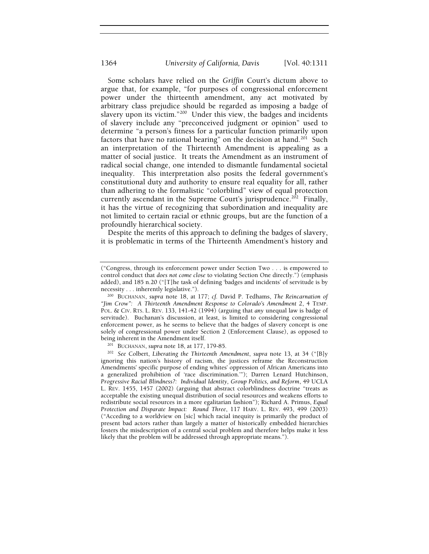Some scholars have relied on the *Griffin* Court's dictum above to argue that, for example, "for purposes of congressional enforcement power under the thirteenth amendment, any act motivated by arbitrary class prejudice should be regarded as imposing a badge of slavery upon its victim."<sup>200</sup> Under this view, the badges and incidents of slavery include any "preconceived judgment or opinion" used to determine "a person's fitness for a particular function primarily upon factors that have no rational bearing" on the decision at hand.<sup>201</sup> Such an interpretation of the Thirteenth Amendment is appealing as a matter of social justice. It treats the Amendment as an instrument of radical social change, one intended to dismantle fundamental societal inequality. This interpretation also posits the federal government's constitutional duty and authority to ensure real equality for all, rather than adhering to the formalistic "colorblind" view of equal protection currently ascendant in the Supreme Court's jurisprudence.<sup>202</sup> Finally, it has the virtue of recognizing that subordination and inequality are not limited to certain racial or ethnic groups, but are the function of a profoundly hierarchical society.

Despite the merits of this approach to defining the badges of slavery, it is problematic in terms of the Thirteenth Amendment's history and

<sup>(&</sup>quot;Congress, through its enforcement power under Section Two . . . is empowered to control conduct that *does not come close* to violating Section One directly.") (emphasis added), and 185 n.20 ("[T]he task of defining 'badges and incidents' of servitude is by

necessity . . . inherently legislative."). 200 BUCHANAN, *supra* note 18, at 177; *cf.* David P. Tedhams, *The Reincarnation of "Jim Crow": A Thirteenth Amendment Response to Colorado's Amendment 2*, 4 TEMP. POL. & CIV. RTS. L. REV. 133, 141-42 (1994) (arguing that *any* unequal law is badge of servitude). Buchanan's discussion, at least, is limited to considering congressional enforcement power, as he seems to believe that the badges of slavery concept is one solely of congressional power under Section 2 (Enforcement Clause), as opposed to being inherent in the Amendment itself.<br><sup>201</sup> BUCHANAN, *supra* note 18, at 177, 179-85.<br><sup>202</sup> See Colbert, *Liberating the Thirteenth Amendment*, *supra* note 13, at 34 ("[B]y

ignoring this nation's history of racism, the justices reframe the Reconstruction Amendments' specific purpose of ending whites' oppression of African Americans into a generalized prohibition of 'race discrimination.'"); Darren Lenard Hutchinson, *Progressive Racial Blindness?: Individual Identity, Group Politics, and Reform*, 49 UCLA L. REV. 1455, 1457 (2002) (arguing that abstract colorblindness doctrine "treats as acceptable the existing unequal distribution of social resources and weakens efforts to redistribute social resources in a more egalitarian fashion"); Richard A. Primus, *Equal Protection and Disparate Impact: Round Three*, 117 HARV. L. REV. 493, 499 (2003) ("Acceding to a worldview on [sic] which racial inequity is primarily the product of present bad actors rather than largely a matter of historically embedded hierarchies fosters the misdescription of a central social problem and therefore helps make it less likely that the problem will be addressed through appropriate means.").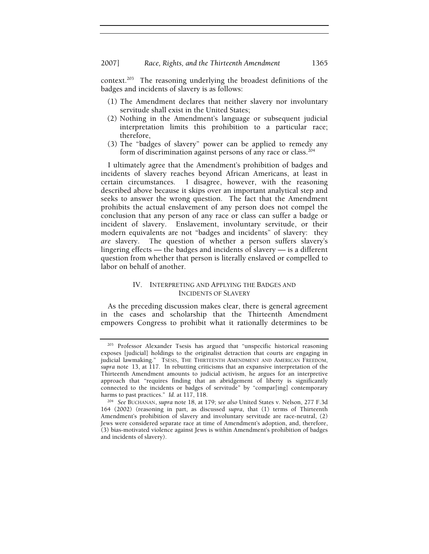context.<sup>203</sup> The reasoning underlying the broadest definitions of the badges and incidents of slavery is as follows:

- (1) The Amendment declares that neither slavery nor involuntary servitude shall exist in the United States;
- (2) Nothing in the Amendment's language or subsequent judicial interpretation limits this prohibition to a particular race; therefore,
- (3) The "badges of slavery" power can be applied to remedy any form of discrimination against persons of any race or class.204

I ultimately agree that the Amendment's prohibition of badges and incidents of slavery reaches beyond African Americans, at least in certain circumstances. I disagree, however, with the reasoning described above because it skips over an important analytical step and seeks to answer the wrong question. The fact that the Amendment prohibits the actual enslavement of any person does not compel the conclusion that any person of any race or class can suffer a badge or incident of slavery. Enslavement, involuntary servitude, or their modern equivalents are not "badges and incidents" of slavery: they *are* slavery. The question of whether a person suffers slavery's lingering effects — the badges and incidents of slavery — is a different question from whether that person is literally enslaved or compelled to labor on behalf of another.

## IV. INTERPRETING AND APPLYING THE BADGES AND INCIDENTS OF SLAVERY

As the preceding discussion makes clear, there is general agreement in the cases and scholarship that the Thirteenth Amendment empowers Congress to prohibit what it rationally determines to be

<sup>&</sup>lt;sup>203</sup> Professor Alexander Tsesis has argued that "unspecific historical reasoning exposes [judicial] holdings to the originalist detraction that courts are engaging in judicial lawmaking." TSESIS, THE THIRTEENTH AMENDMENT AND AMERICAN FREEDOM, *supra* note 13, at 117. In rebutting criticisms that an expansive interpretation of the Thirteenth Amendment amounts to judicial activism, he argues for an interpretive approach that "requires finding that an abridgement of liberty is significantly connected to the incidents or badges of servitude" by "compar[ing] contemporary

<sup>&</sup>lt;sup>204</sup> See BUCHANAN, *supra* note 18, at 179; *see also* United States v. Nelson, 277 F.3d 164 (2002) (reasoning in part, as discussed *supra*, that (1) terms of Thirteenth Amendment's prohibition of slavery and involuntary servitude are race-neutral, (2) Jews were considered separate race at time of Amendment's adoption, and, therefore, (3) bias-motivated violence against Jews is within Amendment's prohibition of badges and incidents of slavery).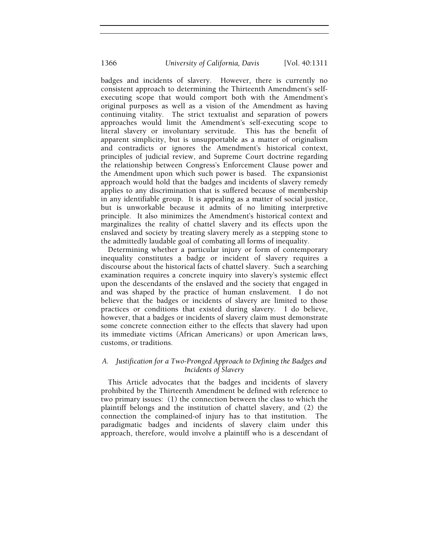badges and incidents of slavery. However, there is currently no consistent approach to determining the Thirteenth Amendment's selfexecuting scope that would comport both with the Amendment's original purposes as well as a vision of the Amendment as having continuing vitality. The strict textualist and separation of powers approaches would limit the Amendment's self-executing scope to literal slavery or involuntary servitude. This has the benefit of apparent simplicity, but is unsupportable as a matter of originalism and contradicts or ignores the Amendment's historical context, principles of judicial review, and Supreme Court doctrine regarding the relationship between Congress's Enforcement Clause power and the Amendment upon which such power is based. The expansionist approach would hold that the badges and incidents of slavery remedy applies to any discrimination that is suffered because of membership in any identifiable group. It is appealing as a matter of social justice, but is unworkable because it admits of no limiting interpretive principle. It also minimizes the Amendment's historical context and marginalizes the reality of chattel slavery and its effects upon the enslaved and society by treating slavery merely as a stepping stone to the admittedly laudable goal of combating all forms of inequality.

Determining whether a particular injury or form of contemporary inequality constitutes a badge or incident of slavery requires a discourse about the historical facts of chattel slavery. Such a searching examination requires a concrete inquiry into slavery's systemic effect upon the descendants of the enslaved and the society that engaged in and was shaped by the practice of human enslavement. I do not believe that the badges or incidents of slavery are limited to those practices or conditions that existed during slavery. I do believe, however, that a badges or incidents of slavery claim must demonstrate some concrete connection either to the effects that slavery had upon its immediate victims (African Americans) or upon American laws, customs, or traditions.

## *A. Justification for a Two-Pronged Approach to Defining the Badges and Incidents of Slavery*

This Article advocates that the badges and incidents of slavery prohibited by the Thirteenth Amendment be defined with reference to two primary issues: (1) the connection between the class to which the plaintiff belongs and the institution of chattel slavery, and (2) the connection the complained-of injury has to that institution. The paradigmatic badges and incidents of slavery claim under this approach, therefore, would involve a plaintiff who is a descendant of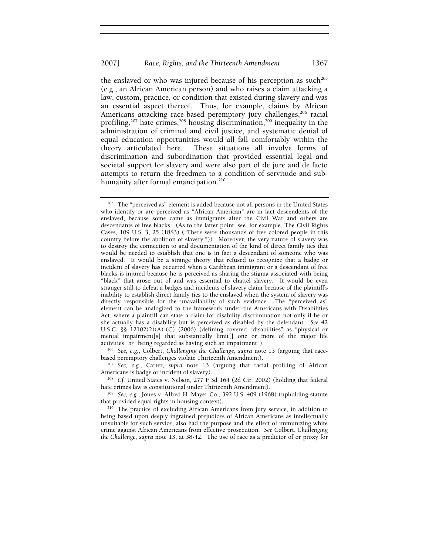the enslaved or who was injured because of his perception as such<sup>205</sup> (e.g., an African American person) and who raises a claim attacking a law, custom, practice, or condition that existed during slavery and was an essential aspect thereof. Thus, for example, claims by African Americans attacking race-based peremptory jury challenges,<sup>206</sup> racial profiling,<sup>207</sup> hate crimes,<sup>208</sup> housing discrimination,<sup>209</sup> inequality in the administration of criminal and civil justice, and systematic denial of equal education opportunities would all fall comfortably within the theory articulated here. These situations all involve forms of discrimination and subordination that provided essential legal and societal support for slavery and were also part of de jure and de facto attempts to return the freedmen to a condition of servitude and subhumanity after formal emancipation.<sup>210</sup>

based peremptory challenges violate Thirteenth Amendment).

<sup>207</sup> *See, e.g.*, Carter, *supra* note 13 (arguing that racial profiling of African Americans is badge or incident of slavery).

<sup>208</sup> *Cf.* United States v. Nelson, 277 F.3d 164 (2d Cir. 2002) (holding that federal

hate crimes law is constitutional under Thirteenth Amendment).<br><sup>209</sup> *See, e.g.*, Jones v. Alfred H. Mayer Co., 392 U.S. 409 (1968) (upholding statute that provided equal rights in housing context).

<sup>210</sup> The practice of excluding African Americans from jury service, in addition to being based upon deeply ingrained prejudices of African Americans as intellectually unsuitable for such service, also had the purpose and the effect of immunizing white crime against African Americans from effective prosecution. *See* Colbert, *Challenging the Challenge*, *supra* note 13, at 38-42.The use of race as a predictor of or proxy for

<sup>&</sup>lt;sup>205</sup> The "perceived as" element is added because not all persons in the United States who identify or are perceived as "African American" are in fact descendents of the enslaved, because some came as immigrants after the Civil War and others are descendants of free blacks. (As to the latter point, see, for example, The Civil Rights Cases, 109 U.S. 3, 25 (1883) ("There were thousands of free colored people in this country before the abolition of slavery.")). Moreover, the very nature of slavery was to destroy the connection to and documentation of the kind of direct family ties that would be needed to establish that one is in fact a descendant of someone who was enslaved. It would be a strange theory that refused to recognize that a badge or incident of slavery has occurred when a Caribbean immigrant or a descendant of free blacks is injured because he is perceived as sharing the stigma associated with being "black" that arose out of and was essential to chattel slavery. It would be even stranger still to defeat a badges and incidents of slavery claim because of the plaintiff's inability to establish direct family ties to the enslaved when the system of slavery was directly responsible for the unavailability of such evidence. The "perceived as" element can be analogized to the framework under the Americans with Disabilities Act, where a plaintiff can state a claim for disability discrimination not only if he or she actually has a disability but is perceived as disabled by the defendant. *See* 42 U.S.C. §§ 12102(2)(A)-(C) (2006) (defining covered "disabilities" as "physical or mental impairment[s] that substantially limit[] one or more of the major life activities" *or* "being regarded as having such an impairment"). 206 *See, e.g.*, Colbert, *Challenging the Challenge*, *supra* note 13 (arguing that race-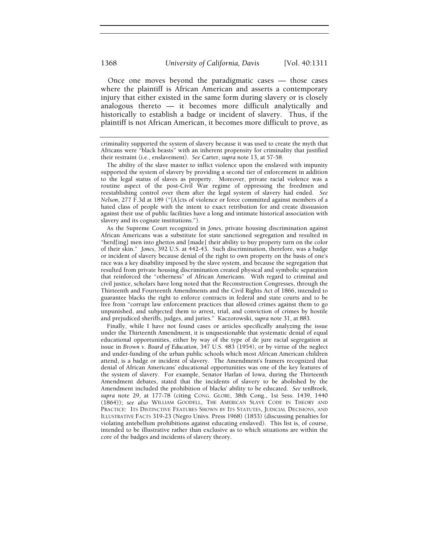Once one moves beyond the paradigmatic cases — those cases where the plaintiff is African American and asserts a contemporary injury that either existed in the same form during slavery or is closely analogous thereto — it becomes more difficult analytically and historically to establish a badge or incident of slavery. Thus, if the plaintiff is not African American, it becomes more difficult to prove, as

The ability of the slave master to inflict violence upon the enslaved with impunity supported the system of slavery by providing a second tier of enforcement in addition to the legal status of slaves as property. Moreover, private racial violence was a routine aspect of the post-Civil War regime of oppressing the freedmen and reestablishing control over them after the legal system of slavery had ended. *See Nelson*, 277 F.3d at 189 ("[A]cts of violence or force committed against members of a hated class of people with the intent to exact retribution for and create dissuasion against their use of public facilities have a long and intimate historical association with slavery and its cognate institutions.").

As the Supreme Court recognized in *Jones*, private housing discrimination against African Americans was a substitute for state sanctioned segregation and resulted in "herd[ing] men into ghettos and [made] their ability to buy property turn on the color of their skin." *Jones*, 392 U.S. at 442-43. Such discrimination, therefore, was a badge or incident of slavery because denial of the right to own property on the basis of one's race was a key disability imposed by the slave system, and because the segregation that resulted from private housing discrimination created physical and symbolic separation that reinforced the "otherness" of African Americans. With regard to criminal and civil justice, scholars have long noted that the Reconstruction Congresses, through the Thirteenth and Fourteenth Amendments and the Civil Rights Act of 1866, intended to guarantee blacks the right to enforce contracts in federal and state courts and to be free from "corrupt law enforcement practices that allowed crimes against them to go unpunished, and subjected them to arrest, trial, and conviction of crimes by hostile and prejudiced sheriffs, judges, and juries."Kaczorowski, *supra* note 31, at 883.

Finally, while I have not found cases or articles specifically analyzing the issue under the Thirteenth Amendment, it is unquestionable that systematic denial of equal educational opportunities, either by way of the type of de jure racial segregation at issue in *Brown v. Board of Education*, 347 U.S. 483 (1954), or by virtue of the neglect and under-funding of the urban public schools which most African American children attend, is a badge or incident of slavery. The Amendment's framers recognized that denial of African Americans' educational opportunities was one of the key features of the system of slavery. For example, Senator Harlan of Iowa, during the Thirteenth Amendment debates, stated that the incidents of slavery to be abolished by the Amendment included the prohibition of blacks' ability to be educated. *See* tenBroek*, supra* note 29, at 177-78 (citing CONG. GLOBE, 38th Cong., 1st Sess. 1439, 1440 (1864)); *see also* WILLIAM GOODELL, THE AMERICAN SLAVE CODE IN THEORY AND PRACTICE: ITS DISTINCTIVE FEATURES SHOWN BY ITS STATUTES, JUDICIAL DECISIONS, AND ILLUSTRATIVE FACTS 319-23 (Negro Univs. Press 1968) (1853) (discussing penalties for violating antebellum prohibitions against educating enslaved). This list is, of course, intended to be illustrative rather than exclusive as to which situations are within the core of the badges and incidents of slavery theory.

criminality supported the system of slavery because it was used to create the myth that Africans were "black beasts" with an inherent propensity for criminality that justified their restraint (i.e., enslavement). *See* Carter, *supra* note 13, at 57-58.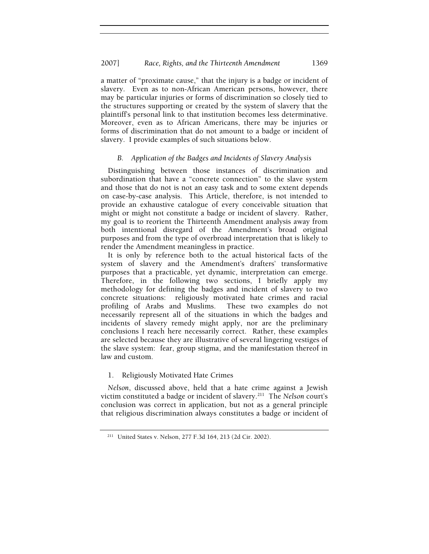a matter of "proximate cause," that the injury is a badge or incident of slavery. Even as to non-African American persons, however, there may be particular injuries or forms of discrimination so closely tied to the structures supporting or created by the system of slavery that the plaintiff's personal link to that institution becomes less determinative. Moreover, even as to African Americans, there may be injuries or forms of discrimination that do not amount to a badge or incident of slavery. I provide examples of such situations below.

## *B. Application of the Badges and Incidents of Slavery Analysis*

Distinguishing between those instances of discrimination and subordination that have a "concrete connection" to the slave system and those that do not is not an easy task and to some extent depends on case-by-case analysis. This Article, therefore, is not intended to provide an exhaustive catalogue of every conceivable situation that might or might not constitute a badge or incident of slavery. Rather, my goal is to reorient the Thirteenth Amendment analysis away from both intentional disregard of the Amendment's broad original purposes and from the type of overbroad interpretation that is likely to render the Amendment meaningless in practice.

It is only by reference both to the actual historical facts of the system of slavery and the Amendment's drafters' transformative purposes that a practicable, yet dynamic, interpretation can emerge. Therefore, in the following two sections, I briefly apply my methodology for defining the badges and incident of slavery to two concrete situations: religiously motivated hate crimes and racial profiling of Arabs and Muslims. These two examples do not necessarily represent all of the situations in which the badges and incidents of slavery remedy might apply, nor are the preliminary conclusions I reach here necessarily correct. Rather, these examples are selected because they are illustrative of several lingering vestiges of the slave system: fear, group stigma, and the manifestation thereof in law and custom.

## 1. Religiously Motivated Hate Crimes

*Nelson*, discussed above, held that a hate crime against a Jewish victim constituted a badge or incident of slavery.211 The *Nelson* court's conclusion was correct in application, but not as a general principle that religious discrimination always constitutes a badge or incident of

<sup>211</sup> United States v. Nelson, 277 F.3d 164, 213 (2d Cir. 2002).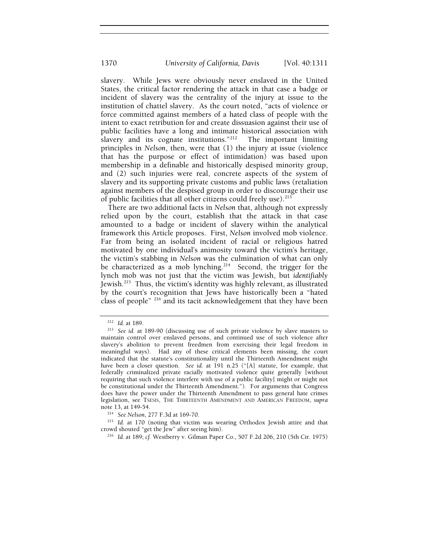slavery. While Jews were obviously never enslaved in the United States, the critical factor rendering the attack in that case a badge or incident of slavery was the centrality of the injury at issue to the institution of chattel slavery. As the court noted, "acts of violence or force committed against members of a hated class of people with the intent to exact retribution for and create dissuasion against their use of public facilities have a long and intimate historical association with slavery and its cognate institutions."<sup>212</sup> The important limiting principles in *Nelson*, then, were that (1) the injury at issue (violence that has the purpose or effect of intimidation) was based upon membership in a definable and historically despised minority group, and (2) such injuries were real, concrete aspects of the system of slavery and its supporting private customs and public laws (retaliation against members of the despised group in order to discourage their use of public facilities that all other citizens could freely use).<sup>213</sup>

There are two additional facts in *Nelson* that, although not expressly relied upon by the court, establish that the attack in that case amounted to a badge or incident of slavery within the analytical framework this Article proposes. First, *Nelson* involved mob violence. Far from being an isolated incident of racial or religious hatred motivated by one individual's animosity toward the victim's heritage, the victim's stabbing in *Nelson* was the culmination of what can only be characterized as a mob lynching.<sup>214</sup> Second, the trigger for the lynch mob was not just that the victim was Jewish, but *identifiably* Jewish.215 Thus, the victim's identity was highly relevant, as illustrated by the court's recognition that Jews have historically been a "hated class of people" 216 and its tacit acknowledgement that they have been

<sup>212</sup> *Id.* at 189. 213 *See id.* at 189-90 (discussing use of such private violence by slave masters to maintain control over enslaved persons, and continued use of such violence after slavery's abolition to prevent freedmen from exercising their legal freedom in meaningful ways). Had any of these critical elements been missing, the court indicated that the statute's constitutionality until the Thirteenth Amendment might have been a closer question. *See id.* at 191 n.25 ("[A] statute, for example, that federally criminalized private racially motivated violence quite generally [without requiring that such violence interfere with use of a public facility] might or might not be constitutional under the Thirteenth Amendment."). For arguments that Congress does have the power under the Thirteenth Amendment to pass general hate crimes legislation, see TSESIS, THE THIRTEENTH AMENDMENT AND AMERICAN FREEDOM, *supra* note 13, at 149-54.

<sup>214</sup> *See Nelson*, 277 F.3d at 169-70.

<sup>&</sup>lt;sup>215</sup> Id. at 170 (noting that victim was wearing Orthodox Jewish attire and that crowd shouted "get the Jew" after seeing him).

<sup>&</sup>lt;sup>216</sup> Id. at 189; cf. Westberry v. Gilman Paper Co., 507 F.2d 206, 210 (5th Cir. 1975)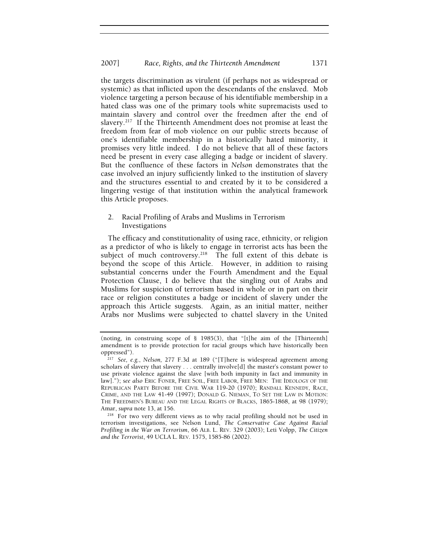the targets discrimination as virulent (if perhaps not as widespread or systemic) as that inflicted upon the descendants of the enslaved. Mob violence targeting a person because of his identifiable membership in a hated class was one of the primary tools white supremacists used to maintain slavery and control over the freedmen after the end of slavery.<sup>217</sup> If the Thirteenth Amendment does not promise at least the freedom from fear of mob violence on our public streets because of one's identifiable membership in a historically hated minority, it promises very little indeed. I do not believe that all of these factors need be present in every case alleging a badge or incident of slavery. But the confluence of these factors in *Nelson* demonstrates that the case involved an injury sufficiently linked to the institution of slavery and the structures essential to and created by it to be considered a lingering vestige of that institution within the analytical framework this Article proposes.

## 2. Racial Profiling of Arabs and Muslims in Terrorism Investigations

The efficacy and constitutionality of using race, ethnicity, or religion as a predictor of who is likely to engage in terrorist acts has been the subject of much controversy.<sup>218</sup> The full extent of this debate is beyond the scope of this Article. However, in addition to raising substantial concerns under the Fourth Amendment and the Equal Protection Clause, I do believe that the singling out of Arabs and Muslims for suspicion of terrorism based in whole or in part on their race or religion constitutes a badge or incident of slavery under the approach this Article suggests. Again, as an initial matter, neither Arabs nor Muslims were subjected to chattel slavery in the United

<sup>218</sup> For two very different views as to why racial profiling should not be used in terrorism investigations, see Nelson Lund, *The Conservative Case Against Racial Profiling in the War on Terrorism*, 66 ALB. L. REV. 329 (2003); Leti Volpp, *The Citizen and the Terrorist*, 49 UCLA L. REV. 1575, 1585-86 (2002).

<sup>(</sup>noting, in construing scope of § 1985(3), that "[t]he aim of the [Thirteenth] amendment is to provide protection for racial groups which have historically been oppressed").

<sup>217</sup> *See, e.g.*, *Nelson,* 277 F.3d at 189 ("[T]here is widespread agreement among scholars of slavery that slavery . . . centrally involve[d] the master's constant power to use private violence against the slave [with both impunity in fact and immunity in law]."); *see also* ERIC FONER, FREE SOIL, FREE LABOR, FREE MEN: THE IDEOLOGY OF THE REPUBLICAN PARTY BEFORE THE CIVIL WAR 119-20 (1970); RANDALL KENNEDY, RACE, CRIME, AND THE LAW 41-49 (1997); DONALD G. NIEMAN, TO SET THE LAW IN MOTION: THE FREEDMEN'S BUREAU AND THE LEGAL RIGHTS OF BLACKS, 1865-1868, at 98 (1979); Amar, supra note 13, at 156.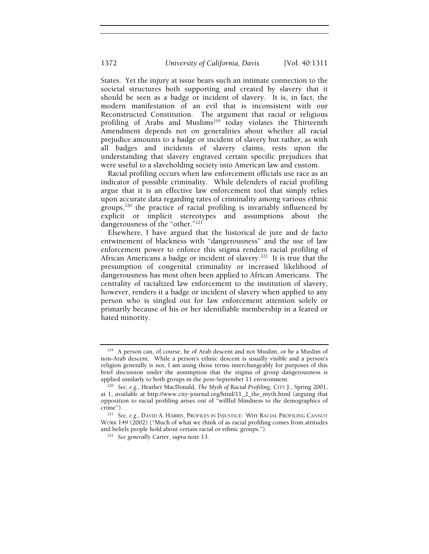States. Yet the injury at issue bears such an intimate connection to the societal structures both supporting and created by slavery that it should be seen as a badge or incident of slavery. It is, in fact, the modern manifestation of an evil that is inconsistent with our Reconstructed Constitution. The argument that racial or religious profiling of Arabs and Muslims<sup>219</sup> today violates the Thirteenth Amendment depends not on generalities about whether all racial prejudice amounts to a badge or incident of slavery but rather, as with all badges and incidents of slavery claims, rests upon the understanding that slavery engraved certain specific prejudices that were useful to a slaveholding society into American law and custom.

Racial profiling occurs when law enforcement officials use race as an indicator of possible criminality. While defenders of racial profiling argue that it is an effective law enforcement tool that simply relies upon accurate data regarding rates of criminality among various ethnic groups, $220$  the practice of racial profiling is invariably influenced by explicit or implicit stereotypes and assumptions about the dangerousness of the "other."<sup>221</sup>

Elsewhere, I have argued that the historical de jure and de facto entwinement of blackness with "dangerousness" and the use of law enforcement power to enforce this stigma renders racial profiling of African Americans a badge or incident of slavery.<sup>222</sup> It is true that the presumption of congenital criminality or increased likelihood of dangerousness has most often been applied to African Americans. The centrality of racialized law enforcement to the institution of slavery, however, renders it a badge or incident of slavery when applied to any person who is singled out for law enforcement attention solely or primarily because of his or her identifiable membership in a feared or hated minority.

<sup>219</sup> A person can, of course, be of Arab descent and not Muslim, or be a Muslim of non-Arab descent. While a person's ethnic descent is usually visible and a person's religion generally is not, I am using those terms interchangeably for purposes of this brief discussion under the assumption that the stigma of group dangerousness is applied similarly to both groups in the post-September 11 environment. 220 *See, e.g.*, Heather MacDonald, *The Myth of Racial Profiling*, CITY J., Spring 2001,

at 1, *available at* http://www.city-journal.org/html/11\_2\_the\_myth.html (arguing that opposition to racial profiling arises out of "willful blindness to the demographics of crime"). 221 *See, e.g.*, DAVID A. HARRIS, PROFILES IN INJUSTICE: WHY RACIAL PROFILING CANNOT

WORK 149 (2002) ("Much of what we think of as racial profiling comes from attitudes and beliefs people hold about certain racial or ethnic groups."). 222 *See generally* Carter, *supra* note 13.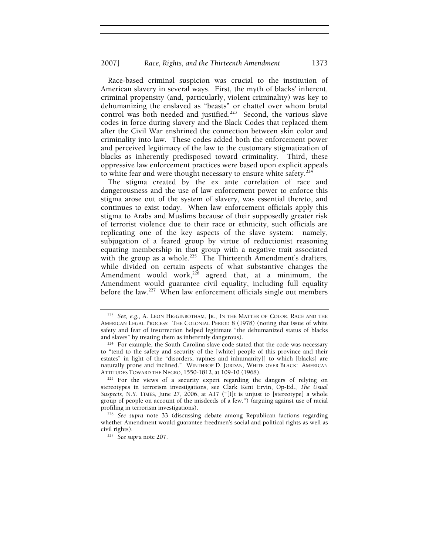Race-based criminal suspicion was crucial to the institution of American slavery in several ways. First, the myth of blacks' inherent, criminal propensity (and, particularly, violent criminality) was key to dehumanizing the enslaved as "beasts" or chattel over whom brutal control was both needed and justified.<sup>223</sup> Second, the various slave codes in force during slavery and the Black Codes that replaced them after the Civil War enshrined the connection between skin color and criminality into law. These codes added both the enforcement power and perceived legitimacy of the law to the customary stigmatization of blacks as inherently predisposed toward criminality. Third, these oppressive law enforcement practices were based upon explicit appeals to white fear and were thought necessary to ensure white safety.<sup>224</sup>

The stigma created by the ex ante correlation of race and dangerousness and the use of law enforcement power to enforce this stigma arose out of the system of slavery, was essential thereto, and continues to exist today. When law enforcement officials apply this stigma to Arabs and Muslims because of their supposedly greater risk of terrorist violence due to their race or ethnicity, such officials are replicating one of the key aspects of the slave system: namely, subjugation of a feared group by virtue of reductionist reasoning equating membership in that group with a negative trait associated with the group as a whole.<sup>225</sup> The Thirteenth Amendment's drafters, while divided on certain aspects of what substantive changes the Amendment would work, $226$  agreed that, at a minimum, the Amendment would guarantee civil equality, including full equality before the law.<sup>227</sup> When law enforcement officials single out members

<sup>223</sup> *See, e.g.*, A. LEON HIGGINBOTHAM, JR., IN THE MATTER OF COLOR, RACE AND THE AMERICAN LEGAL PROCESS: THE COLONIAL PERIOD 8 (1978) (noting that issue of white safety and fear of insurrection helped legitimate "the dehumanized status of blacks and slaves" by treating them as inherently dangerous).

<sup>&</sup>lt;sup>224</sup> For example, the South Carolina slave code stated that the code was necessary to "tend to the safety and security of the [white] people of this province and their estates" in light of the "disorders, rapines and inhumanity[] to which [blacks] are naturally prone and inclined." WINTHROP D. JORDAN, WHITE OVER BLACK: AMERICAN ATTITUDES TOWARD THE NEGRO, 1550-1812, at 109-10 (1968).<br><sup>225</sup> For the views of a security expert regarding the dangers of relying on

stereotypes in terrorism investigations, see Clark Kent Ervin, Op-Ed., *The Usual Suspects*, N.Y. TIMES, June 27, 2006, at A17 ("[I]t is unjust to [stereotype] a whole group of people on account of the misdeeds of a few.") (arguing against use of racial

<sup>&</sup>lt;sup>226</sup> See supra note 33 (discussing debate among Republican factions regarding whether Amendment would guarantee freedmen's social and political rights as well as civil rights). 227 *See supra* note 207.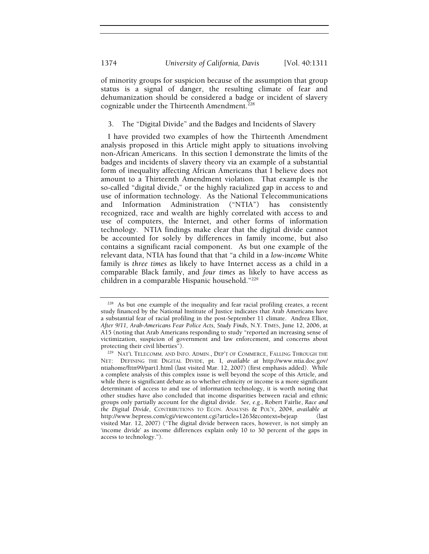of minority groups for suspicion because of the assumption that group status is a signal of danger, the resulting climate of fear and dehumanization should be considered a badge or incident of slavery cognizable under the Thirteenth Amendment.<sup>228</sup>

3. The "Digital Divide" and the Badges and Incidents of Slavery

I have provided two examples of how the Thirteenth Amendment analysis proposed in this Article might apply to situations involving non-African Americans. In this section I demonstrate the limits of the badges and incidents of slavery theory via an example of a substantial form of inequality affecting African Americans that I believe does not amount to a Thirteenth Amendment violation. That example is the so-called "digital divide," or the highly racialized gap in access to and use of information technology. As the National Telecommunications and Information Administration ("NTIA") has consistently recognized, race and wealth are highly correlated with access to and use of computers, the Internet, and other forms of information technology. NTIA findings make clear that the digital divide cannot be accounted for solely by differences in family income, but also contains a significant racial component. As but one example of the relevant data, NTIA has found that that "a child in a *low-income* White family is *three times* as likely to have Internet access as a child in a comparable Black family, and *four times* as likely to have access as children in a comparable Hispanic household."<sup>229</sup>

<sup>&</sup>lt;sup>228</sup> As but one example of the inequality and fear racial profiling creates, a recent study financed by the National Institute of Justice indicates that Arab Americans have a substantial fear of racial profiling in the post-September 11 climate. Andrea Elliot, *After 9/11, Arab-Americans Fear Police Acts, Study Finds*, N.Y. TIMES, June 12, 2006, at A15 (noting that Arab Americans responding to study "reported an increasing sense of victimization, suspicion of government and law enforcement, and concerns about protecting their civil liberties").<br><sup>229</sup> NAT'L TELECOMM. AND INFO. ADMIN., DEP'T OF COMMERCE, FALLING THROUGH THE

NET: DEFINING THE DIGITAL DIVIDE, pt. I, *available at* http://www.ntia.doc.gov/ ntiahome/fttn99/part1.html (last visited Mar. 12, 2007) (first emphasis added). While a complete analysis of this complex issue is well beyond the scope of this Article, and while there is significant debate as to whether ethnicity or income is a more significant determinant of access to and use of information technology, it is worth noting that other studies have also concluded that income disparities between racial and ethnic groups only partially account for the digital divide. *See, e.g.*, Robert Fairlie, *Race and the Digital Divide*, CONTRIBUTIONS TO ECON. ANALYSIS & POL'Y, 2004, *available at* http://www.bepress.com/cgi/viewcontent.cgi?article=1263&context=bejeap (last visited Mar. 12, 2007) ("The digital divide between races, however, is not simply an 'income divide' as income differences explain only 10 to 30 percent of the gaps in access to technology.").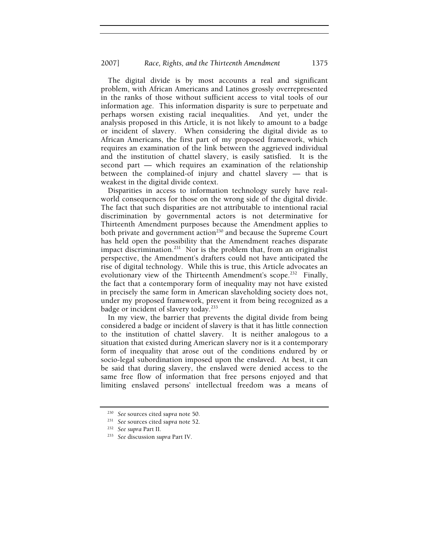The digital divide is by most accounts a real and significant problem, with African Americans and Latinos grossly overrepresented in the ranks of those without sufficient access to vital tools of our information age. This information disparity is sure to perpetuate and perhaps worsen existing racial inequalities. And yet, under the analysis proposed in this Article, it is not likely to amount to a badge or incident of slavery. When considering the digital divide as to African Americans, the first part of my proposed framework, which requires an examination of the link between the aggrieved individual and the institution of chattel slavery, is easily satisfied. It is the second part — which requires an examination of the relationship between the complained-of injury and chattel slavery — that is weakest in the digital divide context.

Disparities in access to information technology surely have realworld consequences for those on the wrong side of the digital divide. The fact that such disparities are not attributable to intentional racial discrimination by governmental actors is not determinative for Thirteenth Amendment purposes because the Amendment applies to both private and government action<sup>230</sup> and because the Supreme Court has held open the possibility that the Amendment reaches disparate impact discrimination.<sup>231</sup> Nor is the problem that, from an originalist perspective, the Amendment's drafters could not have anticipated the rise of digital technology. While this is true, this Article advocates an evolutionary view of the Thirteenth Amendment's scope.<sup>232</sup> Finally, the fact that a contemporary form of inequality may not have existed in precisely the same form in American slaveholding society does not, under my proposed framework, prevent it from being recognized as a badge or incident of slavery today.<sup>233</sup>

In my view, the barrier that prevents the digital divide from being considered a badge or incident of slavery is that it has little connection to the institution of chattel slavery. It is neither analogous to a situation that existed during American slavery nor is it a contemporary form of inequality that arose out of the conditions endured by or socio-legal subordination imposed upon the enslaved. At best, it can be said that during slavery, the enslaved were denied access to the same free flow of information that free persons enjoyed and that limiting enslaved persons' intellectual freedom was a means of

<sup>230</sup> *See* sources cited *supra* note 50. 231 *See* sources cited *supra* note 52.

<sup>232</sup> *See supra* Part II. 233 *See* discussion *supra* Part IV.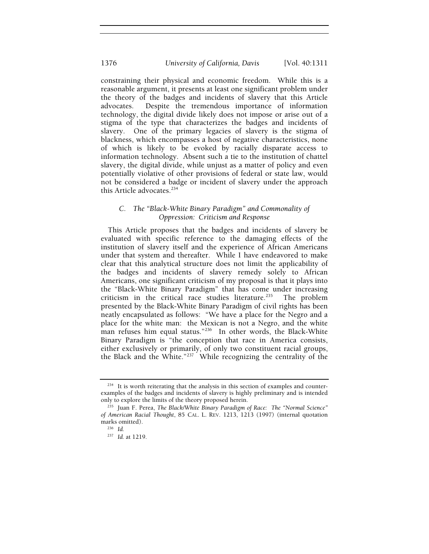constraining their physical and economic freedom. While this is a reasonable argument, it presents at least one significant problem under the theory of the badges and incidents of slavery that this Article advocates. Despite the tremendous importance of information technology, the digital divide likely does not impose or arise out of a stigma of the type that characterizes the badges and incidents of slavery. One of the primary legacies of slavery is the stigma of blackness, which encompasses a host of negative characteristics, none of which is likely to be evoked by racially disparate access to information technology. Absent such a tie to the institution of chattel slavery, the digital divide, while unjust as a matter of policy and even potentially violative of other provisions of federal or state law, would not be considered a badge or incident of slavery under the approach this Article advocates.<sup>234</sup>

## *C. The "Black-White Binary Paradigm" and Commonality of Oppression: Criticism and Response*

This Article proposes that the badges and incidents of slavery be evaluated with specific reference to the damaging effects of the institution of slavery itself and the experience of African Americans under that system and thereafter. While I have endeavored to make clear that this analytical structure does not limit the applicability of the badges and incidents of slavery remedy solely to African Americans, one significant criticism of my proposal is that it plays into the "Black-White Binary Paradigm" that has come under increasing criticism in the critical race studies literature.<sup>235</sup> The problem presented by the Black-White Binary Paradigm of civil rights has been neatly encapsulated as follows: "We have a place for the Negro and a place for the white man: the Mexican is not a Negro, and the white man refuses him equal status."<sup>236</sup> In other words, the Black-White Binary Paradigm is "the conception that race in America consists, either exclusively or primarily, of only two constituent racial groups, the Black and the White." $237$  While recognizing the centrality of the

 $234$  It is worth reiterating that the analysis in this section of examples and counterexamples of the badges and incidents of slavery is highly preliminary and is intended only to explore the limits of the theory proposed herein.

<sup>&</sup>lt;sup>235</sup> Juan F. Perea, *The Black/White Binary Paradigm of Race: The "Normal Science" of American Racial Thought*, 85 CAL. L. REV. 1213, 1213 (1997) (internal quotation marks omitted). 236 *Id.*

<sup>237</sup> *Id.* at 1219.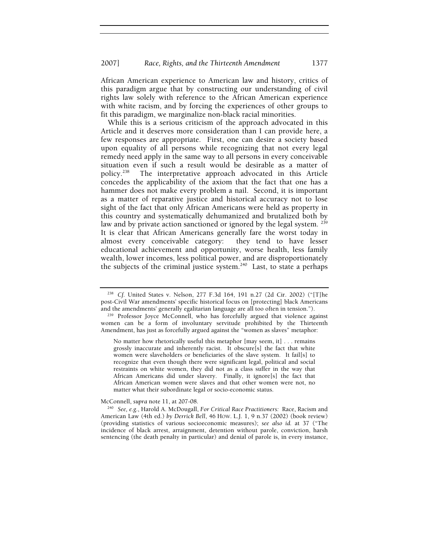African American experience to American law and history, critics of this paradigm argue that by constructing our understanding of civil rights law solely with reference to the African American experience with white racism, and by forcing the experiences of other groups to fit this paradigm, we marginalize non-black racial minorities.

While this is a serious criticism of the approach advocated in this Article and it deserves more consideration than I can provide here, a few responses are appropriate. First, one can desire a society based upon equality of all persons while recognizing that not every legal remedy need apply in the same way to all persons in every conceivable situation even if such a result would be desirable as a matter of policy.<sup>238</sup> The interpretative approach advocated in this Article The interpretative approach advocated in this Article concedes the applicability of the axiom that the fact that one has a hammer does not make every problem a nail. Second, it is important as a matter of reparative justice and historical accuracy not to lose sight of the fact that only African Americans were held as property in this country and systematically dehumanized and brutalized both by law and by private action sanctioned or ignored by the legal system.<sup>239</sup> It is clear that African Americans generally fare the worst today in almost every conceivable category: they tend to have lesser educational achievement and opportunity, worse health, less family wealth, lower incomes, less political power, and are disproportionately the subjects of the criminal justice system. $240$  Last, to state a perhaps

<sup>238</sup> *Cf.* United States v. Nelson, 277 F.3d 164, 191 n.27 (2d Cir. 2002) ("[T]he post-Civil War amendments' specific historical focus on [protecting] black Americans

<sup>&</sup>lt;sup>239</sup> Professor Joyce McConnell, who has forcefully argued that violence against women can be a form of involuntary servitude prohibited by the Thirteenth Amendment, has just as forcefully argued against the "women as slaves" metaphor:

No matter how rhetorically useful this metaphor [may seem, it] . . . remains grossly inaccurate and inherently racist. It obscure[s] the fact that white women were slaveholders or beneficiaries of the slave system. It fail[s] to recognize that even though there were significant legal, political and social restraints on white women, they did not as a class suffer in the way that African Americans did under slavery. Finally, it ignore[s] the fact that African American women were slaves and that other women were not, no matter what their subordinate legal or socio-economic status.

McConnell, *supra* note 11, at 207-08.<br><sup>240</sup> See, e.g., Harold A. McDougall, *For Critical Race Practitioners:* Race, Racism and American Law (4th ed.) *by Derrick Bell*, 46 HOW. L.J. 1, 9 n.37 (2002) (book review) (providing statistics of various socioeconomic measures); *see also id.* at 37 ("The incidence of black arrest, arraignment, detention without parole, conviction, harsh sentencing (the death penalty in particular) and denial of parole is, in every instance,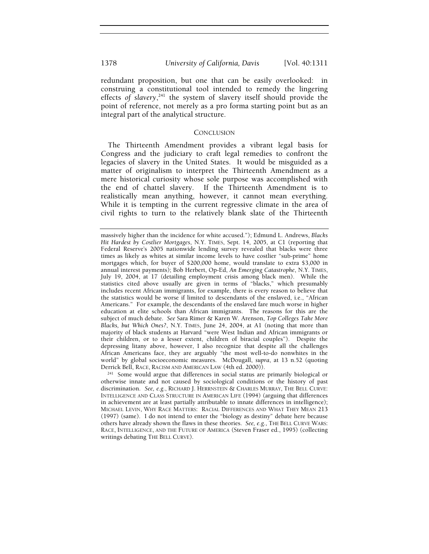redundant proposition, but one that can be easily overlooked: in construing a constitutional tool intended to remedy the lingering effects *of slavery*, 241 the system of slavery itself should provide the

## **CONCLUSION**

point of reference, not merely as a pro forma starting point but as an

integral part of the analytical structure.

The Thirteenth Amendment provides a vibrant legal basis for Congress and the judiciary to craft legal remedies to confront the legacies of slavery in the United States. It would be misguided as a matter of originalism to interpret the Thirteenth Amendment as a mere historical curiosity whose sole purpose was accomplished with the end of chattel slavery. If the Thirteenth Amendment is to realistically mean anything, however, it cannot mean everything. While it is tempting in the current regressive climate in the area of civil rights to turn to the relatively blank slate of the Thirteenth

massively higher than the incidence for white accused."); Edmund L. Andrews, *Blacks Hit Hardest by Costlier Mortgages*, N.Y. TIMES, Sept. 14, 2005, at C1 (reporting that Federal Reserve's 2005 nationwide lending survey revealed that blacks were three times as likely as whites at similar income levels to have costlier "sub-prime" home mortgages which, for buyer of \$200,000 home, would translate to extra \$3,000 in annual interest payments); Bob Herbert, Op-Ed, *An Emerging Catastrophe*, N.Y. TIMES, July 19, 2004, at 17 (detailing employment crisis among black men). While the statistics cited above usually are given in terms of "blacks," which presumably includes recent African immigrants, for example, there is every reason to believe that the statistics would be worse if limited to descendants of the enslaved, i.e., "African Americans." For example, the descendants of the enslaved fare much worse in higher education at elite schools than African immigrants. The reasons for this are the subject of much debate. *See* Sara Rimer & Karen W. Arenson, *Top Colleges Take More Blacks, but Which Ones?*, N.Y. TIMES, June 24, 2004, at A1 (noting that more than majority of black students at Harvard "were West Indian and African immigrants or their children, or to a lesser extent, children of biracial couples"). Despite the depressing litany above, however, I also recognize that despite all the challenges African Americans face, they are arguably "the most well-to-do nonwhites in the world" by global socioeconomic measures. McDougall, *supra*, at 13 n.52 (quoting

 $241$  Some would argue that differences in social status are primarily biological or otherwise innate and not caused by sociological conditions or the history of past discrimination. *See, e.g.*, RICHARD J. HERRNSTEIN & CHARLES MURRAY, THE BELL CURVE: INTELLIGENCE AND CLASS STRUCTURE IN AMERICAN LIFE (1994) (arguing that differences in achievement are at least partially attributable to innate differences in intelligence); MICHAEL LEVIN, WHY RACE MATTERS: RACIAL DIFFERENCES AND WHAT THEY MEAN 213 (1997) (same). I do not intend to enter the "biology as destiny" debate here because others have already shown the flaws in these theories. *See, e.g.*, THE BELL CURVE WARS: RACE, INTELLIGENCE, AND THE FUTURE OF AMERICA (Steven Fraser ed., 1995) (collecting writings debating THE BELL CURVE).